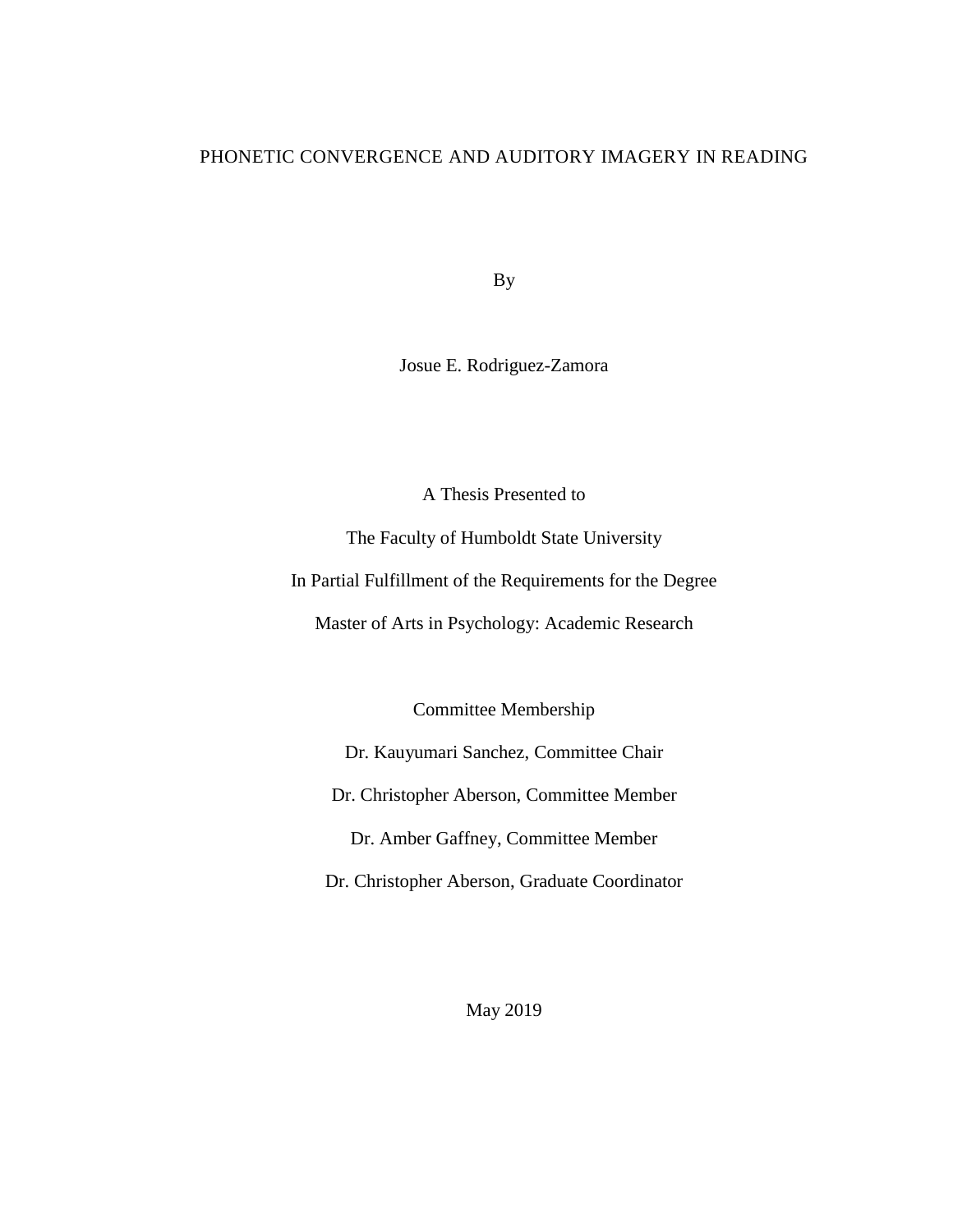# PHONETIC CONVERGENCE AND AUDITORY IMAGERY IN READING

By

Josue E. Rodriguez-Zamora

A Thesis Presented to

The Faculty of Humboldt State University

In Partial Fulfillment of the Requirements for the Degree

Master of Arts in Psychology: Academic Research

Committee Membership

Dr. Kauyumari Sanchez, Committee Chair

Dr. Christopher Aberson, Committee Member

Dr. Amber Gaffney, Committee Member

Dr. Christopher Aberson, Graduate Coordinator

May 2019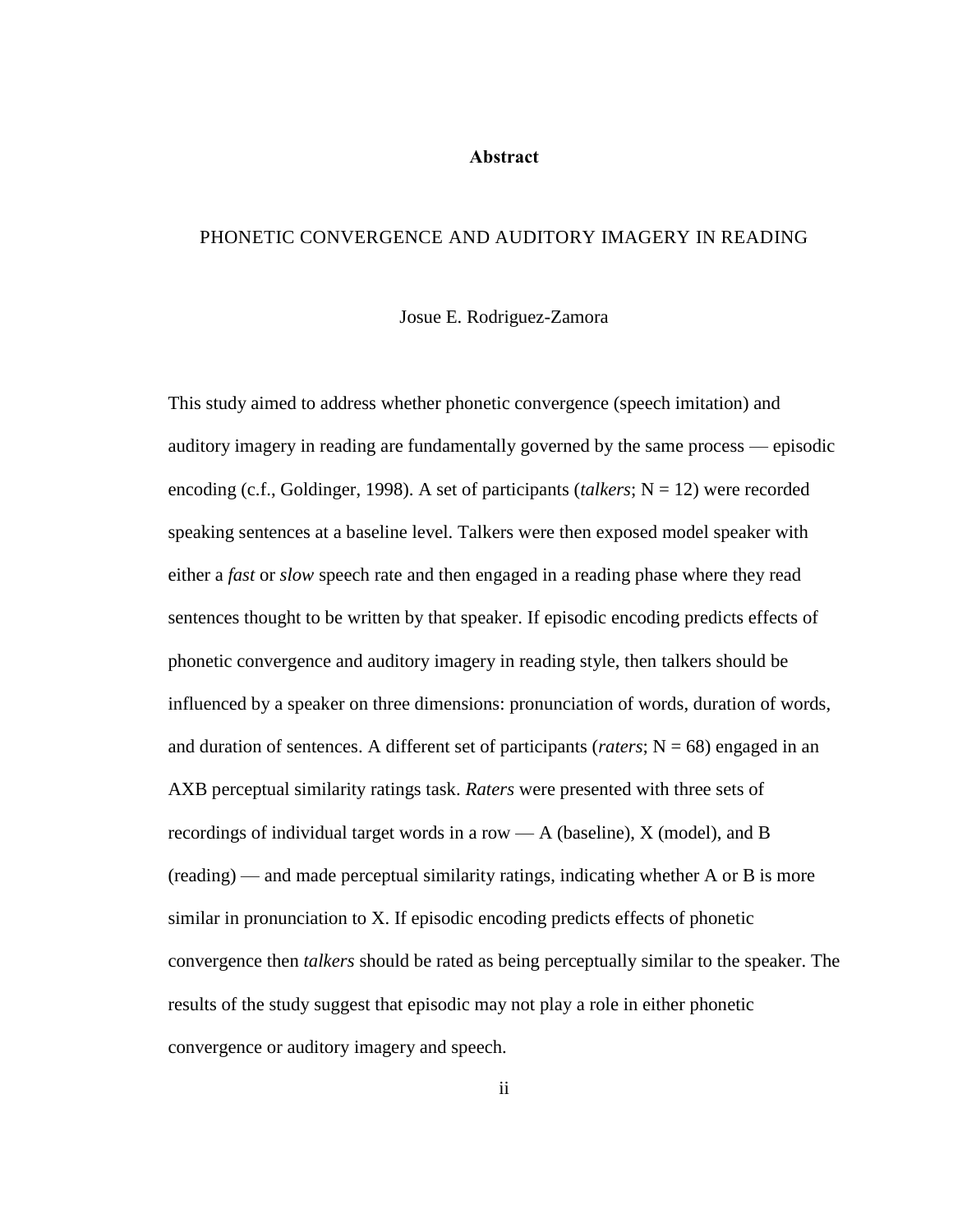#### **Abstract**

# <span id="page-1-0"></span>PHONETIC CONVERGENCE AND AUDITORY IMAGERY IN READING

Josue E. Rodriguez-Zamora

This study aimed to address whether phonetic convergence (speech imitation) and auditory imagery in reading are fundamentally governed by the same process — episodic encoding (c.f., Goldinger, 1998). A set of participants *(talkers*;  $N = 12$ ) were recorded speaking sentences at a baseline level. Talkers were then exposed model speaker with either a *fast* or *slow* speech rate and then engaged in a reading phase where they read sentences thought to be written by that speaker. If episodic encoding predicts effects of phonetic convergence and auditory imagery in reading style, then talkers should be influenced by a speaker on three dimensions: pronunciation of words, duration of words, and duration of sentences. A different set of participants (*raters*;  $N = 68$ ) engaged in an AXB perceptual similarity ratings task. *Raters* were presented with three sets of recordings of individual target words in a row — A (baseline), X (model), and B (reading) — and made perceptual similarity ratings, indicating whether A or B is more similar in pronunciation to X. If episodic encoding predicts effects of phonetic convergence then *talkers* should be rated as being perceptually similar to the speaker. The results of the study suggest that episodic may not play a role in either phonetic convergence or auditory imagery and speech.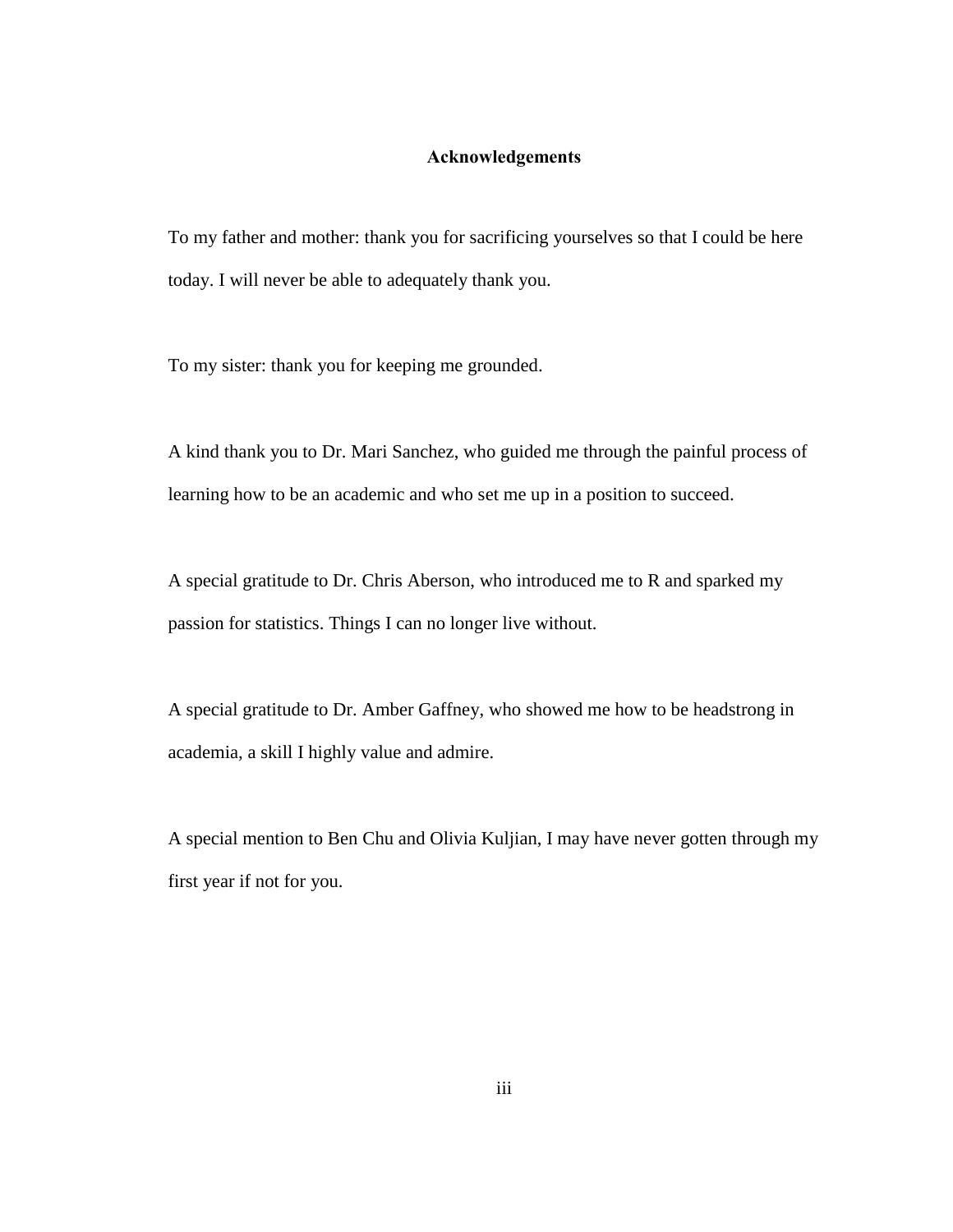### **Acknowledgements**

<span id="page-2-0"></span>To my father and mother: thank you for sacrificing yourselves so that I could be here today. I will never be able to adequately thank you.

To my sister: thank you for keeping me grounded.

A kind thank you to Dr. Mari Sanchez, who guided me through the painful process of learning how to be an academic and who set me up in a position to succeed.

A special gratitude to Dr. Chris Aberson, who introduced me to R and sparked my passion for statistics. Things I can no longer live without.

A special gratitude to Dr. Amber Gaffney, who showed me how to be headstrong in academia, a skill I highly value and admire.

A special mention to Ben Chu and Olivia Kuljian, I may have never gotten through my first year if not for you.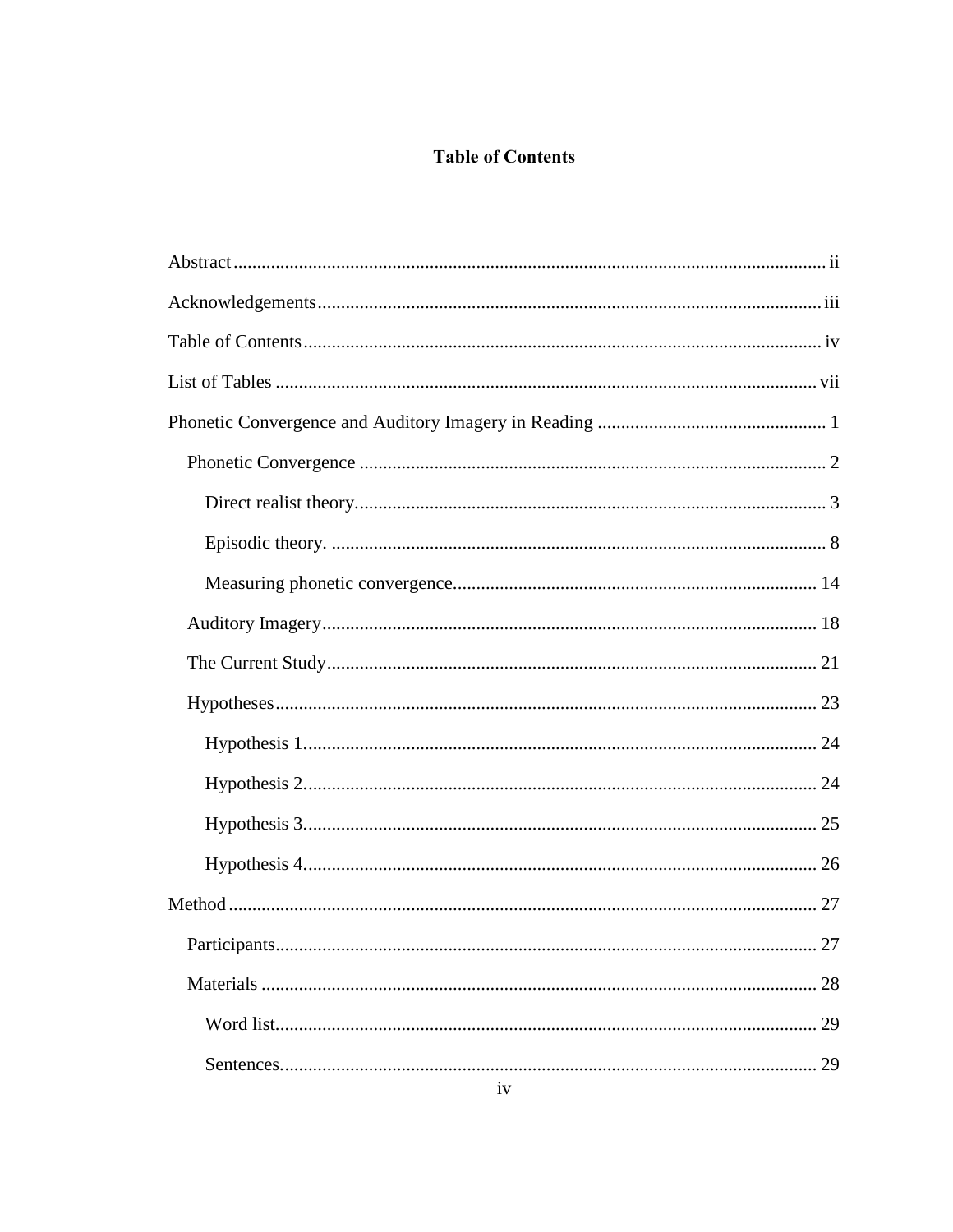# **Table of Contents**

<span id="page-3-0"></span>

| 28 |
|----|
| 29 |
| 29 |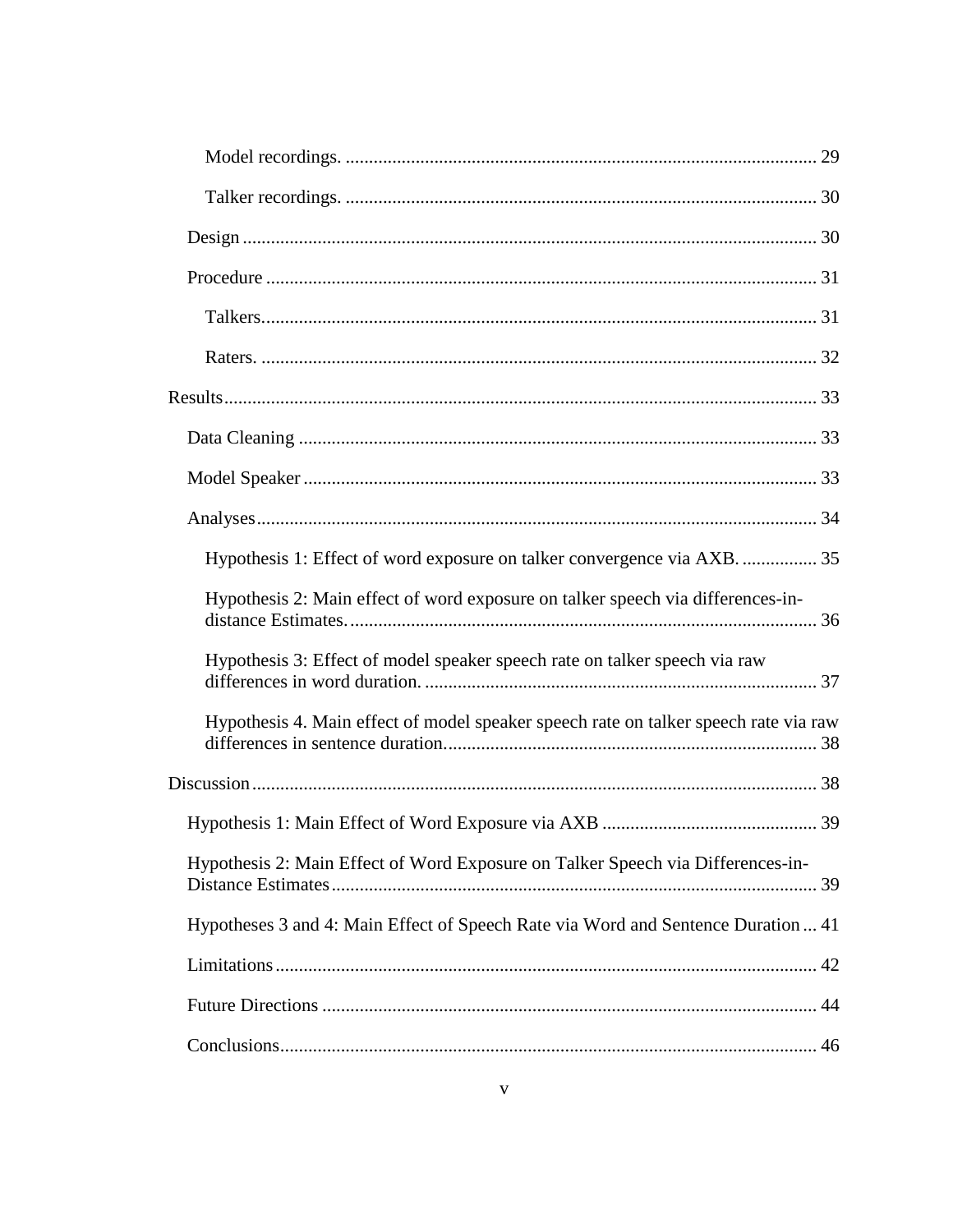| Hypothesis 1: Effect of word exposure on talker convergence via AXB.  35             |  |
|--------------------------------------------------------------------------------------|--|
| Hypothesis 2: Main effect of word exposure on talker speech via differences-in-      |  |
| Hypothesis 3: Effect of model speaker speech rate on talker speech via raw           |  |
| Hypothesis 4. Main effect of model speaker speech rate on talker speech rate via raw |  |
|                                                                                      |  |
|                                                                                      |  |
| Hypothesis 2: Main Effect of Word Exposure on Talker Speech via Differences-in-      |  |
| Hypotheses 3 and 4: Main Effect of Speech Rate via Word and Sentence Duration  41    |  |
|                                                                                      |  |
|                                                                                      |  |
|                                                                                      |  |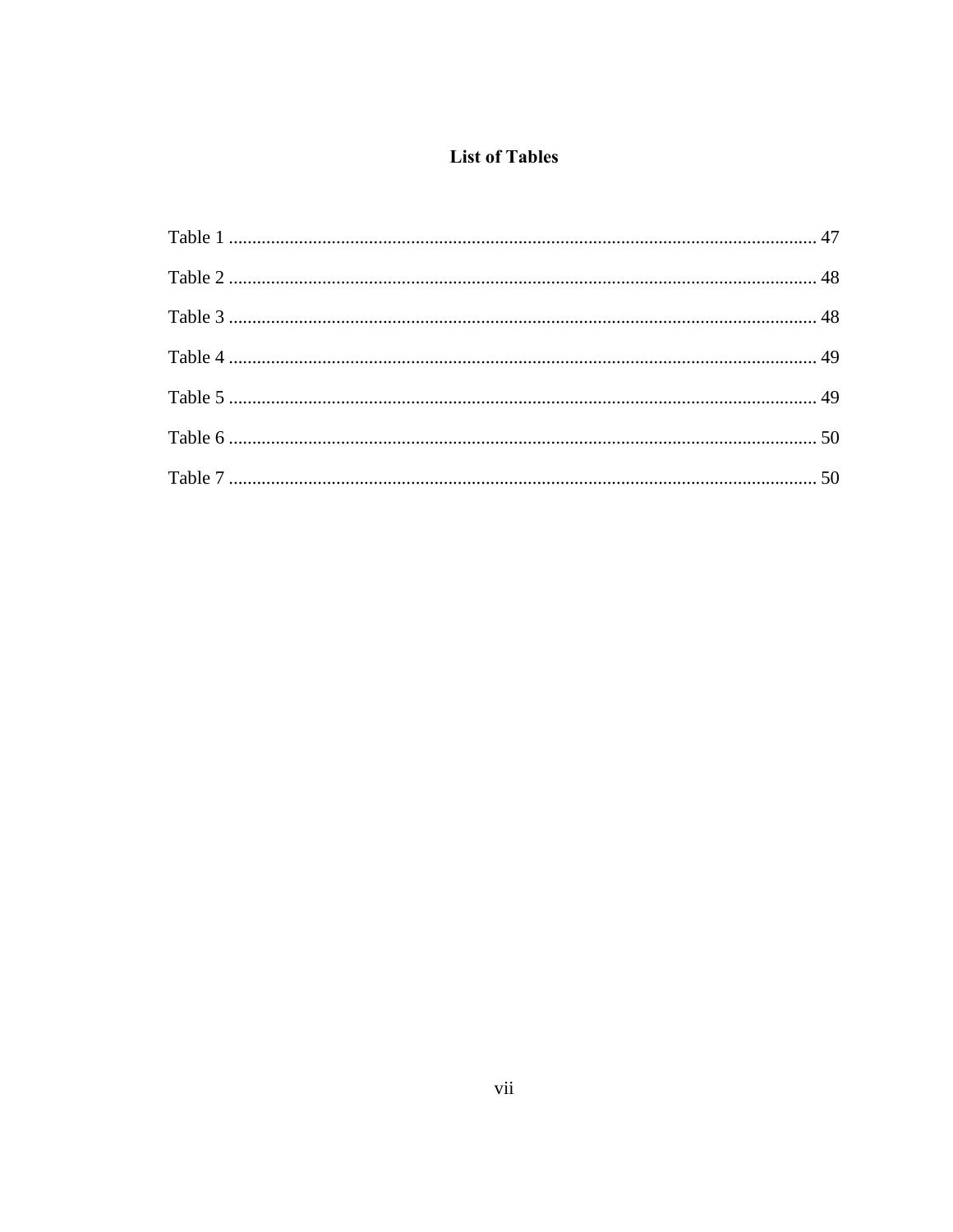# **List of Tables**

<span id="page-6-0"></span>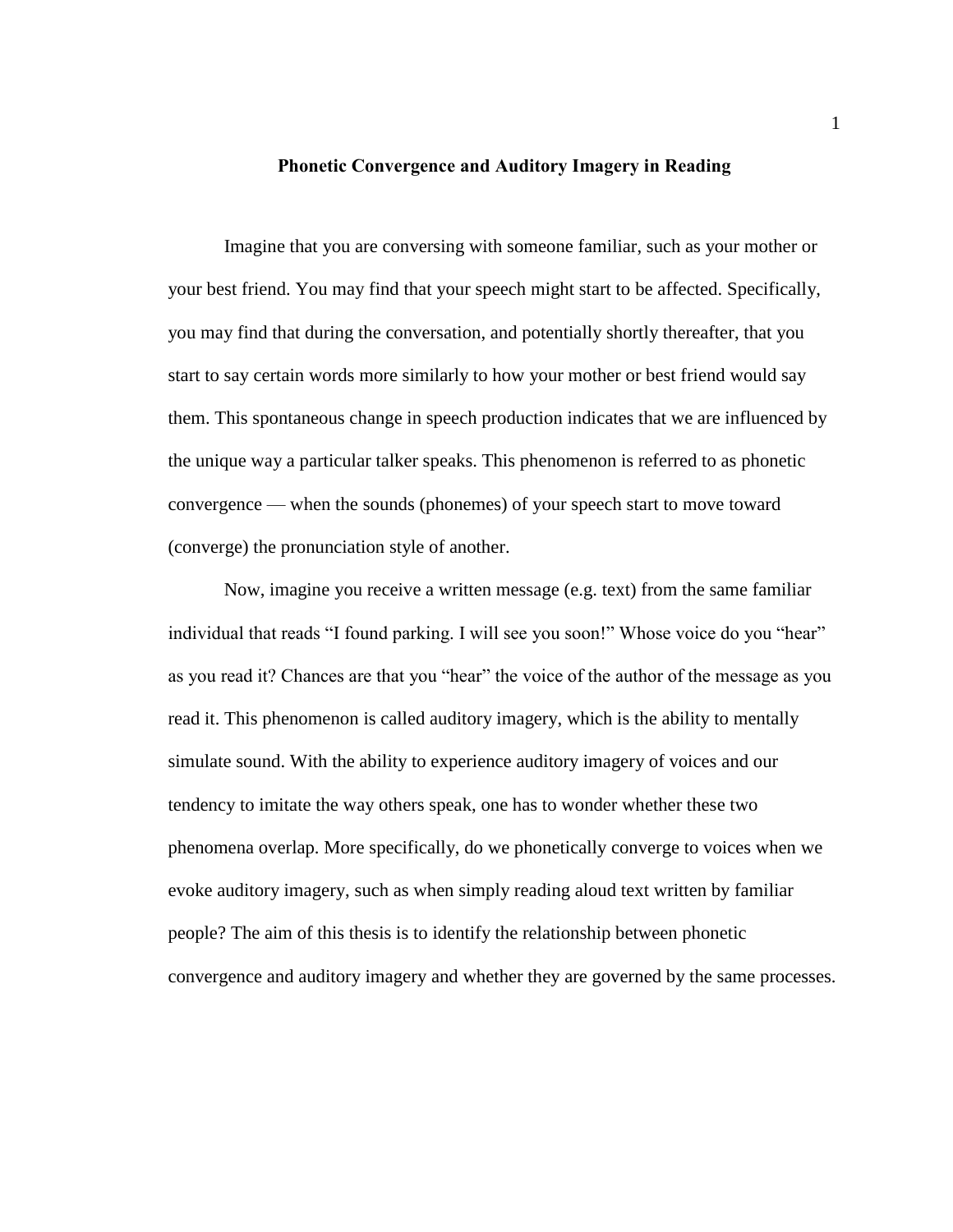#### **Phonetic Convergence and Auditory Imagery in Reading**

<span id="page-7-0"></span>Imagine that you are conversing with someone familiar, such as your mother or your best friend. You may find that your speech might start to be affected. Specifically, you may find that during the conversation, and potentially shortly thereafter, that you start to say certain words more similarly to how your mother or best friend would say them. This spontaneous change in speech production indicates that we are influenced by the unique way a particular talker speaks. This phenomenon is referred to as phonetic convergence — when the sounds (phonemes) of your speech start to move toward (converge) the pronunciation style of another.

Now, imagine you receive a written message (e.g. text) from the same familiar individual that reads "I found parking. I will see you soon!" Whose voice do you "hear" as you read it? Chances are that you "hear" the voice of the author of the message as you read it. This phenomenon is called auditory imagery, which is the ability to mentally simulate sound. With the ability to experience auditory imagery of voices and our tendency to imitate the way others speak, one has to wonder whether these two phenomena overlap. More specifically, do we phonetically converge to voices when we evoke auditory imagery, such as when simply reading aloud text written by familiar people? The aim of this thesis is to identify the relationship between phonetic convergence and auditory imagery and whether they are governed by the same processes.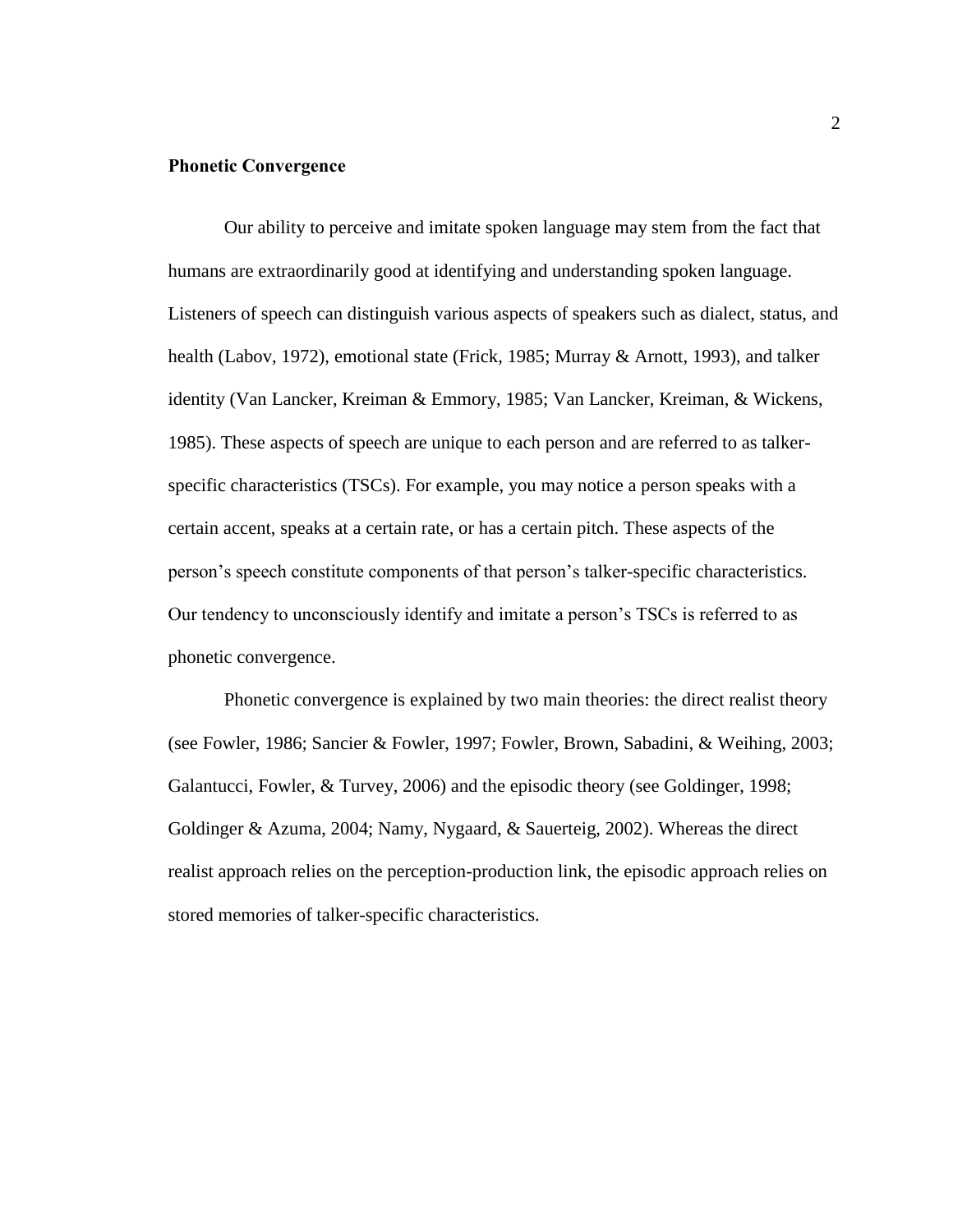### <span id="page-8-0"></span>**Phonetic Convergence**

Our ability to perceive and imitate spoken language may stem from the fact that humans are extraordinarily good at identifying and understanding spoken language. Listeners of speech can distinguish various aspects of speakers such as dialect, status, and health (Labov, 1972), emotional state (Frick, 1985; Murray & Arnott, 1993), and talker identity (Van Lancker, Kreiman & Emmory, 1985; Van Lancker, Kreiman, & Wickens, 1985). These aspects of speech are unique to each person and are referred to as talkerspecific characteristics (TSCs). For example, you may notice a person speaks with a certain accent, speaks at a certain rate, or has a certain pitch. These aspects of the person's speech constitute components of that person's talker-specific characteristics. Our tendency to unconsciously identify and imitate a person's TSCs is referred to as phonetic convergence.

Phonetic convergence is explained by two main theories: the direct realist theory (see Fowler, 1986; Sancier & Fowler, 1997; Fowler, Brown, Sabadini, & Weihing, 2003; Galantucci, Fowler, & Turvey, 2006) and the episodic theory (see Goldinger, 1998; Goldinger & Azuma, 2004; Namy, Nygaard, & Sauerteig, 2002). Whereas the direct realist approach relies on the perception-production link, the episodic approach relies on stored memories of talker-specific characteristics.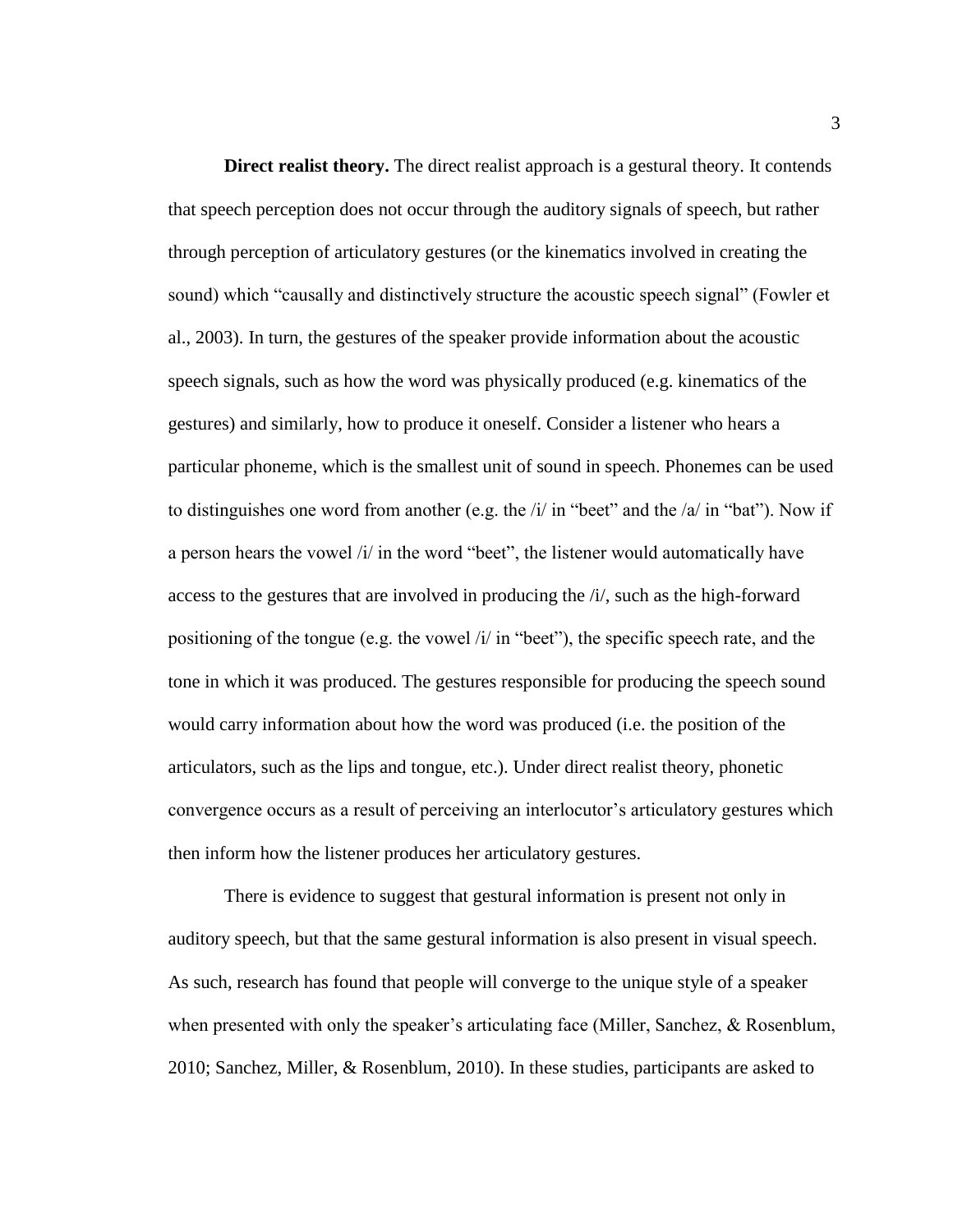<span id="page-9-0"></span>**Direct realist theory.** The direct realist approach is a gestural theory. It contends that speech perception does not occur through the auditory signals of speech, but rather through perception of articulatory gestures (or the kinematics involved in creating the sound) which "causally and distinctively structure the acoustic speech signal" (Fowler et al., 2003). In turn, the gestures of the speaker provide information about the acoustic speech signals, such as how the word was physically produced (e.g. kinematics of the gestures) and similarly, how to produce it oneself. Consider a listener who hears a particular phoneme, which is the smallest unit of sound in speech. Phonemes can be used to distinguishes one word from another (e.g. the  $\frac{1}{i}$  in "beet" and the  $\frac{1}{a}$  in "bat"). Now if a person hears the vowel /i/ in the word "beet", the listener would automatically have access to the gestures that are involved in producing the /i/, such as the high-forward positioning of the tongue (e.g. the vowel /i/ in "beet"), the specific speech rate, and the tone in which it was produced. The gestures responsible for producing the speech sound would carry information about how the word was produced (i.e. the position of the articulators, such as the lips and tongue, etc.). Under direct realist theory, phonetic convergence occurs as a result of perceiving an interlocutor's articulatory gestures which then inform how the listener produces her articulatory gestures.

There is evidence to suggest that gestural information is present not only in auditory speech, but that the same gestural information is also present in visual speech. As such, research has found that people will converge to the unique style of a speaker when presented with only the speaker's articulating face (Miller, Sanchez, & Rosenblum, 2010; Sanchez, Miller, & Rosenblum, 2010). In these studies, participants are asked to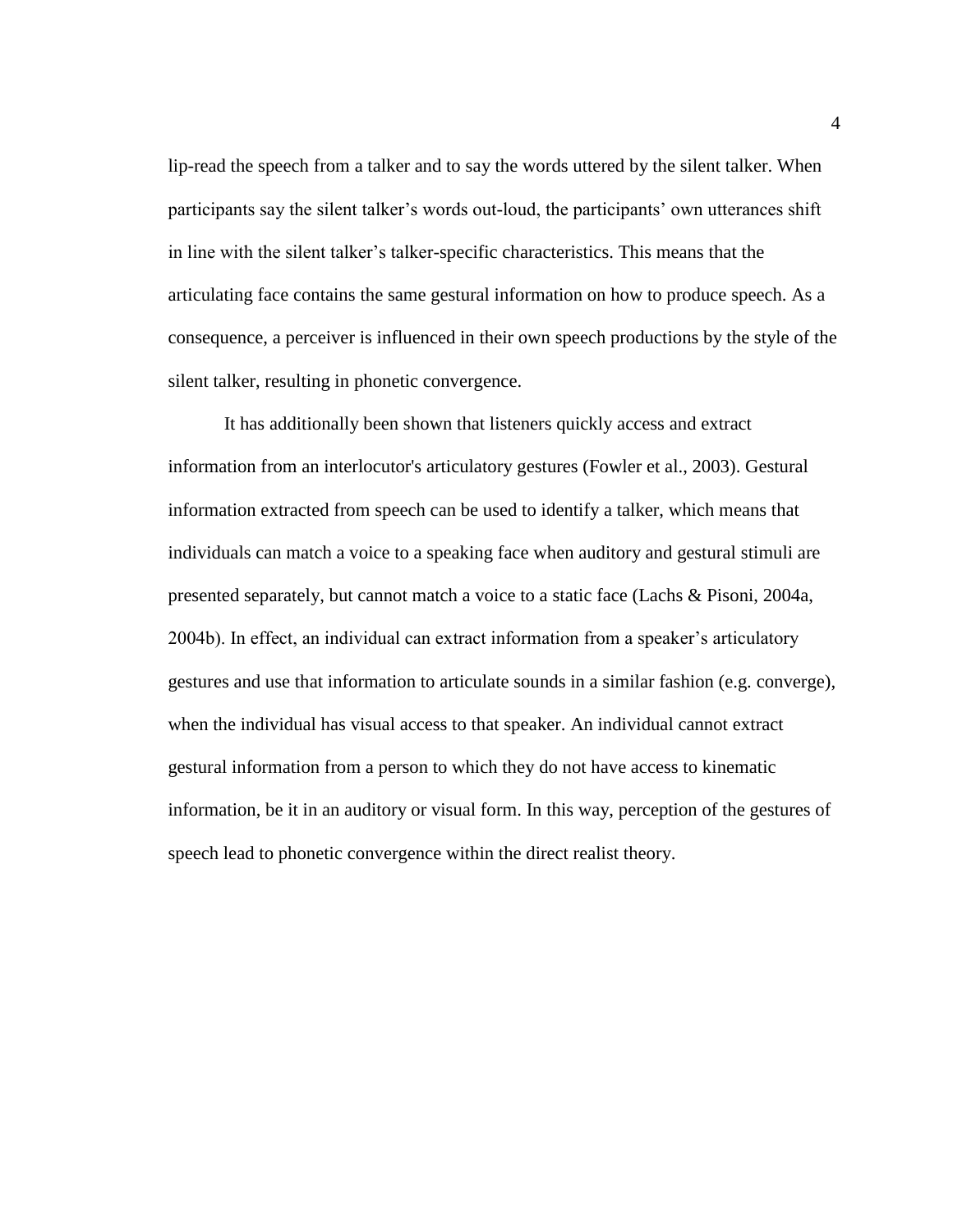lip-read the speech from a talker and to say the words uttered by the silent talker. When participants say the silent talker's words out-loud, the participants' own utterances shift in line with the silent talker's talker-specific characteristics. This means that the articulating face contains the same gestural information on how to produce speech. As a consequence, a perceiver is influenced in their own speech productions by the style of the silent talker, resulting in phonetic convergence.

It has additionally been shown that listeners quickly access and extract information from an interlocutor's articulatory gestures (Fowler et al., 2003). Gestural information extracted from speech can be used to identify a talker, which means that individuals can match a voice to a speaking face when auditory and gestural stimuli are presented separately, but cannot match a voice to a static face (Lachs & Pisoni, 2004a, 2004b). In effect, an individual can extract information from a speaker's articulatory gestures and use that information to articulate sounds in a similar fashion (e.g. converge), when the individual has visual access to that speaker. An individual cannot extract gestural information from a person to which they do not have access to kinematic information, be it in an auditory or visual form. In this way, perception of the gestures of speech lead to phonetic convergence within the direct realist theory.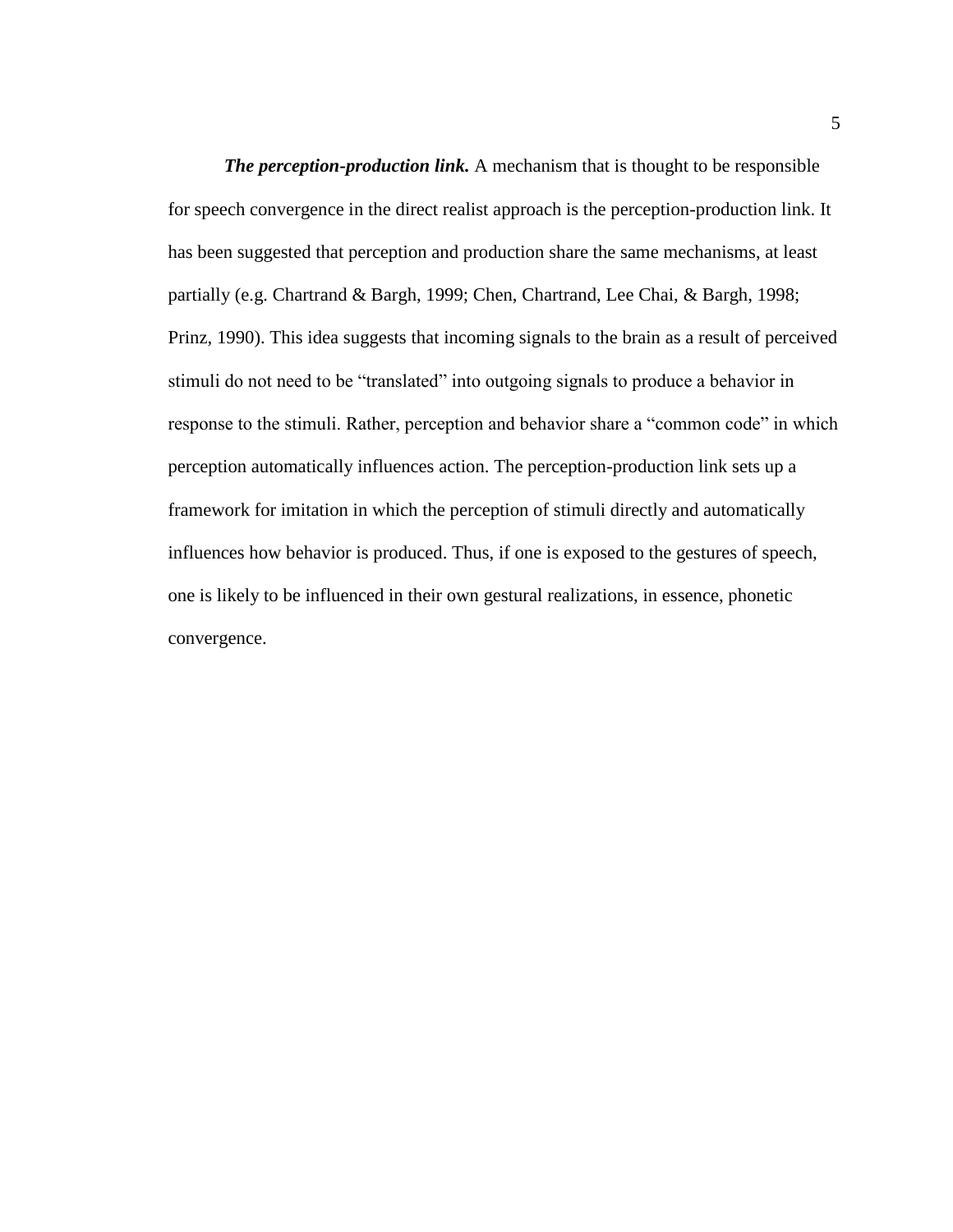*The perception-production link.* A mechanism that is thought to be responsible for speech convergence in the direct realist approach is the perception-production link. It has been suggested that perception and production share the same mechanisms, at least partially (e.g. Chartrand & Bargh, 1999; Chen, Chartrand, Lee Chai, & Bargh, 1998; Prinz, 1990). This idea suggests that incoming signals to the brain as a result of perceived stimuli do not need to be "translated" into outgoing signals to produce a behavior in response to the stimuli. Rather, perception and behavior share a "common code" in which perception automatically influences action. The perception-production link sets up a framework for imitation in which the perception of stimuli directly and automatically influences how behavior is produced. Thus, if one is exposed to the gestures of speech, one is likely to be influenced in their own gestural realizations, in essence, phonetic convergence.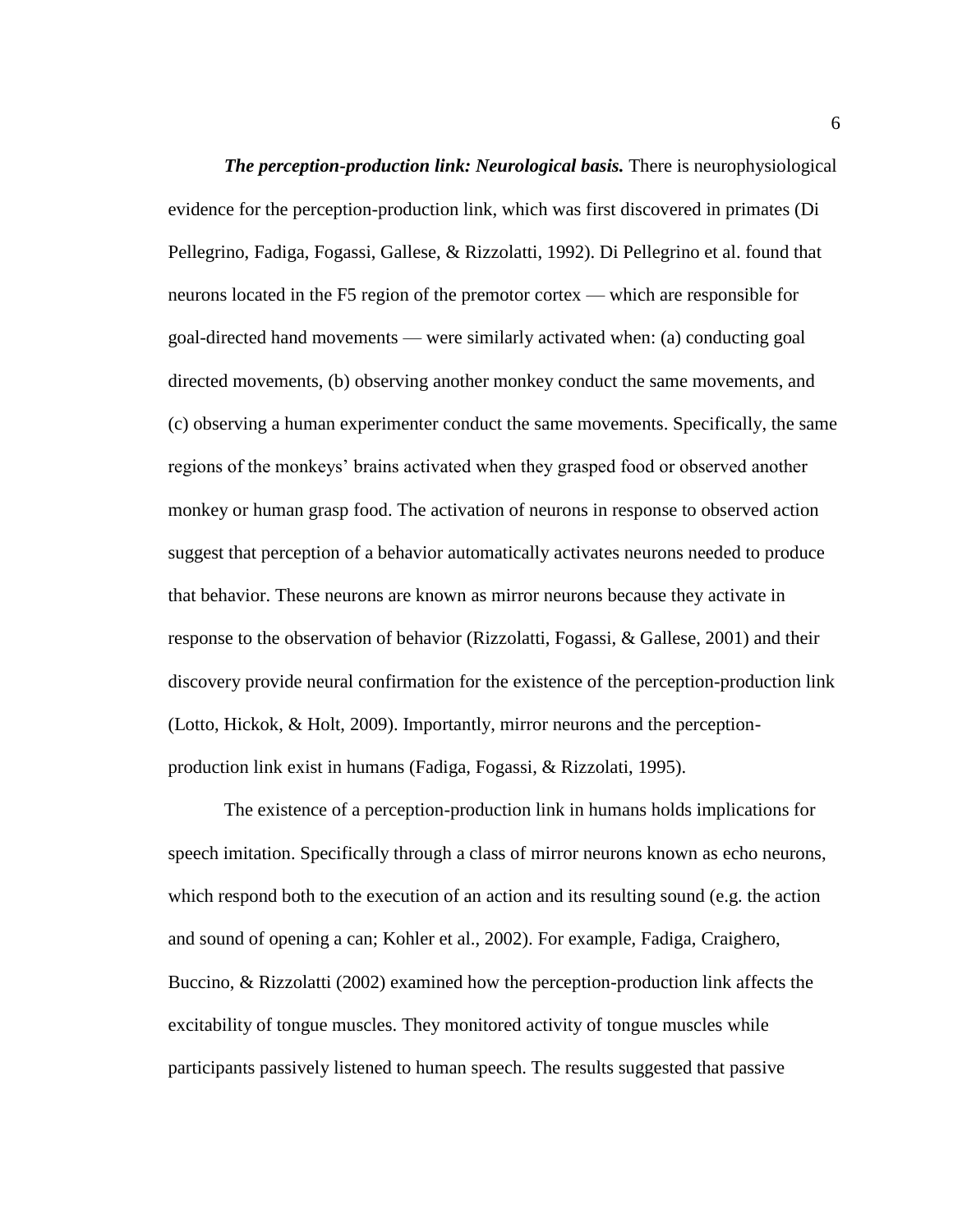*The perception-production link: Neurological basis.* There is neurophysiological evidence for the perception-production link, which was first discovered in primates (Di Pellegrino, Fadiga, Fogassi, Gallese, & Rizzolatti, 1992). Di Pellegrino et al. found that neurons located in the F5 region of the premotor cortex — which are responsible for goal-directed hand movements — were similarly activated when: (a) conducting goal directed movements, (b) observing another monkey conduct the same movements, and (c) observing a human experimenter conduct the same movements. Specifically, the same regions of the monkeys' brains activated when they grasped food or observed another monkey or human grasp food. The activation of neurons in response to observed action suggest that perception of a behavior automatically activates neurons needed to produce that behavior. These neurons are known as mirror neurons because they activate in response to the observation of behavior (Rizzolatti, Fogassi, & Gallese, 2001) and their discovery provide neural confirmation for the existence of the perception-production link (Lotto, Hickok, & Holt, 2009). Importantly, mirror neurons and the perceptionproduction link exist in humans (Fadiga, Fogassi, & Rizzolati, 1995).

The existence of a perception-production link in humans holds implications for speech imitation. Specifically through a class of mirror neurons known as echo neurons, which respond both to the execution of an action and its resulting sound (e.g. the action and sound of opening a can; Kohler et al., 2002). For example, Fadiga, Craighero, Buccino, & Rizzolatti (2002) examined how the perception-production link affects the excitability of tongue muscles. They monitored activity of tongue muscles while participants passively listened to human speech. The results suggested that passive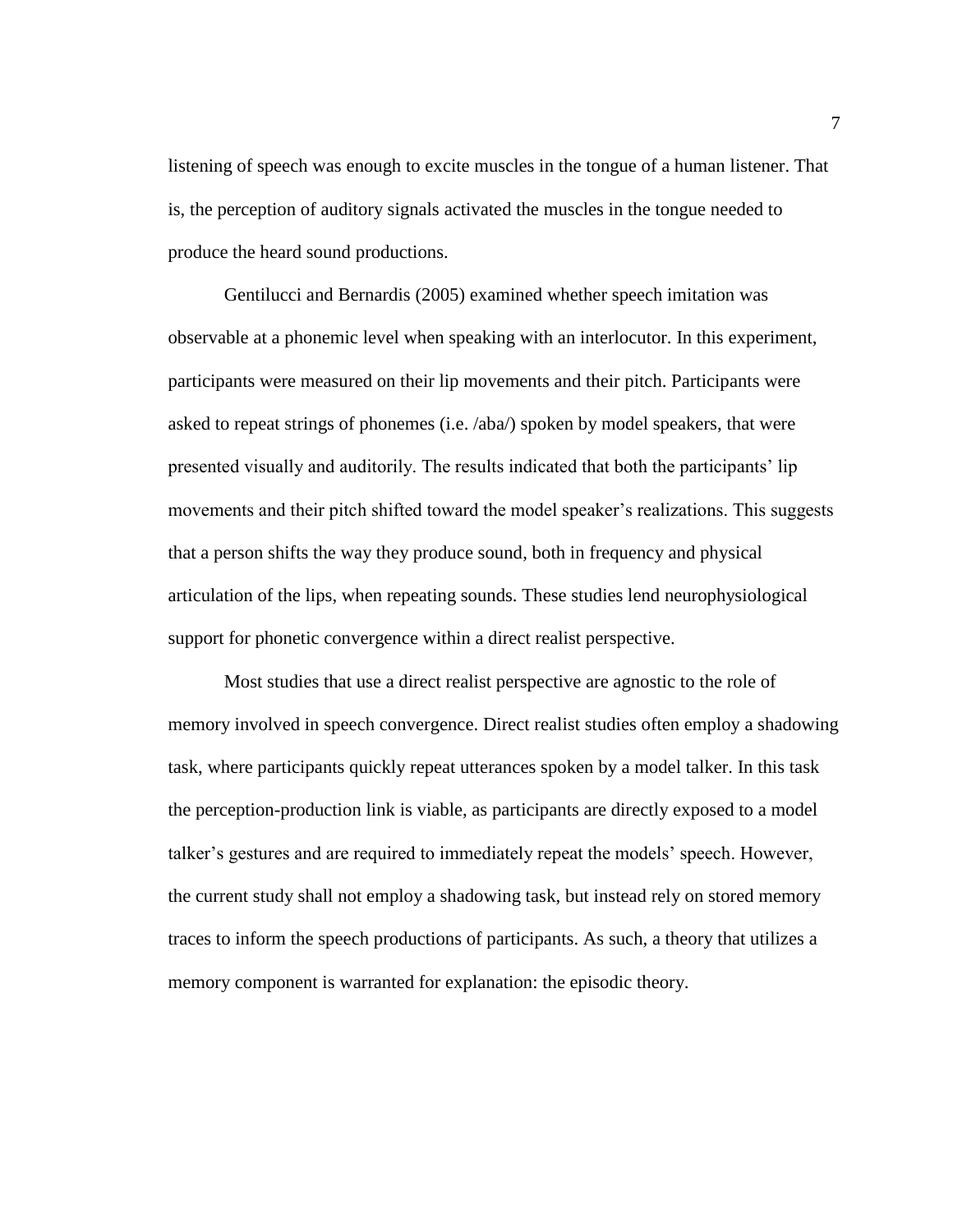listening of speech was enough to excite muscles in the tongue of a human listener. That is, the perception of auditory signals activated the muscles in the tongue needed to produce the heard sound productions.

Gentilucci and Bernardis (2005) examined whether speech imitation was observable at a phonemic level when speaking with an interlocutor. In this experiment, participants were measured on their lip movements and their pitch. Participants were asked to repeat strings of phonemes (i.e. /aba/) spoken by model speakers, that were presented visually and auditorily. The results indicated that both the participants' lip movements and their pitch shifted toward the model speaker's realizations. This suggests that a person shifts the way they produce sound, both in frequency and physical articulation of the lips, when repeating sounds. These studies lend neurophysiological support for phonetic convergence within a direct realist perspective.

Most studies that use a direct realist perspective are agnostic to the role of memory involved in speech convergence. Direct realist studies often employ a shadowing task, where participants quickly repeat utterances spoken by a model talker. In this task the perception-production link is viable, as participants are directly exposed to a model talker's gestures and are required to immediately repeat the models' speech. However, the current study shall not employ a shadowing task, but instead rely on stored memory traces to inform the speech productions of participants. As such, a theory that utilizes a memory component is warranted for explanation: the episodic theory.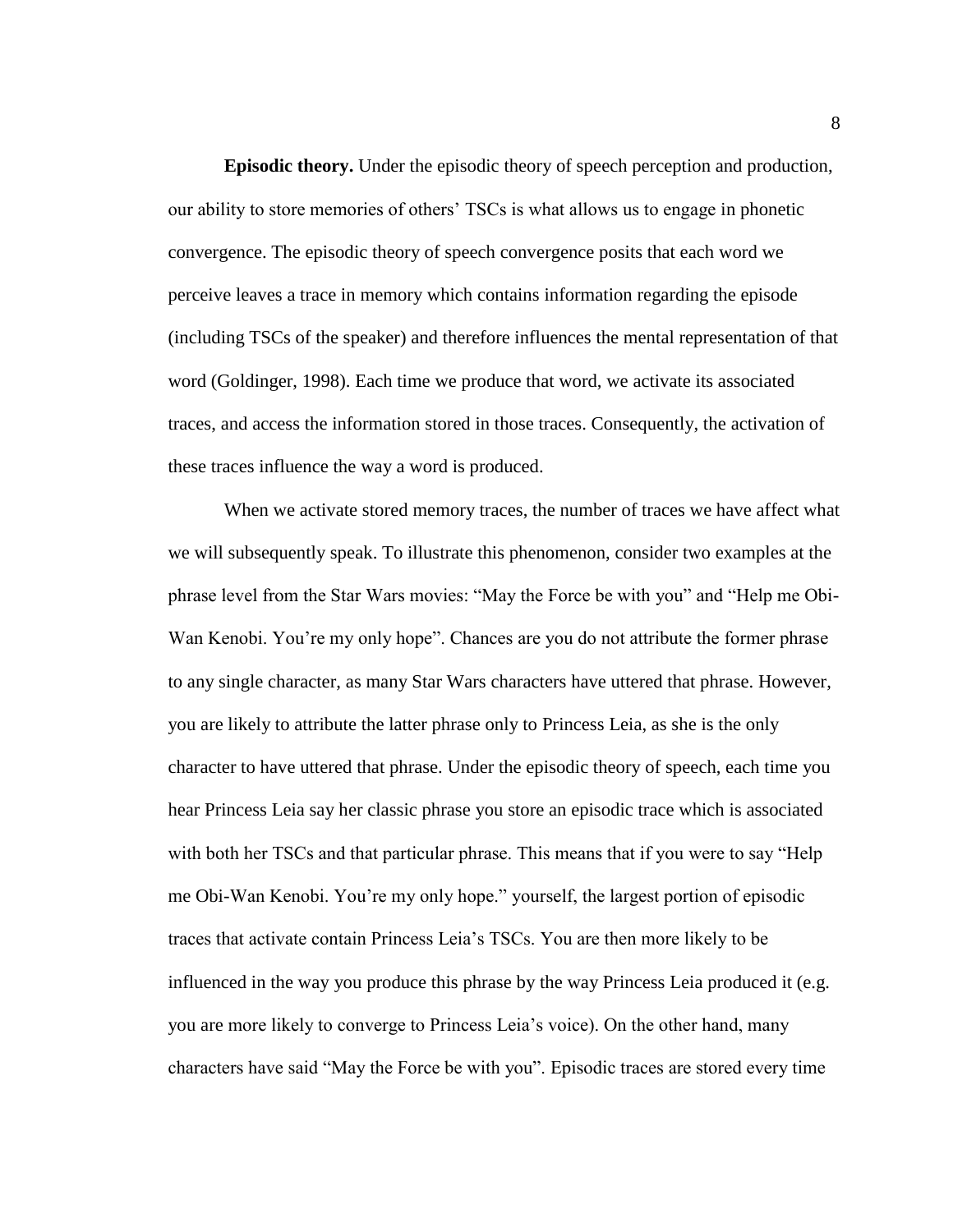<span id="page-14-0"></span>**Episodic theory.** Under the episodic theory of speech perception and production, our ability to store memories of others' TSCs is what allows us to engage in phonetic convergence. The episodic theory of speech convergence posits that each word we perceive leaves a trace in memory which contains information regarding the episode (including TSCs of the speaker) and therefore influences the mental representation of that word (Goldinger, 1998). Each time we produce that word, we activate its associated traces, and access the information stored in those traces. Consequently, the activation of these traces influence the way a word is produced.

When we activate stored memory traces, the number of traces we have affect what we will subsequently speak. To illustrate this phenomenon, consider two examples at the phrase level from the Star Wars movies: "May the Force be with you" and "Help me Obi-Wan Kenobi. You're my only hope". Chances are you do not attribute the former phrase to any single character, as many Star Wars characters have uttered that phrase. However, you are likely to attribute the latter phrase only to Princess Leia, as she is the only character to have uttered that phrase. Under the episodic theory of speech, each time you hear Princess Leia say her classic phrase you store an episodic trace which is associated with both her TSCs and that particular phrase. This means that if you were to say "Help me Obi-Wan Kenobi. You're my only hope." yourself, the largest portion of episodic traces that activate contain Princess Leia's TSCs. You are then more likely to be influenced in the way you produce this phrase by the way Princess Leia produced it (e.g. you are more likely to converge to Princess Leia's voice). On the other hand, many characters have said "May the Force be with you". Episodic traces are stored every time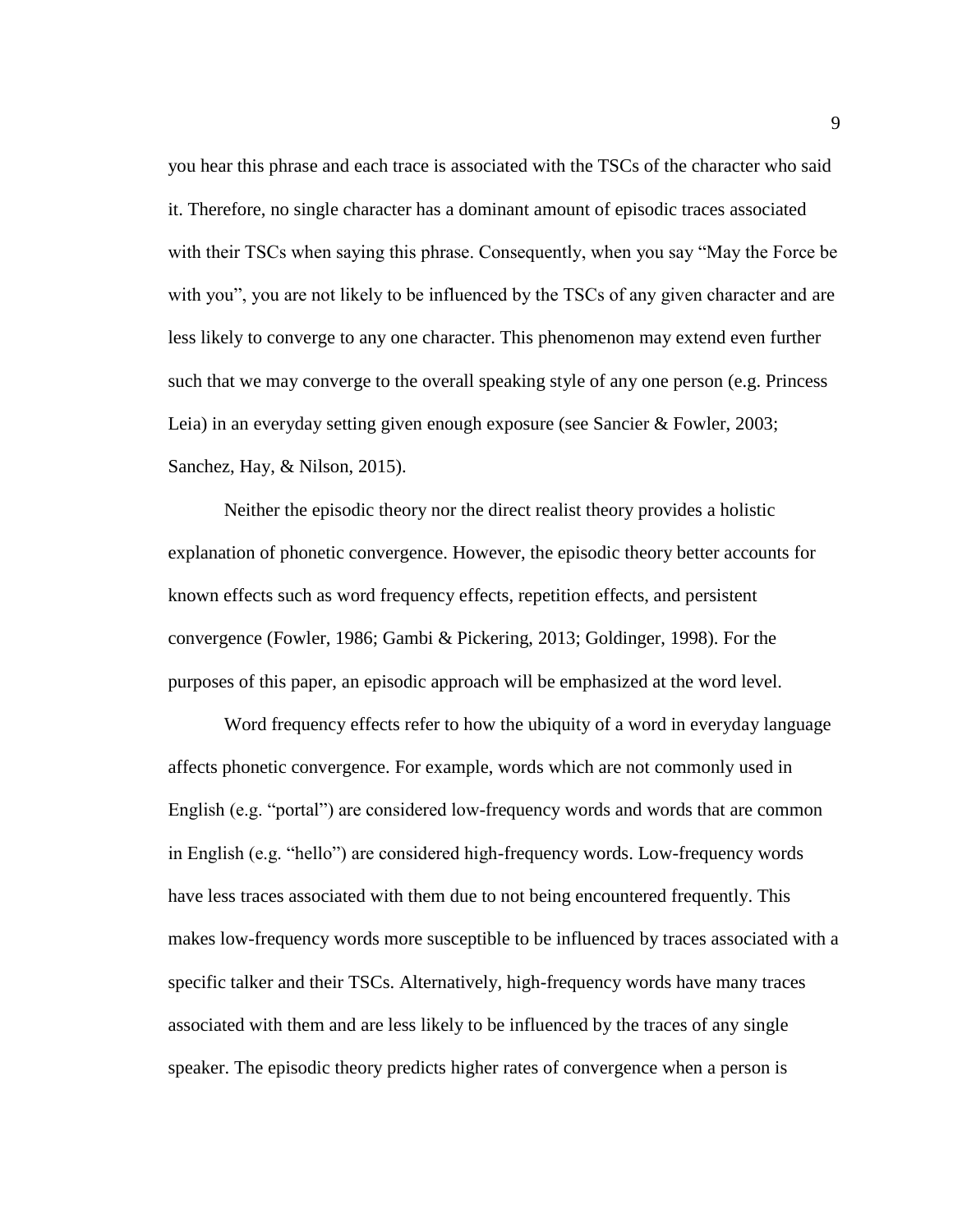you hear this phrase and each trace is associated with the TSCs of the character who said it. Therefore, no single character has a dominant amount of episodic traces associated with their TSCs when saying this phrase. Consequently, when you say "May the Force be with you", you are not likely to be influenced by the TSCs of any given character and are less likely to converge to any one character. This phenomenon may extend even further such that we may converge to the overall speaking style of any one person (e.g. Princess Leia) in an everyday setting given enough exposure (see Sancier & Fowler, 2003; Sanchez, Hay, & Nilson, 2015).

Neither the episodic theory nor the direct realist theory provides a holistic explanation of phonetic convergence. However, the episodic theory better accounts for known effects such as word frequency effects, repetition effects, and persistent convergence (Fowler, 1986; Gambi & Pickering, 2013; Goldinger, 1998). For the purposes of this paper, an episodic approach will be emphasized at the word level.

Word frequency effects refer to how the ubiquity of a word in everyday language affects phonetic convergence. For example, words which are not commonly used in English (e.g. "portal") are considered low-frequency words and words that are common in English (e.g. "hello") are considered high-frequency words. Low-frequency words have less traces associated with them due to not being encountered frequently. This makes low-frequency words more susceptible to be influenced by traces associated with a specific talker and their TSCs. Alternatively, high-frequency words have many traces associated with them and are less likely to be influenced by the traces of any single speaker. The episodic theory predicts higher rates of convergence when a person is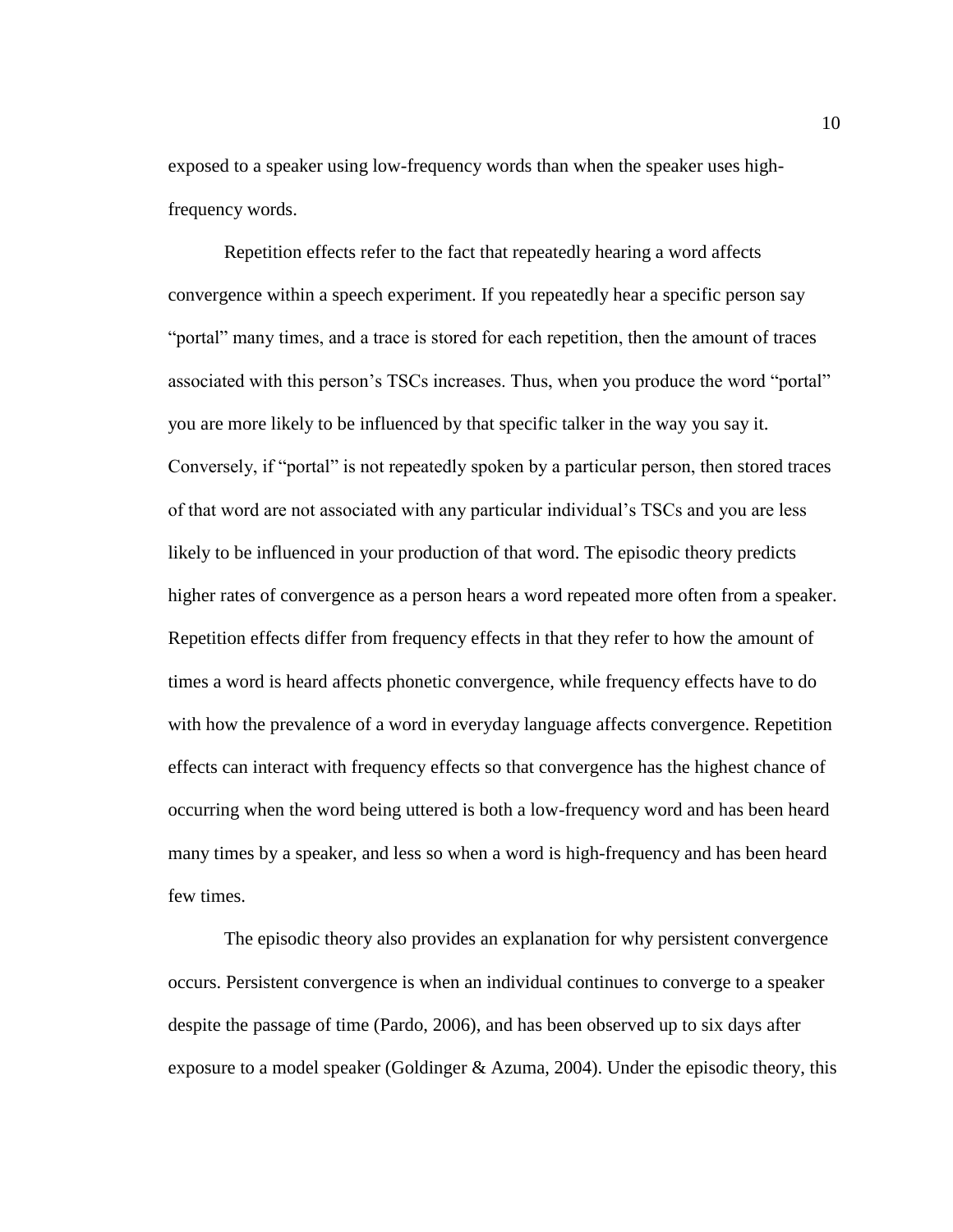exposed to a speaker using low-frequency words than when the speaker uses highfrequency words.

Repetition effects refer to the fact that repeatedly hearing a word affects convergence within a speech experiment. If you repeatedly hear a specific person say "portal" many times, and a trace is stored for each repetition, then the amount of traces associated with this person's TSCs increases. Thus, when you produce the word "portal" you are more likely to be influenced by that specific talker in the way you say it. Conversely, if "portal" is not repeatedly spoken by a particular person, then stored traces of that word are not associated with any particular individual's TSCs and you are less likely to be influenced in your production of that word. The episodic theory predicts higher rates of convergence as a person hears a word repeated more often from a speaker. Repetition effects differ from frequency effects in that they refer to how the amount of times a word is heard affects phonetic convergence, while frequency effects have to do with how the prevalence of a word in everyday language affects convergence. Repetition effects can interact with frequency effects so that convergence has the highest chance of occurring when the word being uttered is both a low-frequency word and has been heard many times by a speaker, and less so when a word is high-frequency and has been heard few times.

The episodic theory also provides an explanation for why persistent convergence occurs. Persistent convergence is when an individual continues to converge to a speaker despite the passage of time (Pardo, 2006), and has been observed up to six days after exposure to a model speaker (Goldinger & Azuma, 2004). Under the episodic theory, this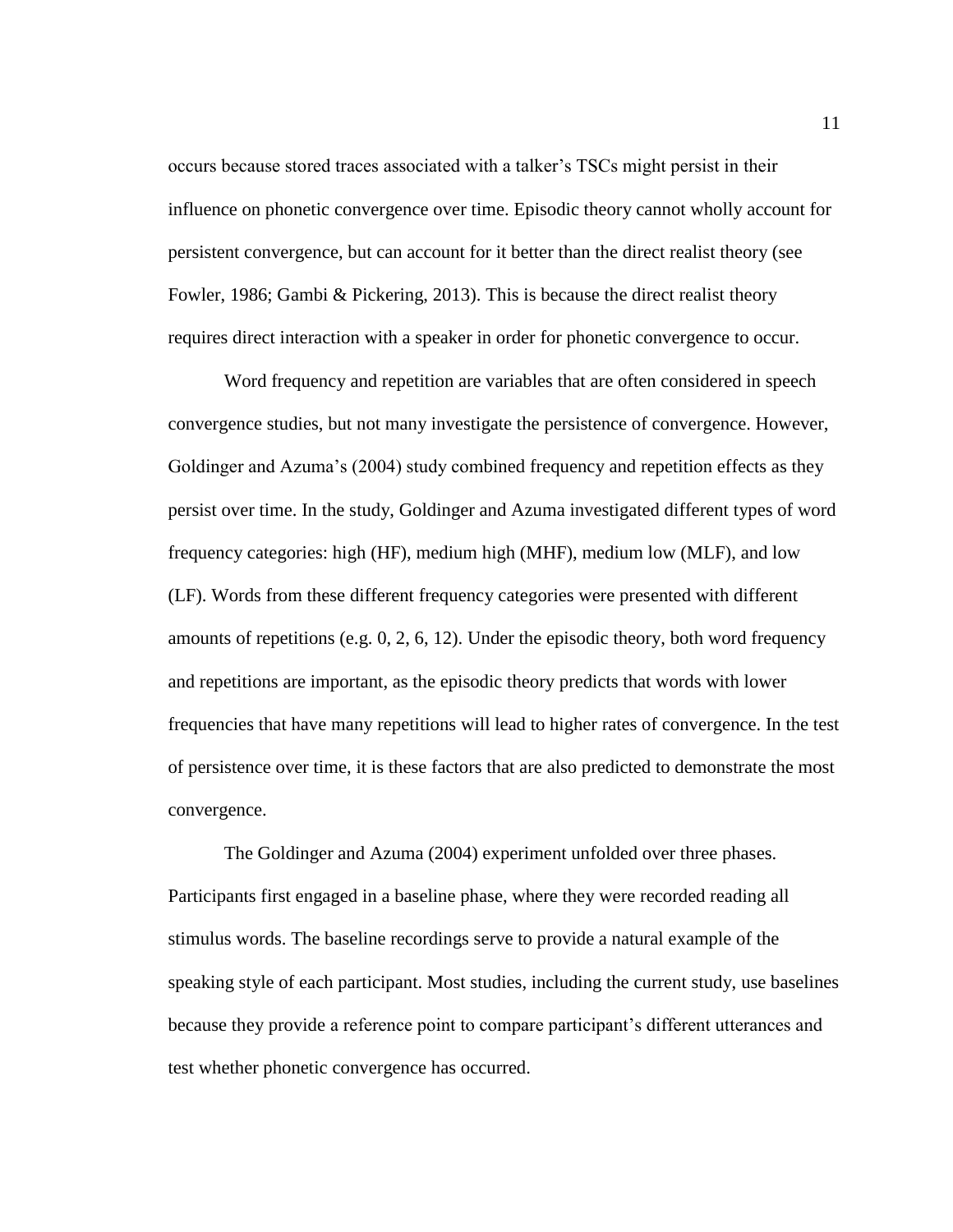occurs because stored traces associated with a talker's TSCs might persist in their influence on phonetic convergence over time. Episodic theory cannot wholly account for persistent convergence, but can account for it better than the direct realist theory (see Fowler, 1986; Gambi & Pickering, 2013). This is because the direct realist theory requires direct interaction with a speaker in order for phonetic convergence to occur.

Word frequency and repetition are variables that are often considered in speech convergence studies, but not many investigate the persistence of convergence. However, Goldinger and Azuma's (2004) study combined frequency and repetition effects as they persist over time. In the study, Goldinger and Azuma investigated different types of word frequency categories: high (HF), medium high (MHF), medium low (MLF), and low (LF). Words from these different frequency categories were presented with different amounts of repetitions (e.g. 0, 2, 6, 12). Under the episodic theory, both word frequency and repetitions are important, as the episodic theory predicts that words with lower frequencies that have many repetitions will lead to higher rates of convergence. In the test of persistence over time, it is these factors that are also predicted to demonstrate the most convergence.

The Goldinger and Azuma (2004) experiment unfolded over three phases. Participants first engaged in a baseline phase, where they were recorded reading all stimulus words. The baseline recordings serve to provide a natural example of the speaking style of each participant. Most studies, including the current study, use baselines because they provide a reference point to compare participant's different utterances and test whether phonetic convergence has occurred.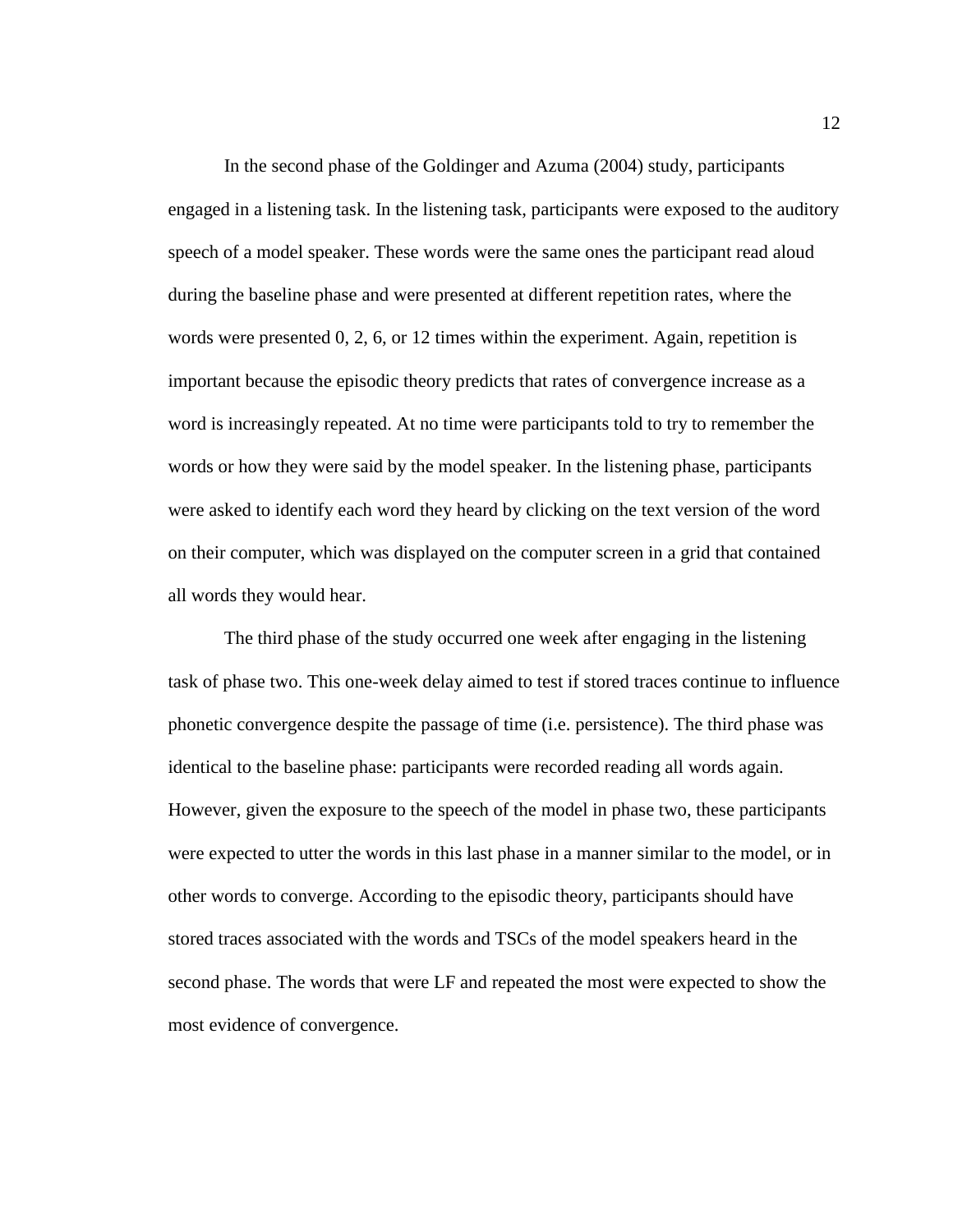In the second phase of the Goldinger and Azuma (2004) study, participants engaged in a listening task. In the listening task, participants were exposed to the auditory speech of a model speaker. These words were the same ones the participant read aloud during the baseline phase and were presented at different repetition rates, where the words were presented 0, 2, 6, or 12 times within the experiment. Again, repetition is important because the episodic theory predicts that rates of convergence increase as a word is increasingly repeated. At no time were participants told to try to remember the words or how they were said by the model speaker. In the listening phase, participants were asked to identify each word they heard by clicking on the text version of the word on their computer, which was displayed on the computer screen in a grid that contained all words they would hear.

The third phase of the study occurred one week after engaging in the listening task of phase two. This one-week delay aimed to test if stored traces continue to influence phonetic convergence despite the passage of time (i.e. persistence). The third phase was identical to the baseline phase: participants were recorded reading all words again. However, given the exposure to the speech of the model in phase two, these participants were expected to utter the words in this last phase in a manner similar to the model, or in other words to converge. According to the episodic theory, participants should have stored traces associated with the words and TSCs of the model speakers heard in the second phase. The words that were LF and repeated the most were expected to show the most evidence of convergence.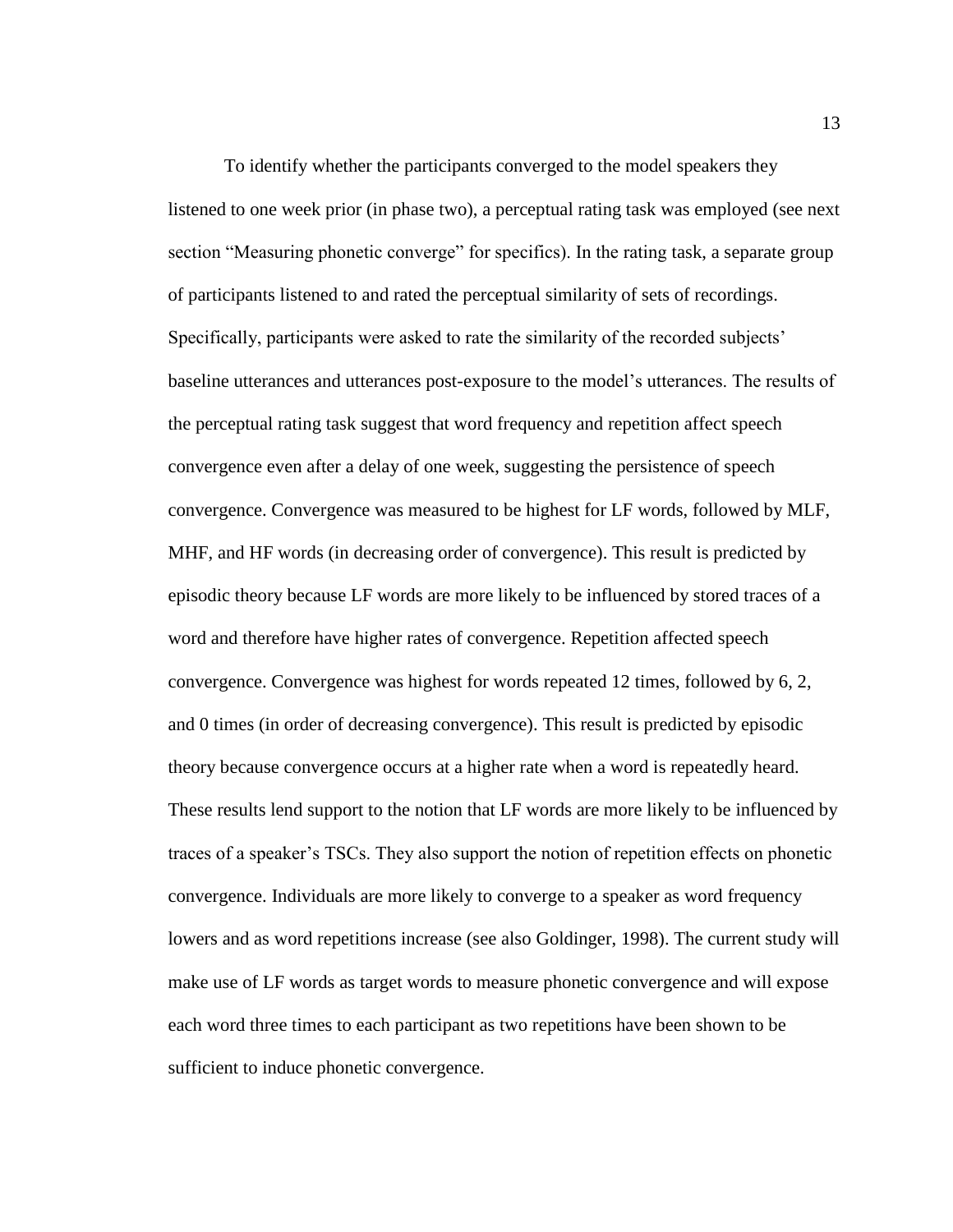To identify whether the participants converged to the model speakers they listened to one week prior (in phase two), a perceptual rating task was employed (see next section "Measuring phonetic converge" for specifics). In the rating task, a separate group of participants listened to and rated the perceptual similarity of sets of recordings. Specifically, participants were asked to rate the similarity of the recorded subjects' baseline utterances and utterances post-exposure to the model's utterances. The results of the perceptual rating task suggest that word frequency and repetition affect speech convergence even after a delay of one week, suggesting the persistence of speech convergence. Convergence was measured to be highest for LF words, followed by MLF, MHF, and HF words (in decreasing order of convergence). This result is predicted by episodic theory because LF words are more likely to be influenced by stored traces of a word and therefore have higher rates of convergence. Repetition affected speech convergence. Convergence was highest for words repeated 12 times, followed by 6, 2, and 0 times (in order of decreasing convergence). This result is predicted by episodic theory because convergence occurs at a higher rate when a word is repeatedly heard. These results lend support to the notion that LF words are more likely to be influenced by traces of a speaker's TSCs. They also support the notion of repetition effects on phonetic convergence. Individuals are more likely to converge to a speaker as word frequency lowers and as word repetitions increase (see also Goldinger, 1998). The current study will make use of LF words as target words to measure phonetic convergence and will expose each word three times to each participant as two repetitions have been shown to be sufficient to induce phonetic convergence.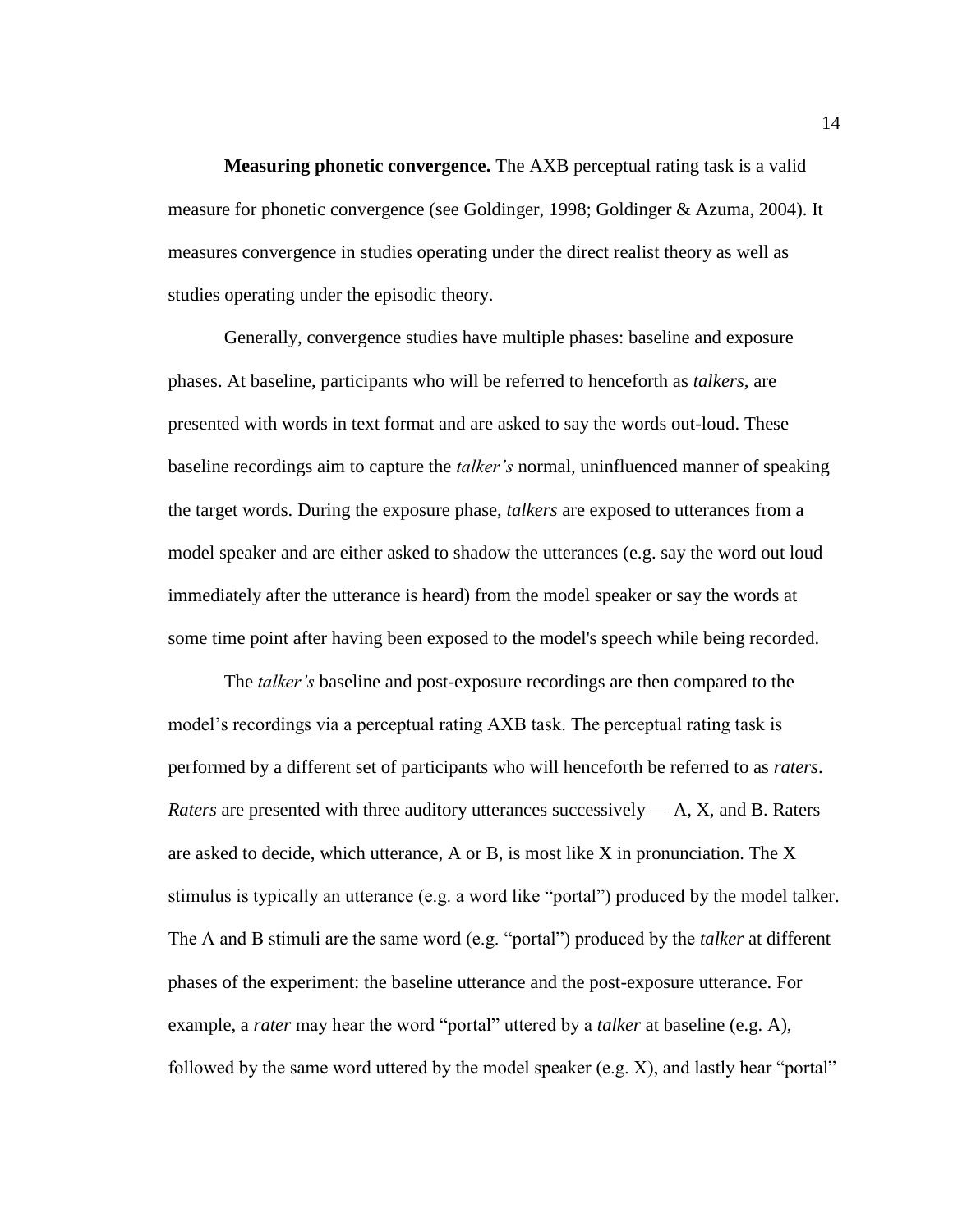<span id="page-20-0"></span>**Measuring phonetic convergence.** The AXB perceptual rating task is a valid measure for phonetic convergence (see Goldinger, 1998; Goldinger & Azuma, 2004). It measures convergence in studies operating under the direct realist theory as well as studies operating under the episodic theory.

Generally, convergence studies have multiple phases: baseline and exposure phases. At baseline, participants who will be referred to henceforth as *talkers,* are presented with words in text format and are asked to say the words out-loud. These baseline recordings aim to capture the *talker's* normal, uninfluenced manner of speaking the target words. During the exposure phase, *talkers* are exposed to utterances from a model speaker and are either asked to shadow the utterances (e.g. say the word out loud immediately after the utterance is heard) from the model speaker or say the words at some time point after having been exposed to the model's speech while being recorded.

The *talker's* baseline and post-exposure recordings are then compared to the model's recordings via a perceptual rating AXB task. The perceptual rating task is performed by a different set of participants who will henceforth be referred to as *raters*. *Raters* are presented with three auditory utterances successively — A, X, and B. Raters are asked to decide, which utterance, A or B, is most like X in pronunciation. The X stimulus is typically an utterance (e.g. a word like "portal") produced by the model talker. The A and B stimuli are the same word (e.g. "portal") produced by the *talker* at different phases of the experiment: the baseline utterance and the post-exposure utterance. For example, a *rater* may hear the word "portal" uttered by a *talker* at baseline (e.g. A), followed by the same word uttered by the model speaker (e.g. X), and lastly hear "portal"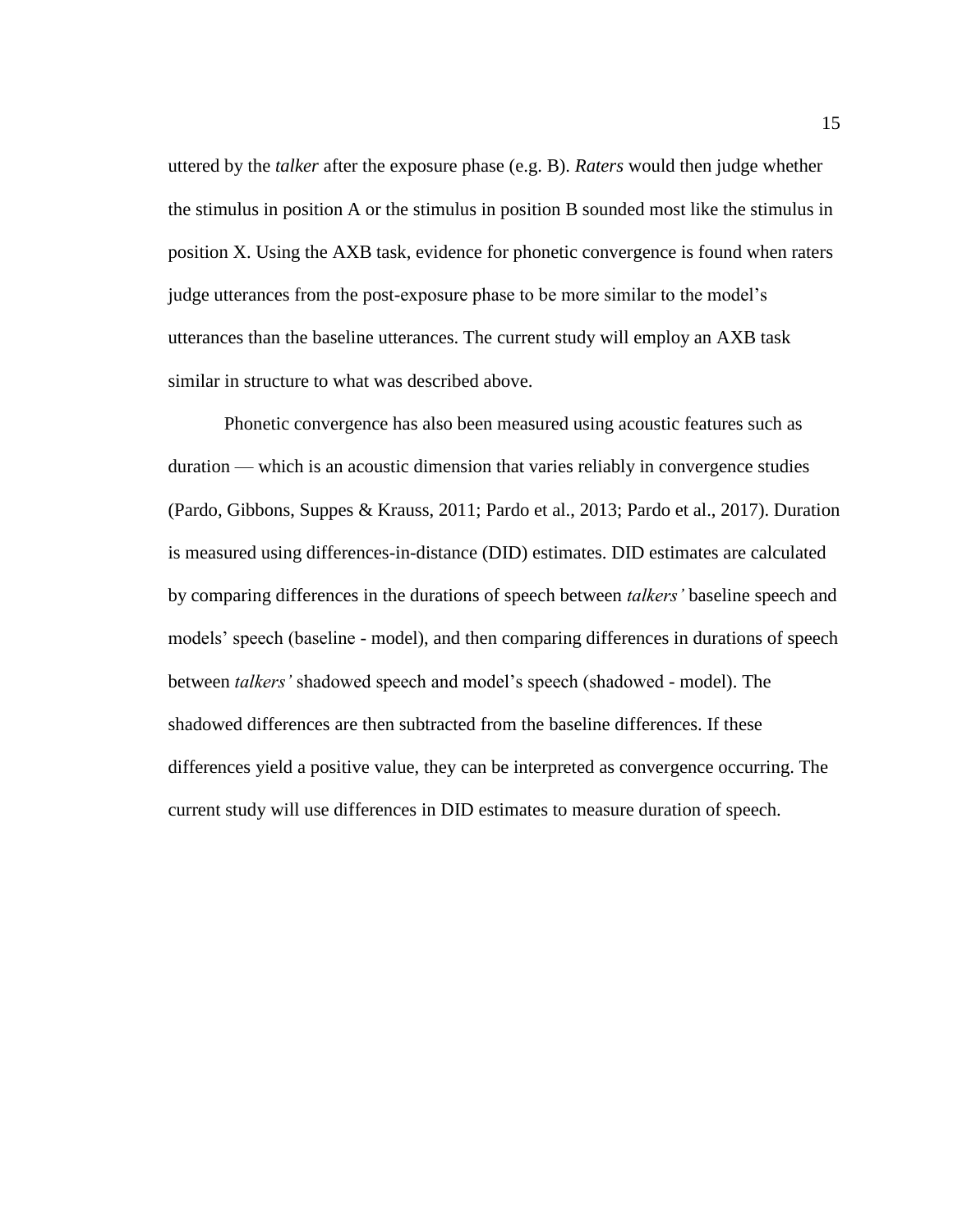uttered by the *talker* after the exposure phase (e.g. B). *Raters* would then judge whether the stimulus in position A or the stimulus in position B sounded most like the stimulus in position X. Using the AXB task, evidence for phonetic convergence is found when raters judge utterances from the post-exposure phase to be more similar to the model's utterances than the baseline utterances. The current study will employ an AXB task similar in structure to what was described above.

Phonetic convergence has also been measured using acoustic features such as duration — which is an acoustic dimension that varies reliably in convergence studies (Pardo, Gibbons, Suppes & Krauss, 2011; Pardo et al., 2013; Pardo et al., 2017). Duration is measured using differences-in-distance (DID) estimates. DID estimates are calculated by comparing differences in the durations of speech between *talkers'* baseline speech and models' speech (baseline - model), and then comparing differences in durations of speech between *talkers'* shadowed speech and model's speech (shadowed - model). The shadowed differences are then subtracted from the baseline differences. If these differences yield a positive value, they can be interpreted as convergence occurring. The current study will use differences in DID estimates to measure duration of speech.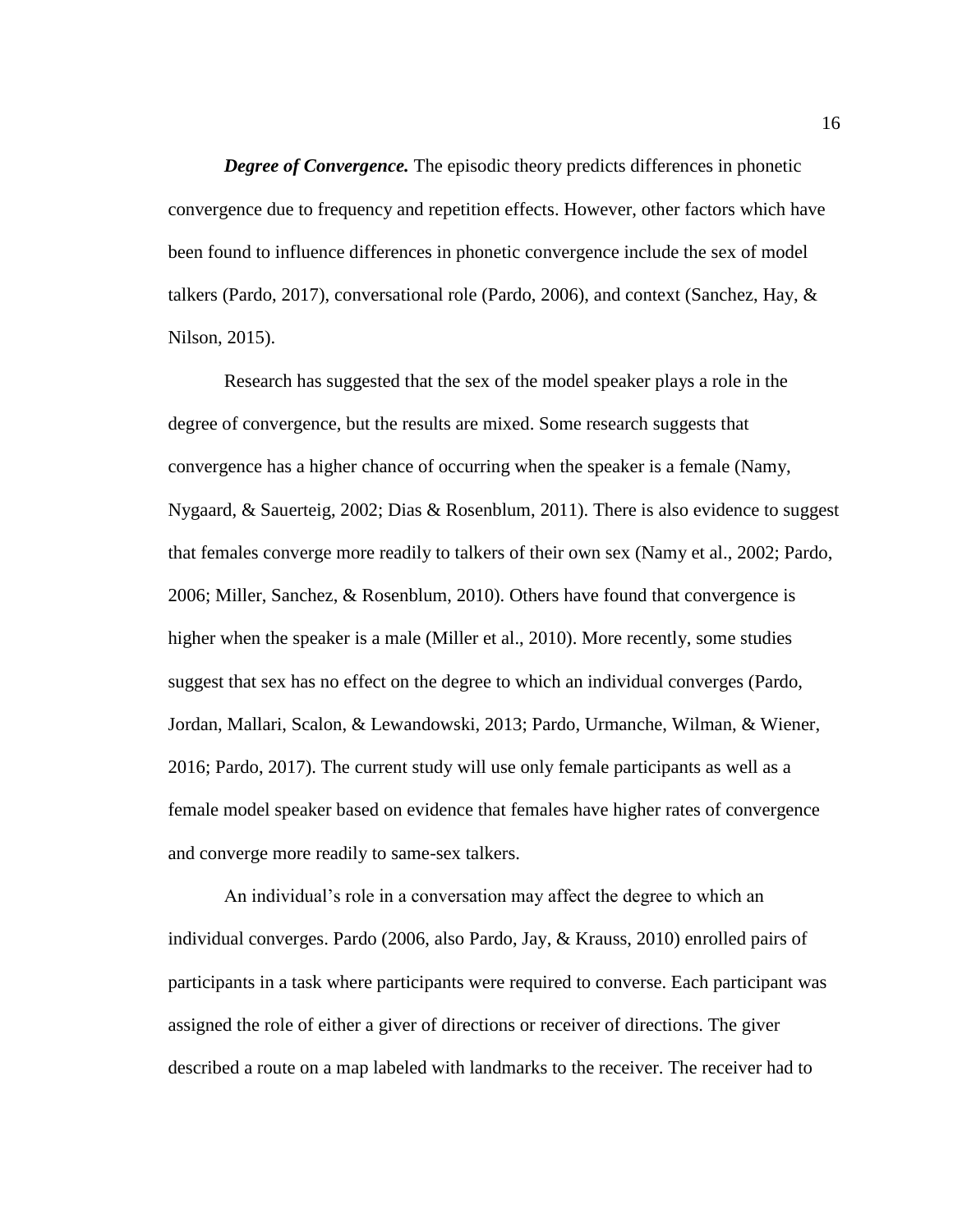*Degree of Convergence.* The episodic theory predicts differences in phonetic convergence due to frequency and repetition effects. However, other factors which have been found to influence differences in phonetic convergence include the sex of model talkers (Pardo, 2017), conversational role (Pardo, 2006), and context (Sanchez, Hay, & Nilson, 2015).

Research has suggested that the sex of the model speaker plays a role in the degree of convergence, but the results are mixed. Some research suggests that convergence has a higher chance of occurring when the speaker is a female (Namy, Nygaard, & Sauerteig, 2002; Dias & Rosenblum, 2011). There is also evidence to suggest that females converge more readily to talkers of their own sex (Namy et al., 2002; Pardo, 2006; Miller, Sanchez, & Rosenblum, 2010). Others have found that convergence is higher when the speaker is a male (Miller et al., 2010). More recently, some studies suggest that sex has no effect on the degree to which an individual converges (Pardo, Jordan, Mallari, Scalon, & Lewandowski, 2013; Pardo, Urmanche, Wilman, & Wiener, 2016; Pardo, 2017). The current study will use only female participants as well as a female model speaker based on evidence that females have higher rates of convergence and converge more readily to same-sex talkers.

An individual's role in a conversation may affect the degree to which an individual converges. Pardo (2006, also Pardo, Jay, & Krauss, 2010) enrolled pairs of participants in a task where participants were required to converse. Each participant was assigned the role of either a giver of directions or receiver of directions. The giver described a route on a map labeled with landmarks to the receiver. The receiver had to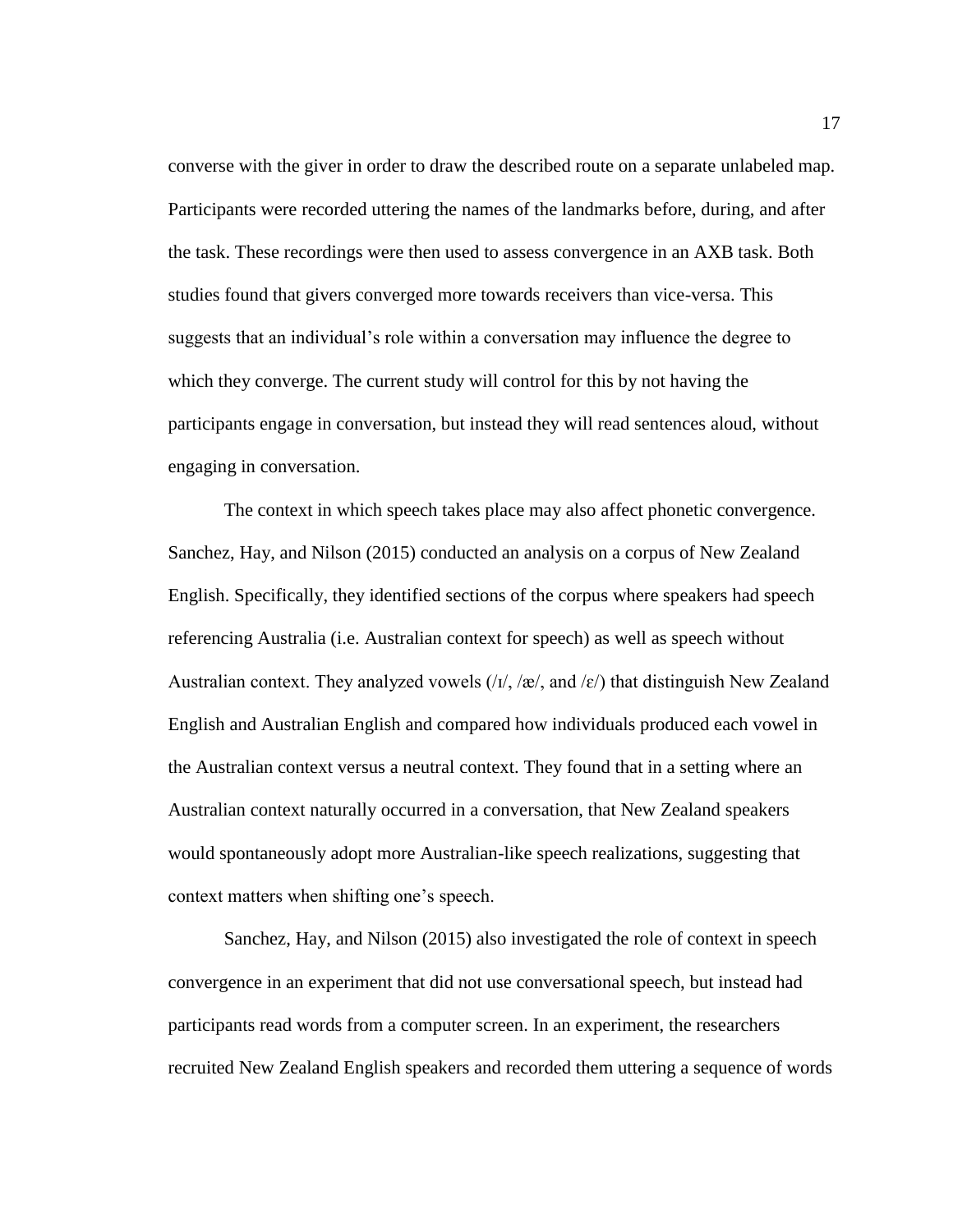converse with the giver in order to draw the described route on a separate unlabeled map. Participants were recorded uttering the names of the landmarks before, during, and after the task. These recordings were then used to assess convergence in an AXB task. Both studies found that givers converged more towards receivers than vice-versa. This suggests that an individual's role within a conversation may influence the degree to which they converge. The current study will control for this by not having the participants engage in conversation, but instead they will read sentences aloud, without engaging in conversation.

The context in which speech takes place may also affect phonetic convergence. Sanchez, Hay, and Nilson (2015) conducted an analysis on a corpus of New Zealand English. Specifically, they identified sections of the corpus where speakers had speech referencing Australia (i.e. Australian context for speech) as well as speech without Australian context. They analyzed vowels  $\langle \frac{1}{\lambda}, \frac{1}{\alpha}, \alpha \rangle$  that distinguish New Zealand English and Australian English and compared how individuals produced each vowel in the Australian context versus a neutral context. They found that in a setting where an Australian context naturally occurred in a conversation, that New Zealand speakers would spontaneously adopt more Australian-like speech realizations, suggesting that context matters when shifting one's speech.

Sanchez, Hay, and Nilson (2015) also investigated the role of context in speech convergence in an experiment that did not use conversational speech, but instead had participants read words from a computer screen. In an experiment, the researchers recruited New Zealand English speakers and recorded them uttering a sequence of words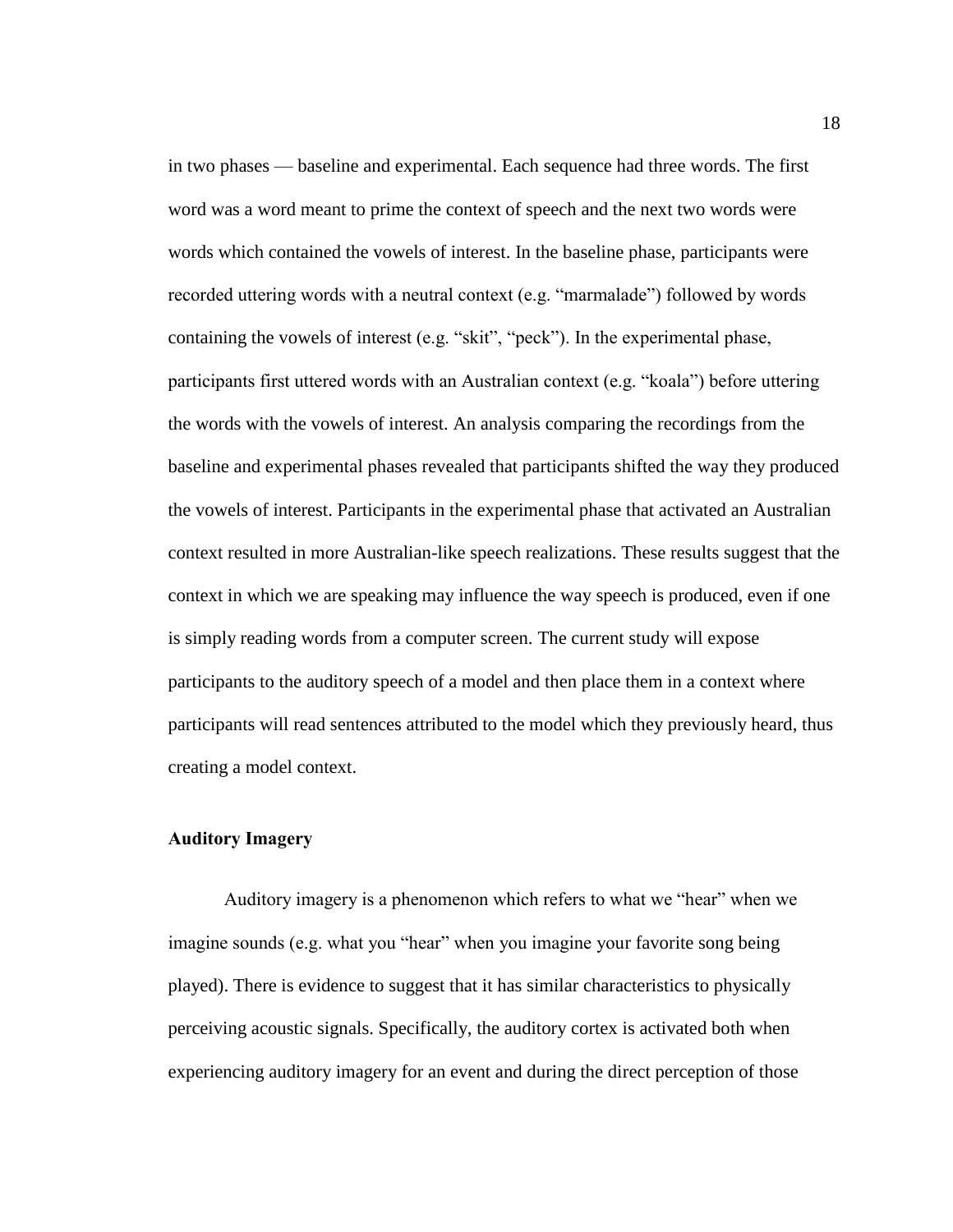in two phases — baseline and experimental. Each sequence had three words. The first word was a word meant to prime the context of speech and the next two words were words which contained the vowels of interest. In the baseline phase, participants were recorded uttering words with a neutral context (e.g. "marmalade") followed by words containing the vowels of interest (e.g. "skit", "peck"). In the experimental phase, participants first uttered words with an Australian context (e.g. "koala") before uttering the words with the vowels of interest. An analysis comparing the recordings from the baseline and experimental phases revealed that participants shifted the way they produced the vowels of interest. Participants in the experimental phase that activated an Australian context resulted in more Australian-like speech realizations. These results suggest that the context in which we are speaking may influence the way speech is produced, even if one is simply reading words from a computer screen. The current study will expose participants to the auditory speech of a model and then place them in a context where participants will read sentences attributed to the model which they previously heard, thus creating a model context.

# <span id="page-24-0"></span>**Auditory Imagery**

Auditory imagery is a phenomenon which refers to what we "hear" when we imagine sounds (e.g. what you "hear" when you imagine your favorite song being played). There is evidence to suggest that it has similar characteristics to physically perceiving acoustic signals. Specifically, the auditory cortex is activated both when experiencing auditory imagery for an event and during the direct perception of those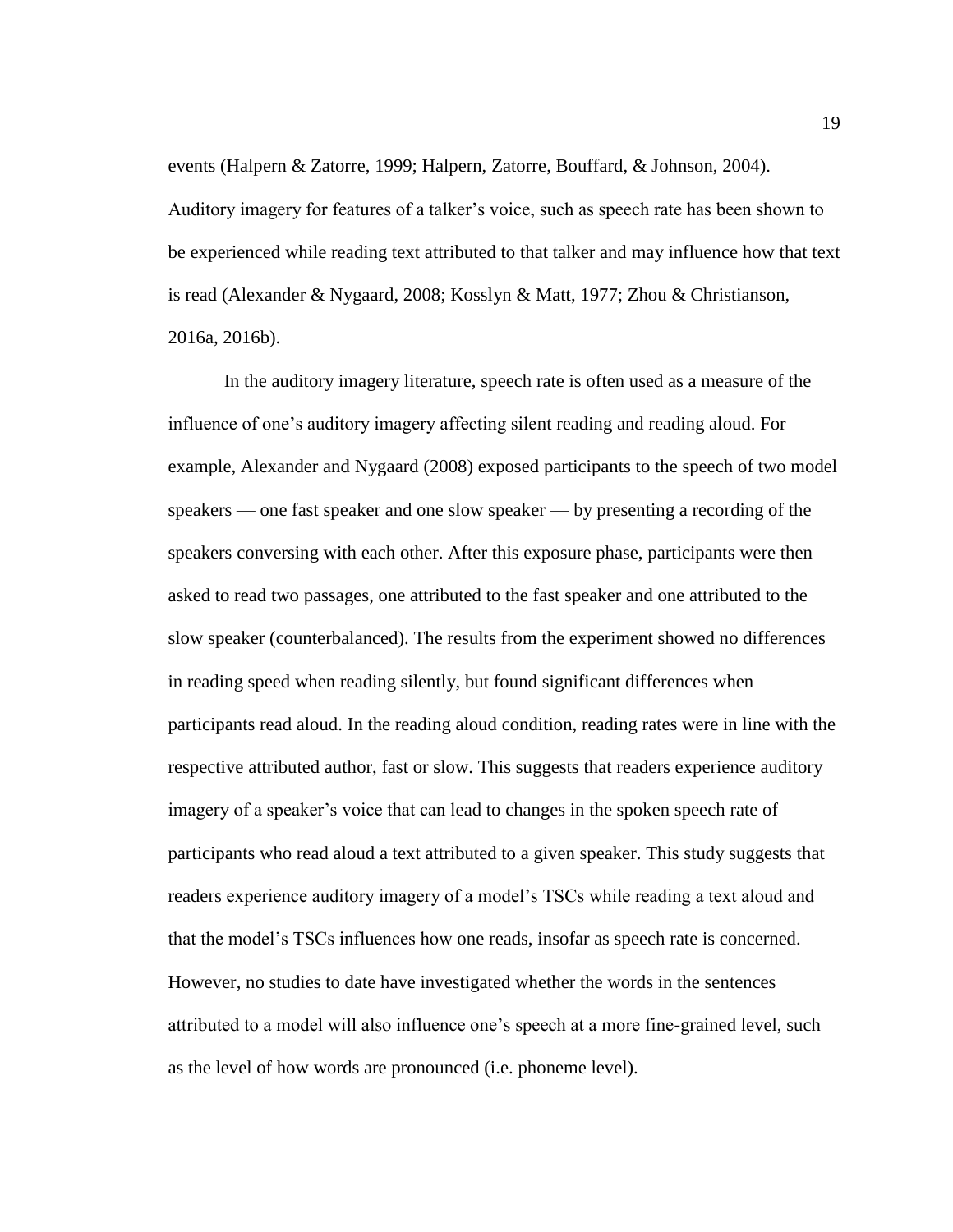events (Halpern & Zatorre, 1999; Halpern, Zatorre, Bouffard, & Johnson, 2004). Auditory imagery for features of a talker's voice, such as speech rate has been shown to be experienced while reading text attributed to that talker and may influence how that text is read (Alexander & Nygaard, 2008; Kosslyn & Matt, 1977; Zhou & Christianson, 2016a, 2016b).

In the auditory imagery literature, speech rate is often used as a measure of the influence of one's auditory imagery affecting silent reading and reading aloud. For example, Alexander and Nygaard (2008) exposed participants to the speech of two model speakers — one fast speaker and one slow speaker — by presenting a recording of the speakers conversing with each other. After this exposure phase, participants were then asked to read two passages, one attributed to the fast speaker and one attributed to the slow speaker (counterbalanced). The results from the experiment showed no differences in reading speed when reading silently, but found significant differences when participants read aloud. In the reading aloud condition, reading rates were in line with the respective attributed author, fast or slow. This suggests that readers experience auditory imagery of a speaker's voice that can lead to changes in the spoken speech rate of participants who read aloud a text attributed to a given speaker. This study suggests that readers experience auditory imagery of a model's TSCs while reading a text aloud and that the model's TSCs influences how one reads, insofar as speech rate is concerned. However, no studies to date have investigated whether the words in the sentences attributed to a model will also influence one's speech at a more fine-grained level, such as the level of how words are pronounced (i.e. phoneme level).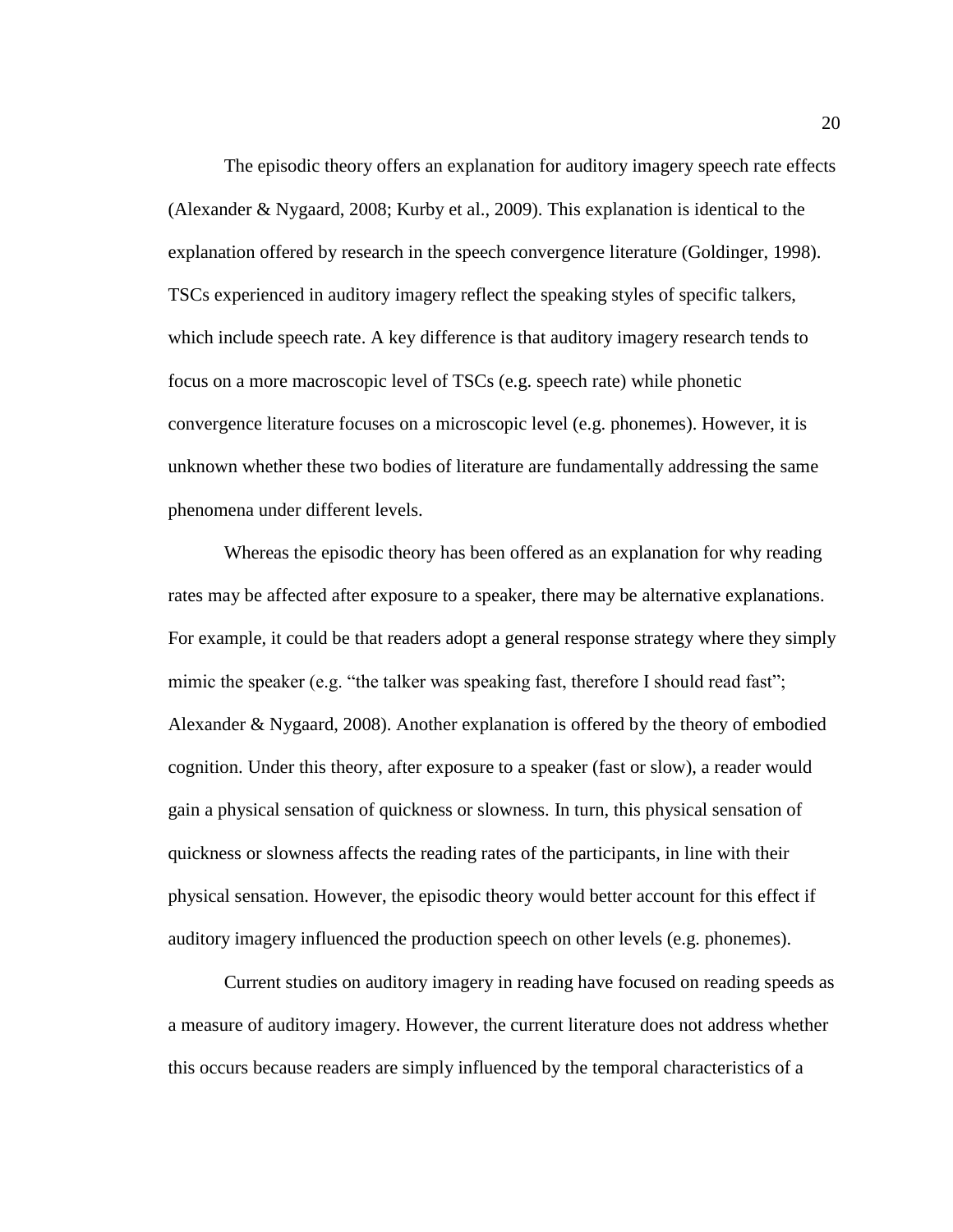The episodic theory offers an explanation for auditory imagery speech rate effects (Alexander & Nygaard, 2008; Kurby et al., 2009). This explanation is identical to the explanation offered by research in the speech convergence literature (Goldinger, 1998). TSCs experienced in auditory imagery reflect the speaking styles of specific talkers, which include speech rate. A key difference is that auditory imagery research tends to focus on a more macroscopic level of TSCs (e.g. speech rate) while phonetic convergence literature focuses on a microscopic level (e.g. phonemes). However, it is unknown whether these two bodies of literature are fundamentally addressing the same phenomena under different levels.

Whereas the episodic theory has been offered as an explanation for why reading rates may be affected after exposure to a speaker, there may be alternative explanations. For example, it could be that readers adopt a general response strategy where they simply mimic the speaker (e.g. "the talker was speaking fast, therefore I should read fast"; Alexander & Nygaard, 2008). Another explanation is offered by the theory of embodied cognition. Under this theory, after exposure to a speaker (fast or slow), a reader would gain a physical sensation of quickness or slowness. In turn, this physical sensation of quickness or slowness affects the reading rates of the participants, in line with their physical sensation. However, the episodic theory would better account for this effect if auditory imagery influenced the production speech on other levels (e.g. phonemes).

Current studies on auditory imagery in reading have focused on reading speeds as a measure of auditory imagery. However, the current literature does not address whether this occurs because readers are simply influenced by the temporal characteristics of a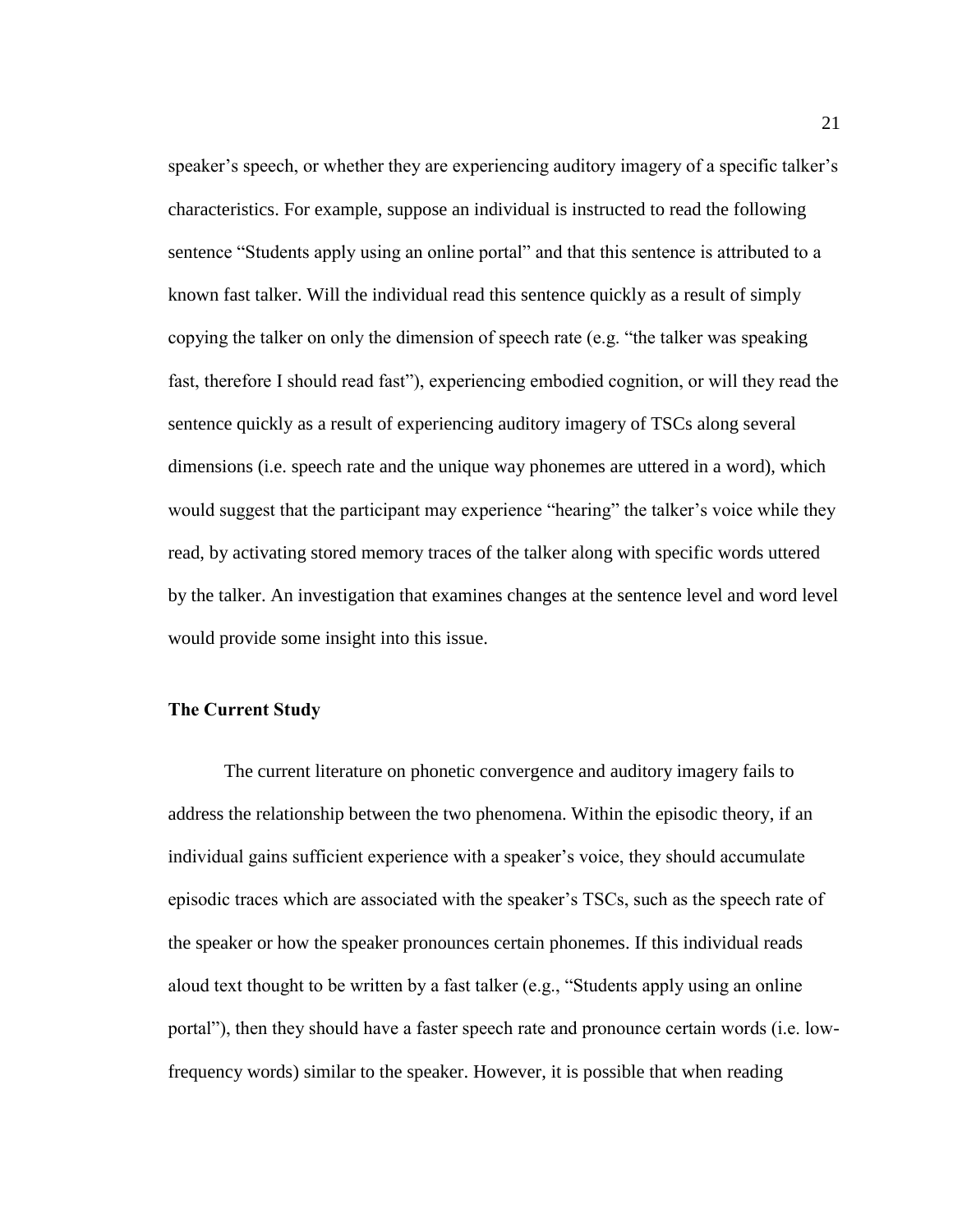speaker's speech, or whether they are experiencing auditory imagery of a specific talker's characteristics. For example, suppose an individual is instructed to read the following sentence "Students apply using an online portal" and that this sentence is attributed to a known fast talker. Will the individual read this sentence quickly as a result of simply copying the talker on only the dimension of speech rate (e.g. "the talker was speaking fast, therefore I should read fast"), experiencing embodied cognition, or will they read the sentence quickly as a result of experiencing auditory imagery of TSCs along several dimensions (i.e. speech rate and the unique way phonemes are uttered in a word), which would suggest that the participant may experience "hearing" the talker's voice while they read, by activating stored memory traces of the talker along with specific words uttered by the talker. An investigation that examines changes at the sentence level and word level would provide some insight into this issue.

# <span id="page-27-0"></span>**The Current Study**

The current literature on phonetic convergence and auditory imagery fails to address the relationship between the two phenomena. Within the episodic theory, if an individual gains sufficient experience with a speaker's voice, they should accumulate episodic traces which are associated with the speaker's TSCs, such as the speech rate of the speaker or how the speaker pronounces certain phonemes. If this individual reads aloud text thought to be written by a fast talker (e.g., "Students apply using an online portal"), then they should have a faster speech rate and pronounce certain words (i.e. lowfrequency words) similar to the speaker. However, it is possible that when reading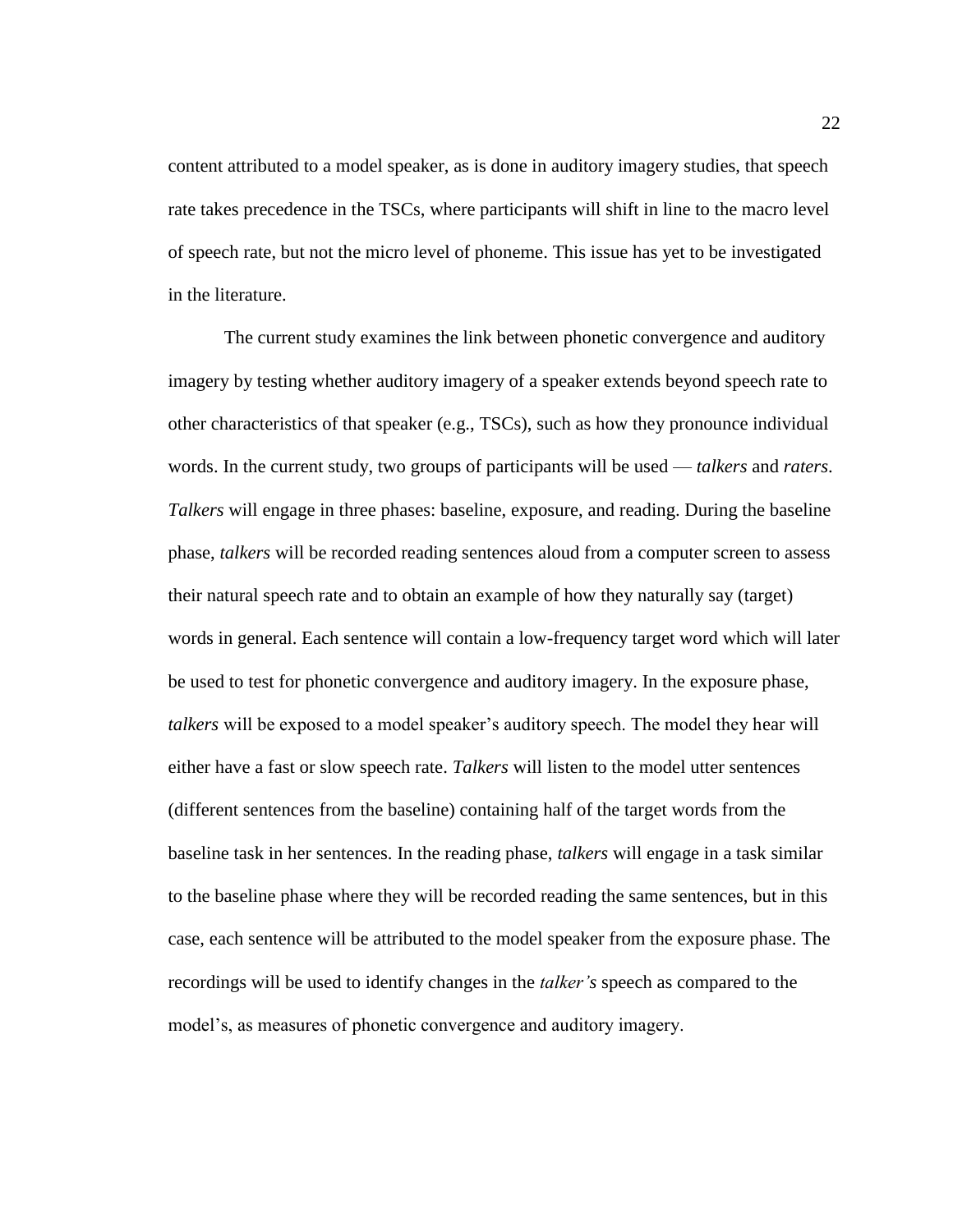content attributed to a model speaker, as is done in auditory imagery studies, that speech rate takes precedence in the TSCs, where participants will shift in line to the macro level of speech rate, but not the micro level of phoneme. This issue has yet to be investigated in the literature.

The current study examines the link between phonetic convergence and auditory imagery by testing whether auditory imagery of a speaker extends beyond speech rate to other characteristics of that speaker (e.g., TSCs), such as how they pronounce individual words. In the current study, two groups of participants will be used — *talkers* and *raters*. *Talkers* will engage in three phases: baseline, exposure, and reading. During the baseline phase, *talkers* will be recorded reading sentences aloud from a computer screen to assess their natural speech rate and to obtain an example of how they naturally say (target) words in general. Each sentence will contain a low-frequency target word which will later be used to test for phonetic convergence and auditory imagery. In the exposure phase, *talkers* will be exposed to a model speaker's auditory speech. The model they hear will either have a fast or slow speech rate. *Talkers* will listen to the model utter sentences (different sentences from the baseline) containing half of the target words from the baseline task in her sentences. In the reading phase, *talkers* will engage in a task similar to the baseline phase where they will be recorded reading the same sentences, but in this case, each sentence will be attributed to the model speaker from the exposure phase. The recordings will be used to identify changes in the *talker's* speech as compared to the model's, as measures of phonetic convergence and auditory imagery.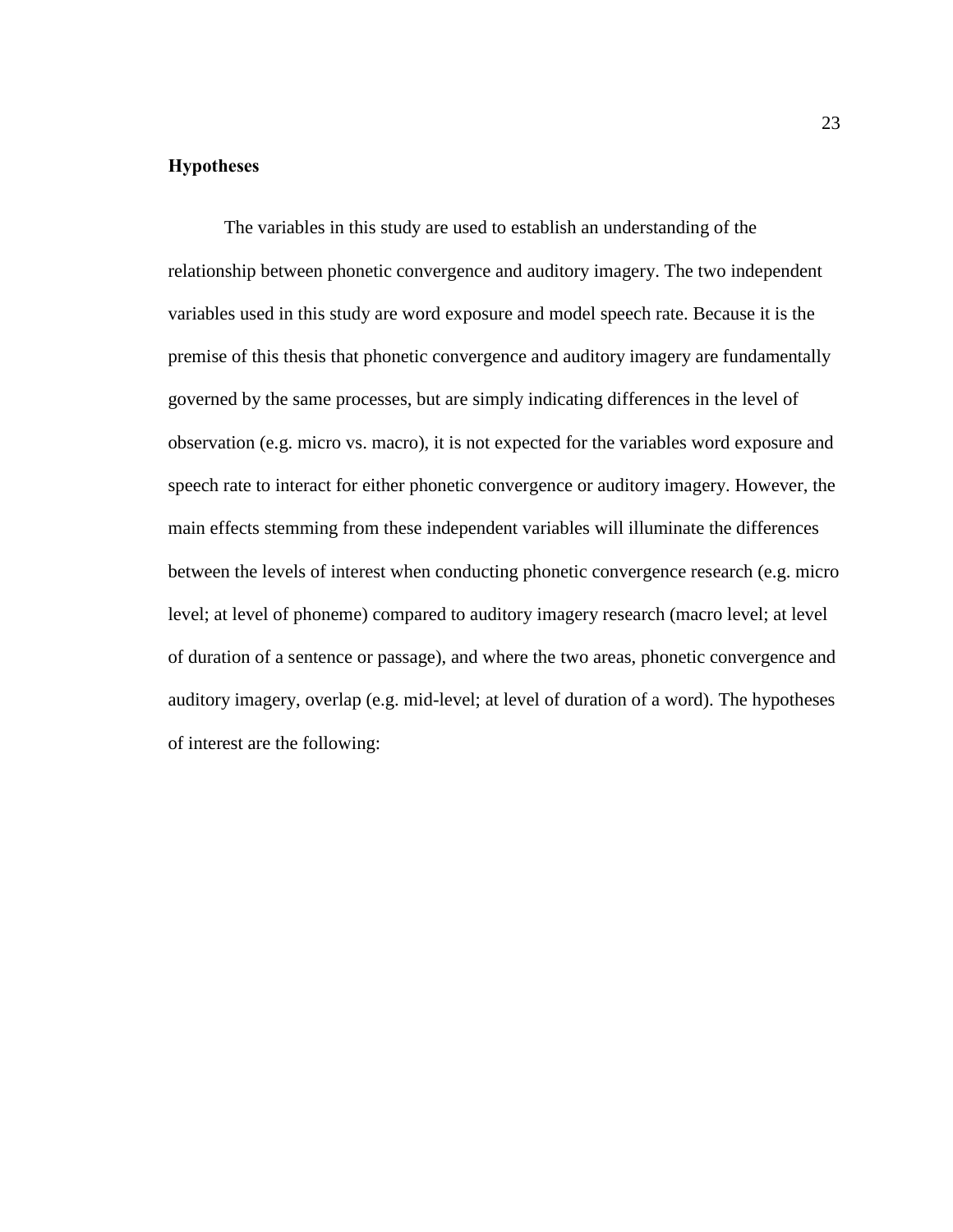# <span id="page-29-0"></span>**Hypotheses**

The variables in this study are used to establish an understanding of the relationship between phonetic convergence and auditory imagery. The two independent variables used in this study are word exposure and model speech rate. Because it is the premise of this thesis that phonetic convergence and auditory imagery are fundamentally governed by the same processes, but are simply indicating differences in the level of observation (e.g. micro vs. macro), it is not expected for the variables word exposure and speech rate to interact for either phonetic convergence or auditory imagery. However, the main effects stemming from these independent variables will illuminate the differences between the levels of interest when conducting phonetic convergence research (e.g. micro level; at level of phoneme) compared to auditory imagery research (macro level; at level of duration of a sentence or passage), and where the two areas, phonetic convergence and auditory imagery, overlap (e.g. mid-level; at level of duration of a word). The hypotheses of interest are the following: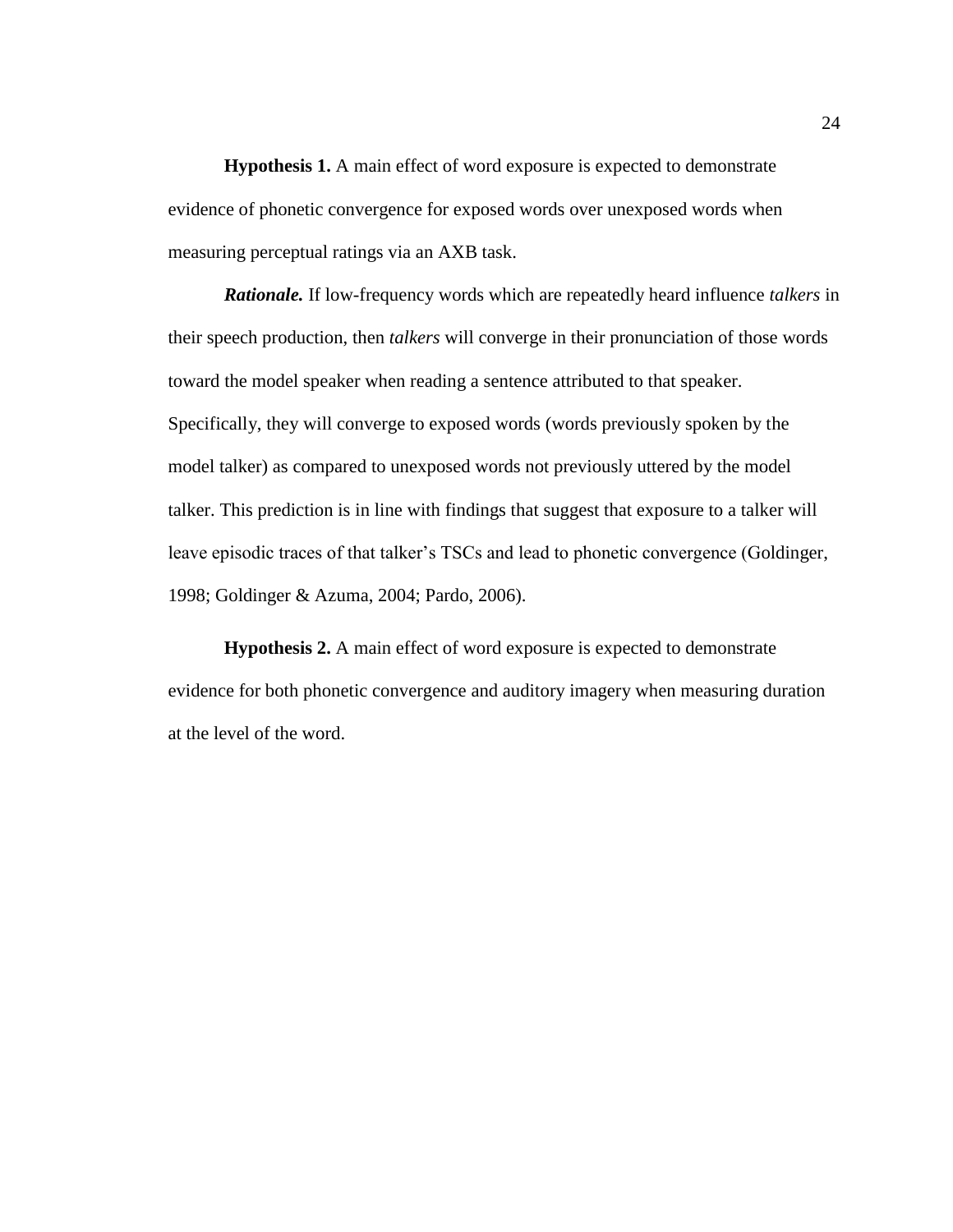<span id="page-30-0"></span>**Hypothesis 1.** A main effect of word exposure is expected to demonstrate evidence of phonetic convergence for exposed words over unexposed words when measuring perceptual ratings via an AXB task.

*Rationale.* If low-frequency words which are repeatedly heard influence *talkers* in their speech production, then *talkers* will converge in their pronunciation of those words toward the model speaker when reading a sentence attributed to that speaker. Specifically, they will converge to exposed words (words previously spoken by the model talker) as compared to unexposed words not previously uttered by the model talker. This prediction is in line with findings that suggest that exposure to a talker will leave episodic traces of that talker's TSCs and lead to phonetic convergence (Goldinger, 1998; Goldinger & Azuma, 2004; Pardo, 2006).

<span id="page-30-1"></span>**Hypothesis 2.** A main effect of word exposure is expected to demonstrate evidence for both phonetic convergence and auditory imagery when measuring duration at the level of the word.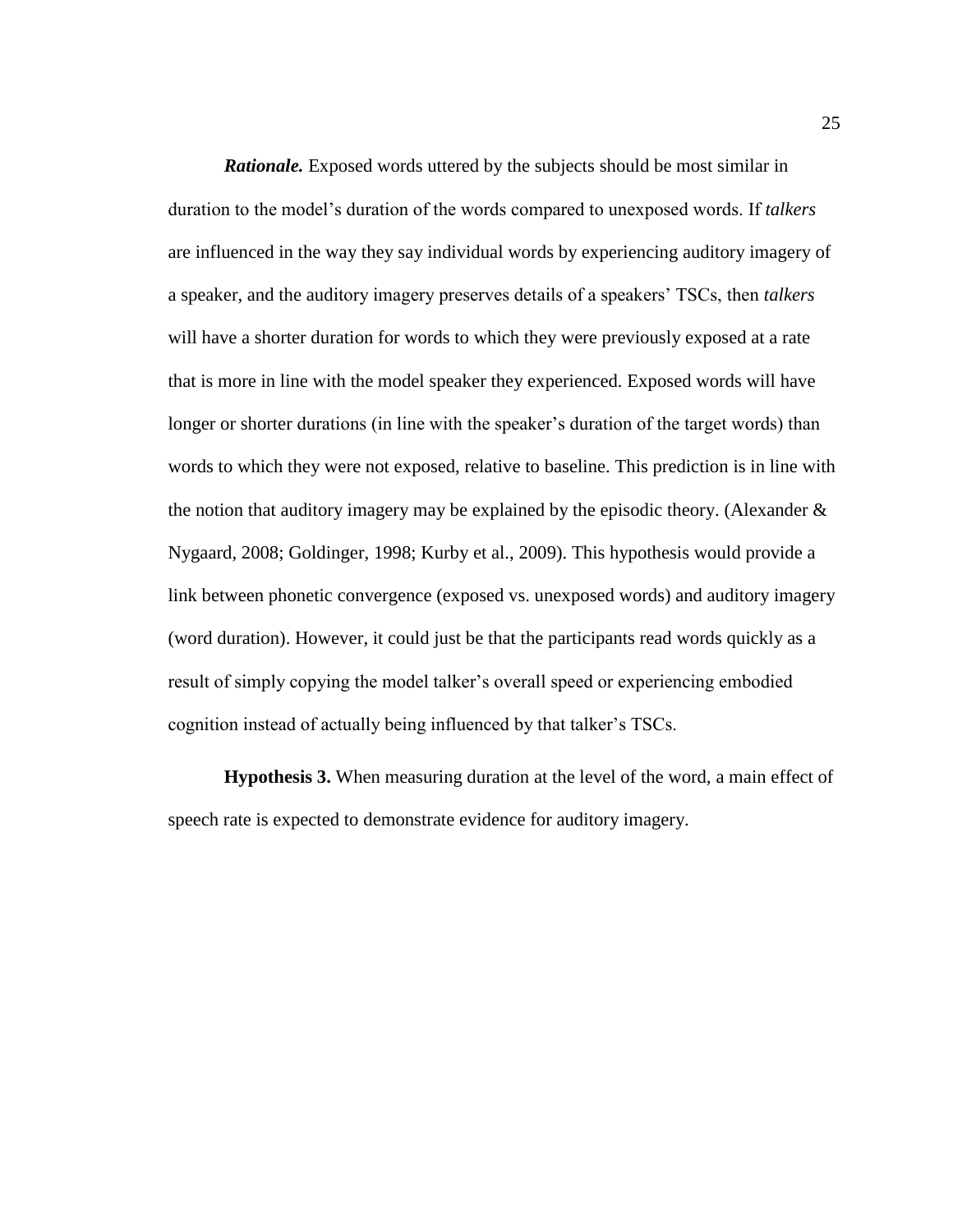*Rationale.* Exposed words uttered by the subjects should be most similar in duration to the model's duration of the words compared to unexposed words. If *talkers* are influenced in the way they say individual words by experiencing auditory imagery of a speaker, and the auditory imagery preserves details of a speakers' TSCs, then *talkers* will have a shorter duration for words to which they were previously exposed at a rate that is more in line with the model speaker they experienced. Exposed words will have longer or shorter durations (in line with the speaker's duration of the target words) than words to which they were not exposed, relative to baseline. This prediction is in line with the notion that auditory imagery may be explained by the episodic theory. (Alexander & Nygaard, 2008; Goldinger, 1998; Kurby et al., 2009). This hypothesis would provide a link between phonetic convergence (exposed vs. unexposed words) and auditory imagery (word duration). However, it could just be that the participants read words quickly as a result of simply copying the model talker's overall speed or experiencing embodied cognition instead of actually being influenced by that talker's TSCs.

<span id="page-31-0"></span>**Hypothesis 3.** When measuring duration at the level of the word, a main effect of speech rate is expected to demonstrate evidence for auditory imagery.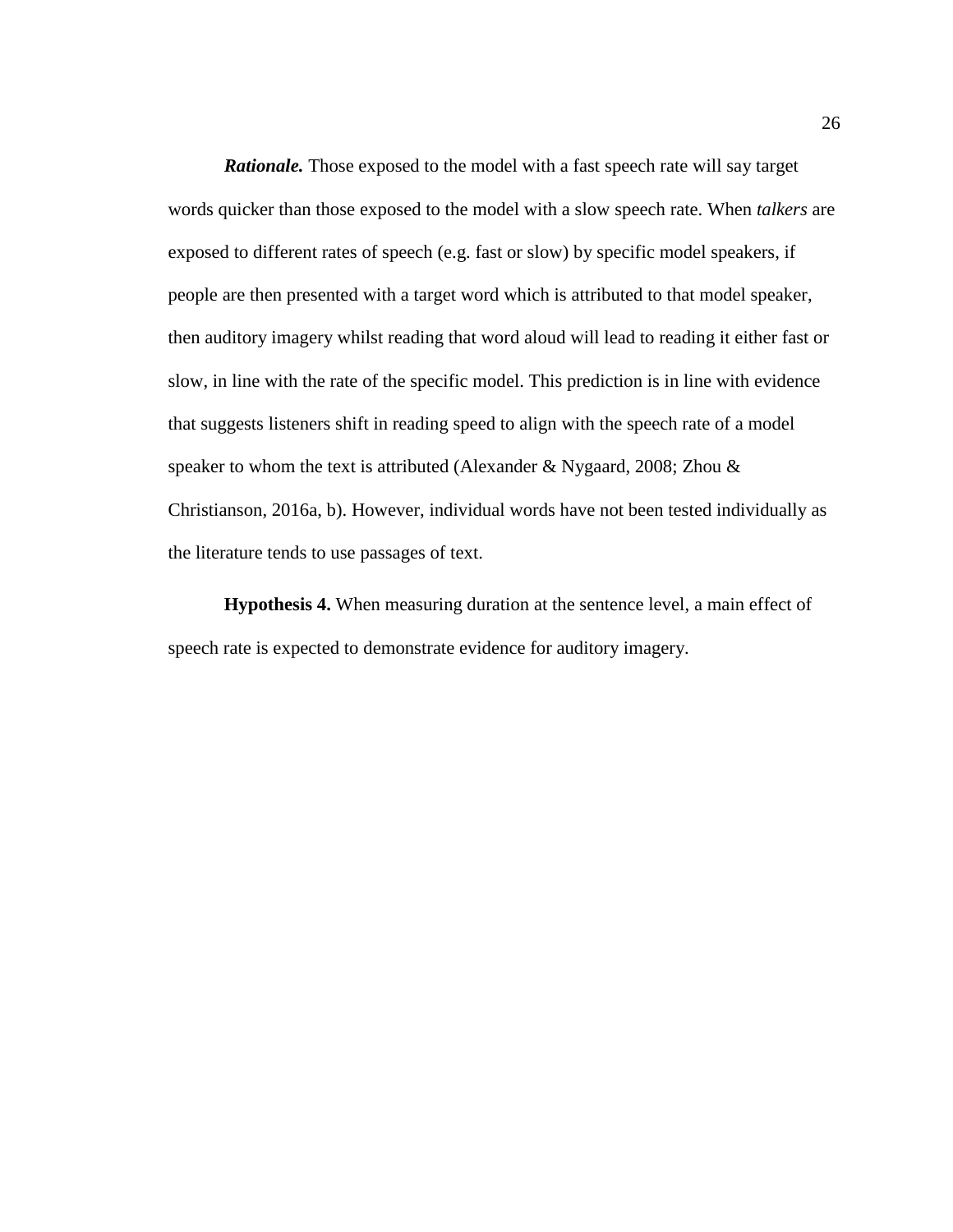*Rationale.* Those exposed to the model with a fast speech rate will say target words quicker than those exposed to the model with a slow speech rate. When *talkers* are exposed to different rates of speech (e.g. fast or slow) by specific model speakers, if people are then presented with a target word which is attributed to that model speaker, then auditory imagery whilst reading that word aloud will lead to reading it either fast or slow, in line with the rate of the specific model. This prediction is in line with evidence that suggests listeners shift in reading speed to align with the speech rate of a model speaker to whom the text is attributed (Alexander & Nygaard, 2008; Zhou & Christianson, 2016a, b). However, individual words have not been tested individually as the literature tends to use passages of text.

<span id="page-32-0"></span>**Hypothesis 4.** When measuring duration at the sentence level, a main effect of speech rate is expected to demonstrate evidence for auditory imagery.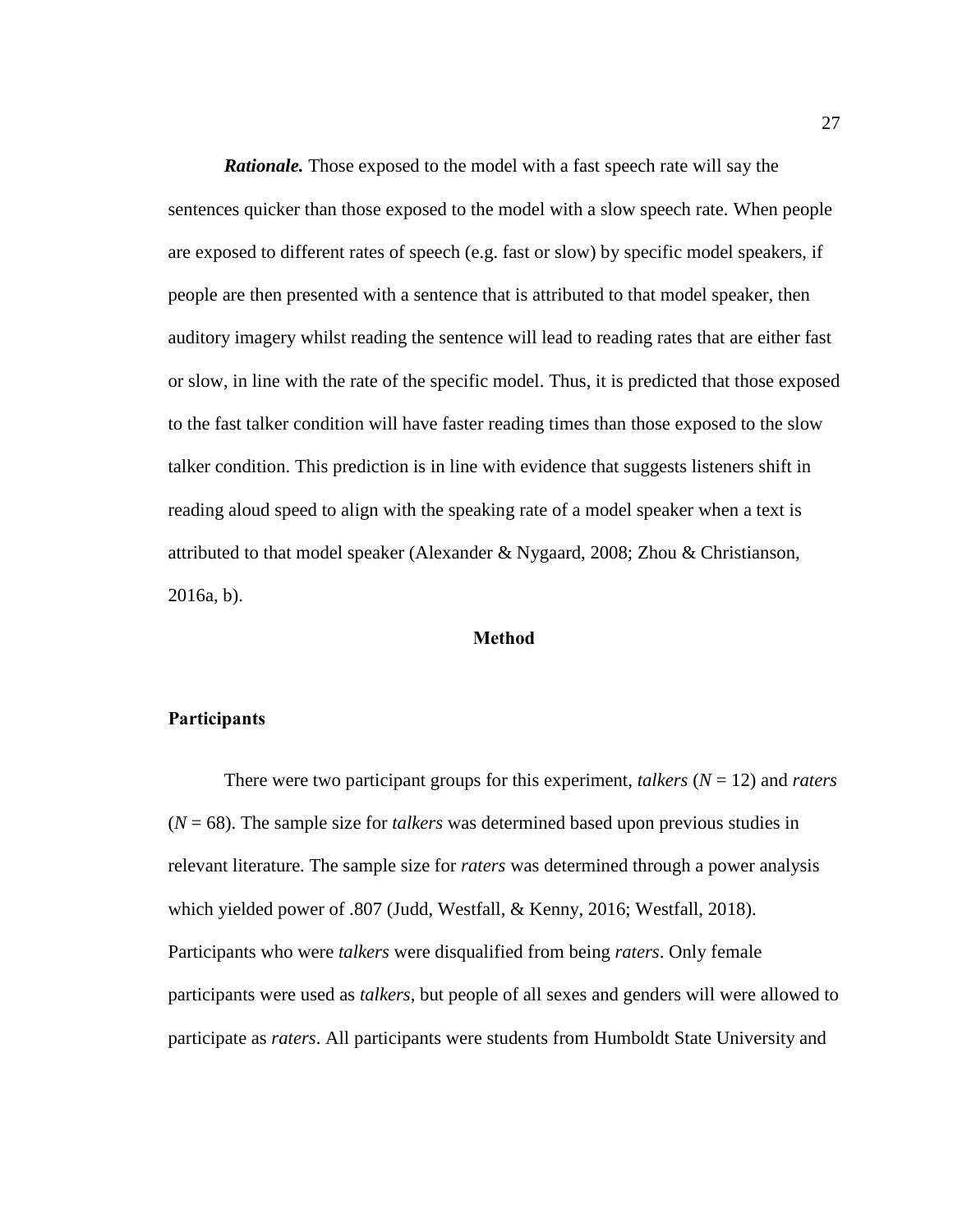*Rationale.* Those exposed to the model with a fast speech rate will say the sentences quicker than those exposed to the model with a slow speech rate. When people are exposed to different rates of speech (e.g. fast or slow) by specific model speakers, if people are then presented with a sentence that is attributed to that model speaker, then auditory imagery whilst reading the sentence will lead to reading rates that are either fast or slow, in line with the rate of the specific model. Thus, it is predicted that those exposed to the fast talker condition will have faster reading times than those exposed to the slow talker condition. This prediction is in line with evidence that suggests listeners shift in reading aloud speed to align with the speaking rate of a model speaker when a text is attributed to that model speaker (Alexander & Nygaard, 2008; Zhou & Christianson, 2016a, b).

#### **Method**

# <span id="page-33-1"></span><span id="page-33-0"></span>**Participants**

There were two participant groups for this experiment, *talkers*  $(N = 12)$  and *raters* (*N* = 68). The sample size for *talkers* was determined based upon previous studies in relevant literature. The sample size for *raters* was determined through a power analysis which yielded power of .807 (Judd, Westfall, & Kenny, 2016; Westfall, 2018). Participants who were *talkers* were disqualified from being *raters*. Only female participants were used as *talkers*, but people of all sexes and genders will were allowed to participate as *raters*. All participants were students from Humboldt State University and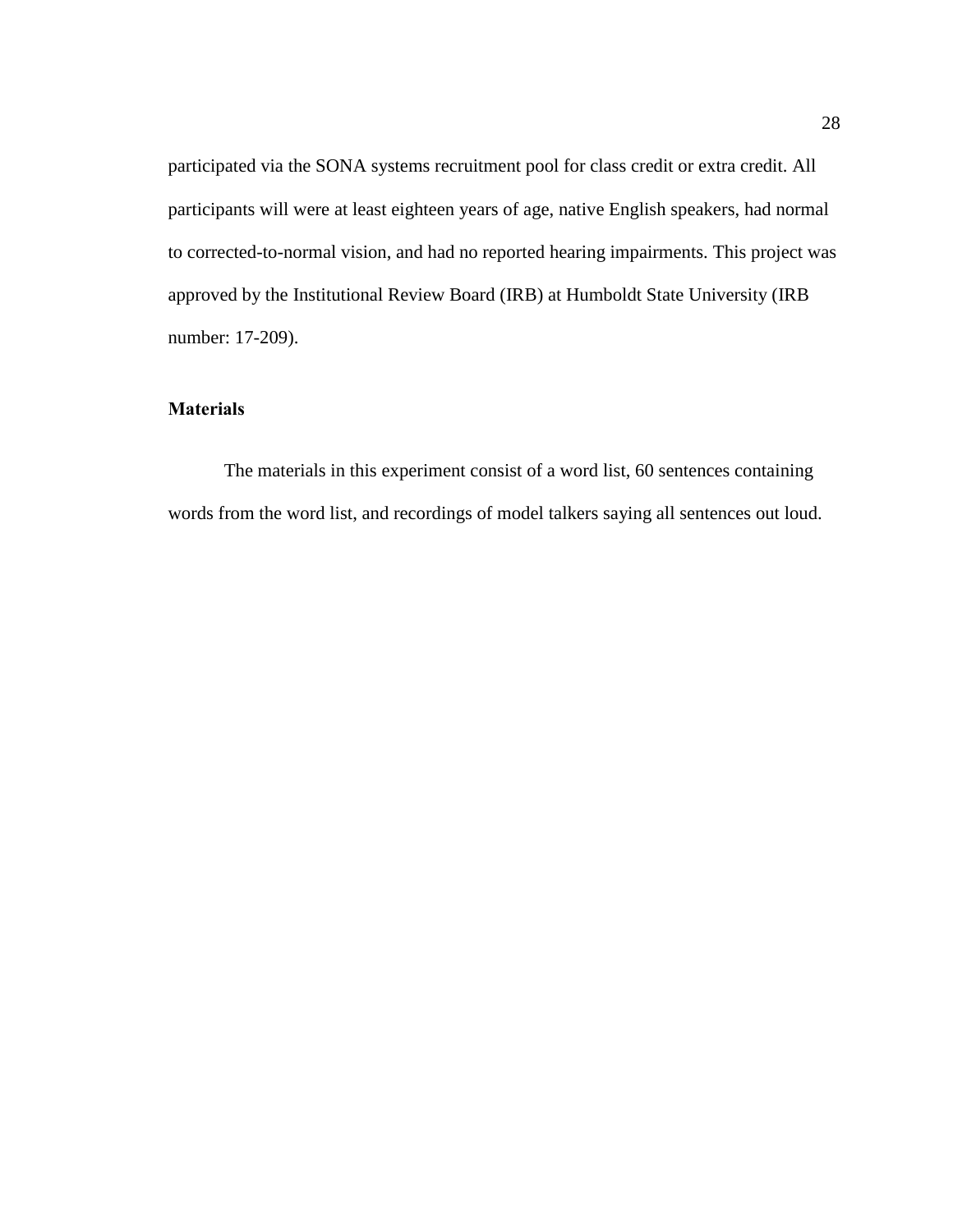participated via the SONA systems recruitment pool for class credit or extra credit. All participants will were at least eighteen years of age, native English speakers, had normal to corrected-to-normal vision, and had no reported hearing impairments. This project was approved by the Institutional Review Board (IRB) at Humboldt State University (IRB number: 17-209).

# <span id="page-34-0"></span>**Materials**

The materials in this experiment consist of a word list, 60 sentences containing words from the word list, and recordings of model talkers saying all sentences out loud.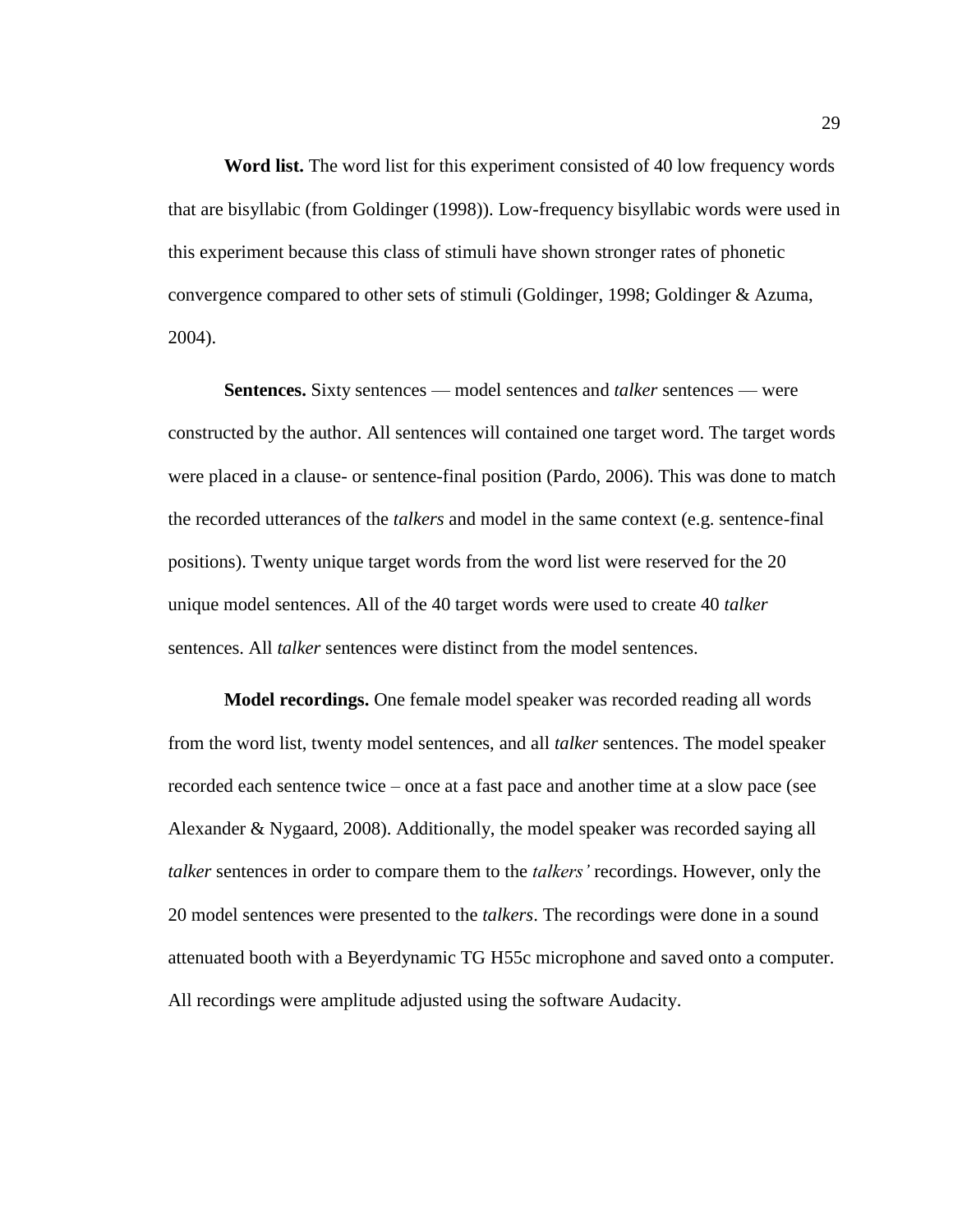<span id="page-35-0"></span>**Word list.** The word list for this experiment consisted of 40 low frequency words that are bisyllabic (from Goldinger (1998)). Low-frequency bisyllabic words were used in this experiment because this class of stimuli have shown stronger rates of phonetic convergence compared to other sets of stimuli (Goldinger, 1998; Goldinger & Azuma, 2004).

<span id="page-35-1"></span>**Sentences.** Sixty sentences — model sentences and *talker* sentences — were constructed by the author. All sentences will contained one target word. The target words were placed in a clause- or sentence-final position (Pardo, 2006). This was done to match the recorded utterances of the *talkers* and model in the same context (e.g. sentence-final positions). Twenty unique target words from the word list were reserved for the 20 unique model sentences. All of the 40 target words were used to create 40 *talker*  sentences. All *talker* sentences were distinct from the model sentences.

<span id="page-35-2"></span>**Model recordings.** One female model speaker was recorded reading all words from the word list, twenty model sentences, and all *talker* sentences. The model speaker recorded each sentence twice – once at a fast pace and another time at a slow pace (see Alexander & Nygaard, 2008). Additionally, the model speaker was recorded saying all *talker* sentences in order to compare them to the *talkers'* recordings. However, only the 20 model sentences were presented to the *talkers*. The recordings were done in a sound attenuated booth with a Beyerdynamic TG H55c microphone and saved onto a computer. All recordings were amplitude adjusted using the software Audacity.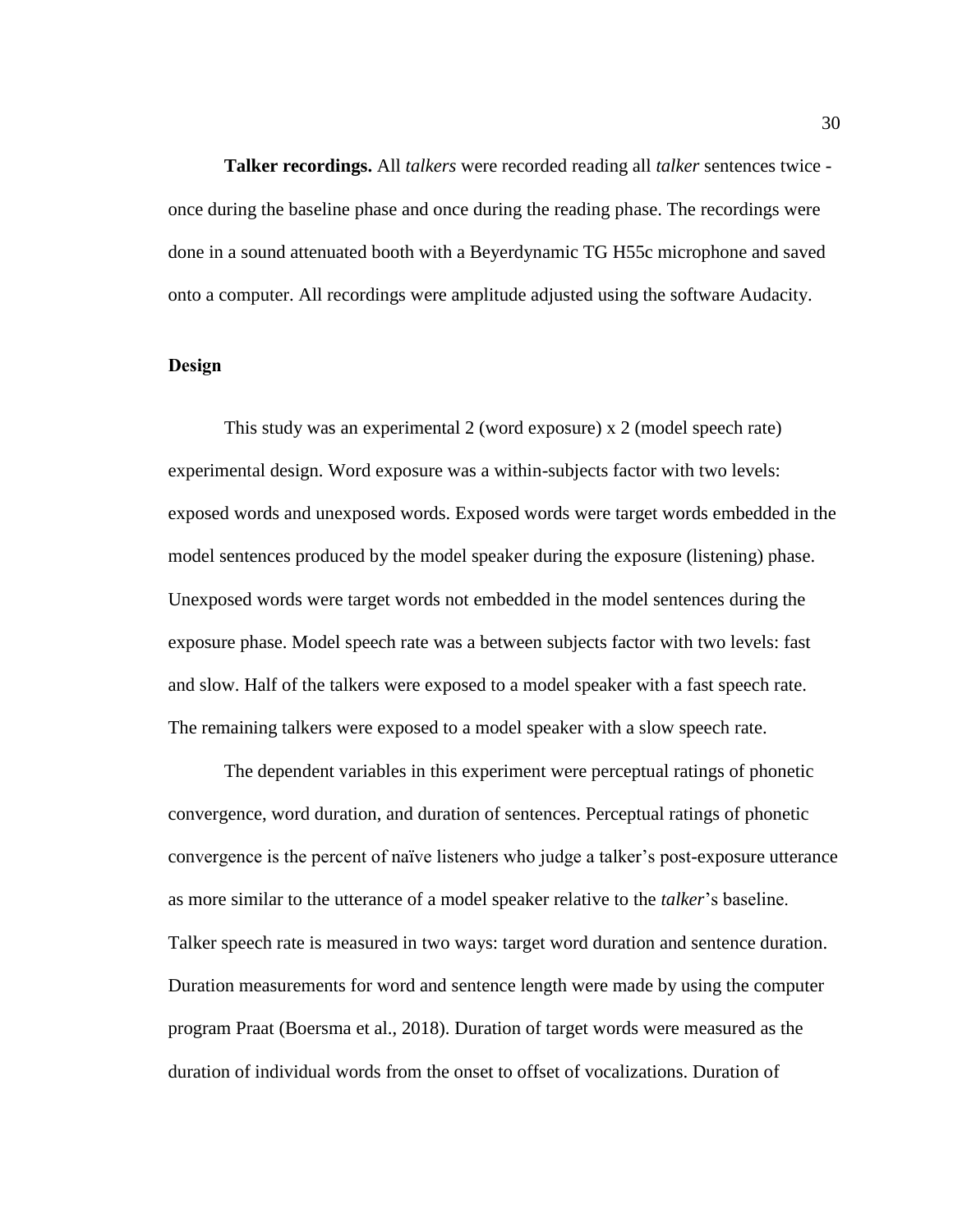<span id="page-36-0"></span>**Talker recordings.** All *talkers* were recorded reading all *talker* sentences twice once during the baseline phase and once during the reading phase. The recordings were done in a sound attenuated booth with a Beyerdynamic TG H55c microphone and saved onto a computer. All recordings were amplitude adjusted using the software Audacity.

# <span id="page-36-1"></span>**Design**

This study was an experimental 2 (word exposure) x 2 (model speech rate) experimental design. Word exposure was a within-subjects factor with two levels: exposed words and unexposed words. Exposed words were target words embedded in the model sentences produced by the model speaker during the exposure (listening) phase. Unexposed words were target words not embedded in the model sentences during the exposure phase. Model speech rate was a between subjects factor with two levels: fast and slow. Half of the talkers were exposed to a model speaker with a fast speech rate. The remaining talkers were exposed to a model speaker with a slow speech rate.

The dependent variables in this experiment were perceptual ratings of phonetic convergence, word duration, and duration of sentences. Perceptual ratings of phonetic convergence is the percent of naïve listeners who judge a talker's post-exposure utterance as more similar to the utterance of a model speaker relative to the *talker*'s baseline. Talker speech rate is measured in two ways: target word duration and sentence duration. Duration measurements for word and sentence length were made by using the computer program Praat (Boersma et al., 2018). Duration of target words were measured as the duration of individual words from the onset to offset of vocalizations. Duration of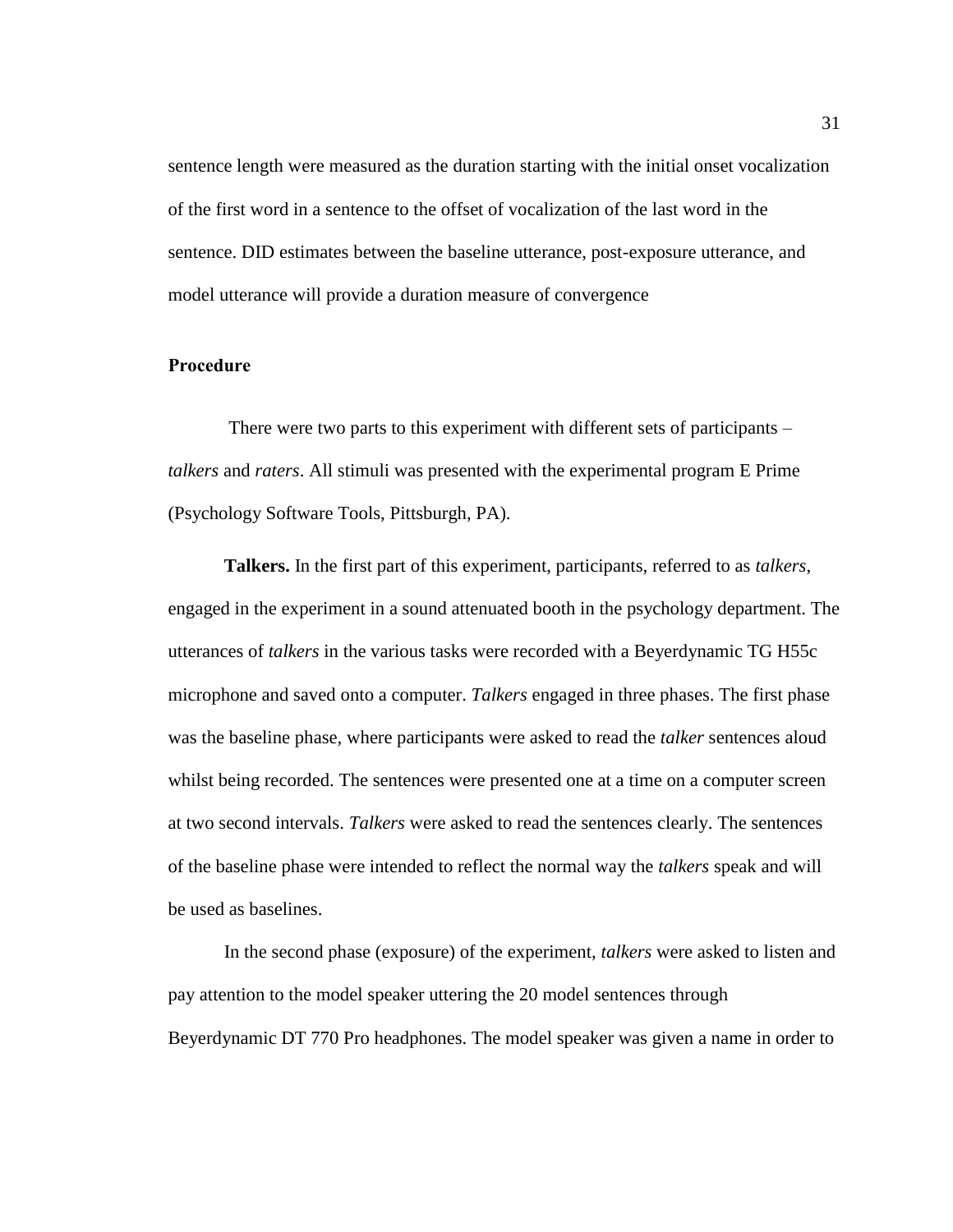sentence length were measured as the duration starting with the initial onset vocalization of the first word in a sentence to the offset of vocalization of the last word in the sentence. DID estimates between the baseline utterance, post-exposure utterance, and model utterance will provide a duration measure of convergence

### <span id="page-37-0"></span>**Procedure**

There were two parts to this experiment with different sets of participants – *talkers* and *raters*. All stimuli was presented with the experimental program E Prime (Psychology Software Tools, Pittsburgh, PA).

<span id="page-37-1"></span>**Talkers.** In the first part of this experiment, participants, referred to as *talkers*, engaged in the experiment in a sound attenuated booth in the psychology department. The utterances of *talkers* in the various tasks were recorded with a Beyerdynamic TG H55c microphone and saved onto a computer. *Talkers* engaged in three phases. The first phase was the baseline phase, where participants were asked to read the *talker* sentences aloud whilst being recorded. The sentences were presented one at a time on a computer screen at two second intervals. *Talkers* were asked to read the sentences clearly. The sentences of the baseline phase were intended to reflect the normal way the *talkers* speak and will be used as baselines.

In the second phase (exposure) of the experiment, *talkers* were asked to listen and pay attention to the model speaker uttering the 20 model sentences through Beyerdynamic DT 770 Pro headphones. The model speaker was given a name in order to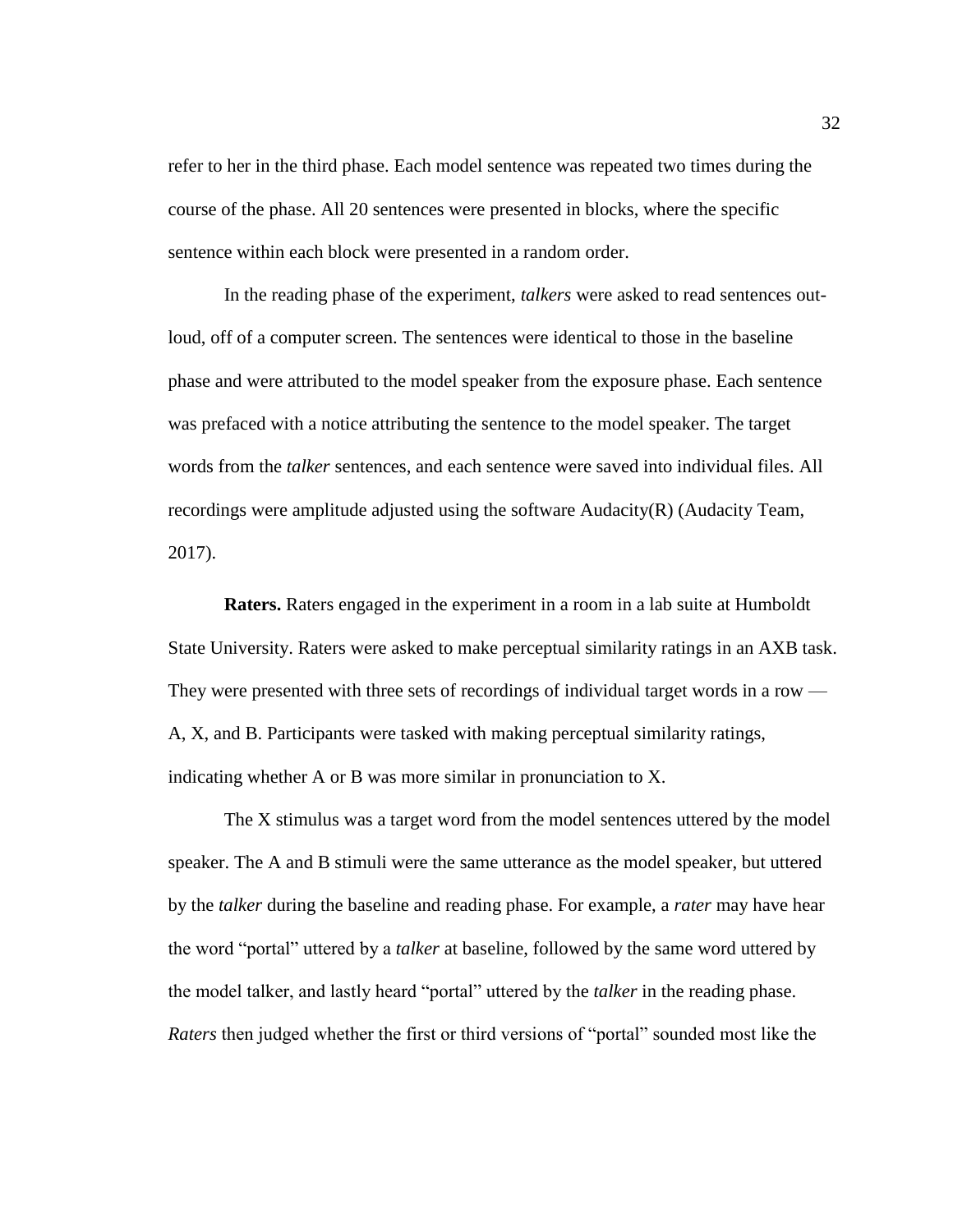refer to her in the third phase. Each model sentence was repeated two times during the course of the phase. All 20 sentences were presented in blocks, where the specific sentence within each block were presented in a random order.

In the reading phase of the experiment, *talkers* were asked to read sentences outloud, off of a computer screen. The sentences were identical to those in the baseline phase and were attributed to the model speaker from the exposure phase. Each sentence was prefaced with a notice attributing the sentence to the model speaker. The target words from the *talker* sentences, and each sentence were saved into individual files. All recordings were amplitude adjusted using the software Audacity(R) (Audacity Team, 2017).

<span id="page-38-0"></span>**Raters.** Raters engaged in the experiment in a room in a lab suite at Humboldt State University. Raters were asked to make perceptual similarity ratings in an AXB task. They were presented with three sets of recordings of individual target words in a row — A, X, and B. Participants were tasked with making perceptual similarity ratings, indicating whether A or B was more similar in pronunciation to X.

The X stimulus was a target word from the model sentences uttered by the model speaker. The A and B stimuli were the same utterance as the model speaker, but uttered by the *talker* during the baseline and reading phase. For example, a *rater* may have hear the word "portal" uttered by a *talker* at baseline, followed by the same word uttered by the model talker, and lastly heard "portal" uttered by the *talker* in the reading phase. *Raters* then judged whether the first or third versions of "portal" sounded most like the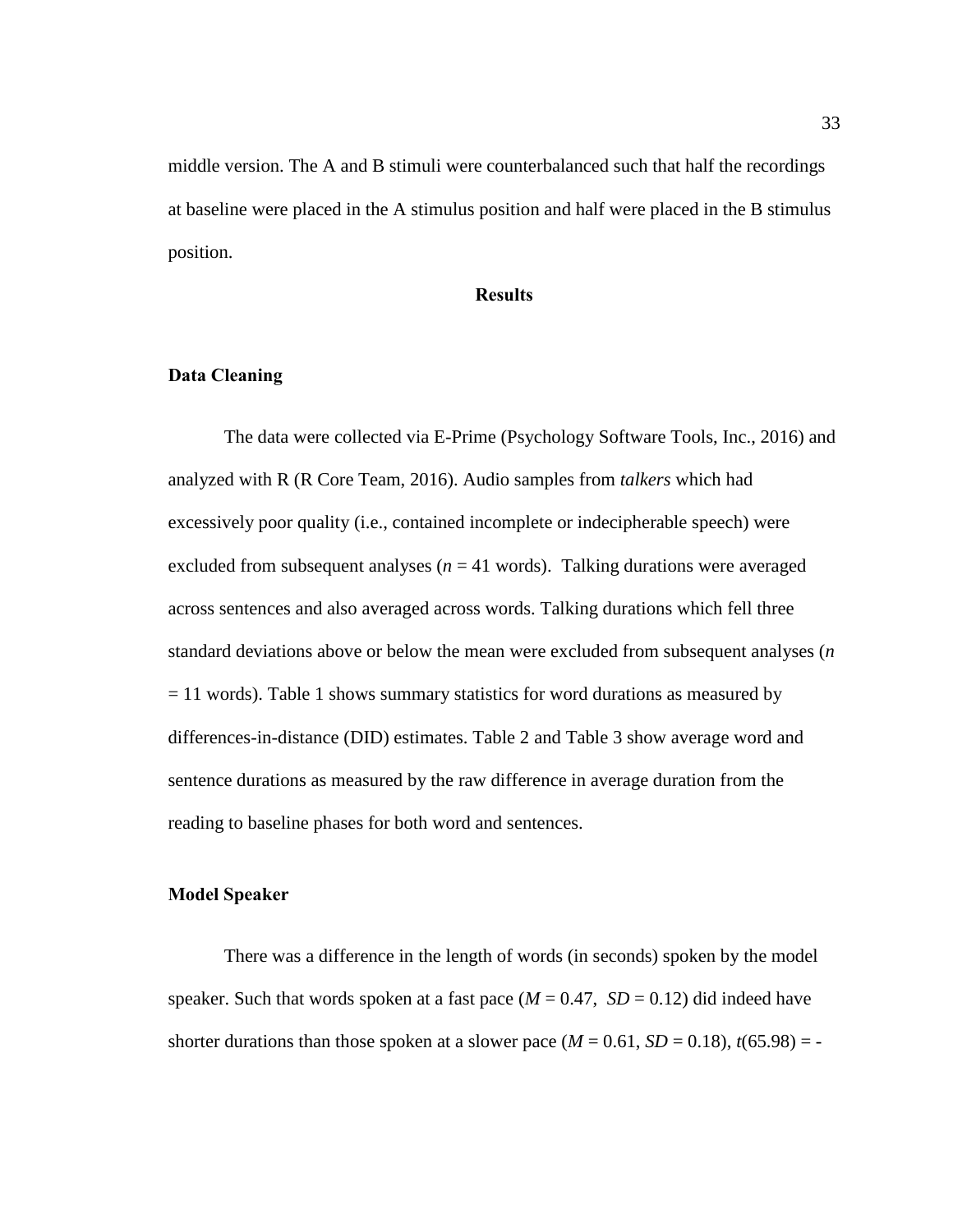middle version. The A and B stimuli were counterbalanced such that half the recordings at baseline were placed in the A stimulus position and half were placed in the B stimulus position.

### **Results**

# <span id="page-39-1"></span><span id="page-39-0"></span>**Data Cleaning**

The data were collected via E-Prime (Psychology Software Tools, Inc., 2016) and analyzed with R (R Core Team, 2016). Audio samples from *talkers* which had excessively poor quality (i.e., contained incomplete or indecipherable speech) were excluded from subsequent analyses ( $n = 41$  words). Talking durations were averaged across sentences and also averaged across words. Talking durations which fell three standard deviations above or below the mean were excluded from subsequent analyses (*n*  $= 11$  words). Table 1 shows summary statistics for word durations as measured by differences-in-distance (DID) estimates. Table 2 and Table 3 show average word and sentence durations as measured by the raw difference in average duration from the reading to baseline phases for both word and sentences.

#### <span id="page-39-2"></span>**Model Speaker**

There was a difference in the length of words (in seconds) spoken by the model speaker. Such that words spoken at a fast pace  $(M = 0.47, SD = 0.12)$  did indeed have shorter durations than those spoken at a slower pace  $(M = 0.61, SD = 0.18)$ ,  $t(65.98) = -$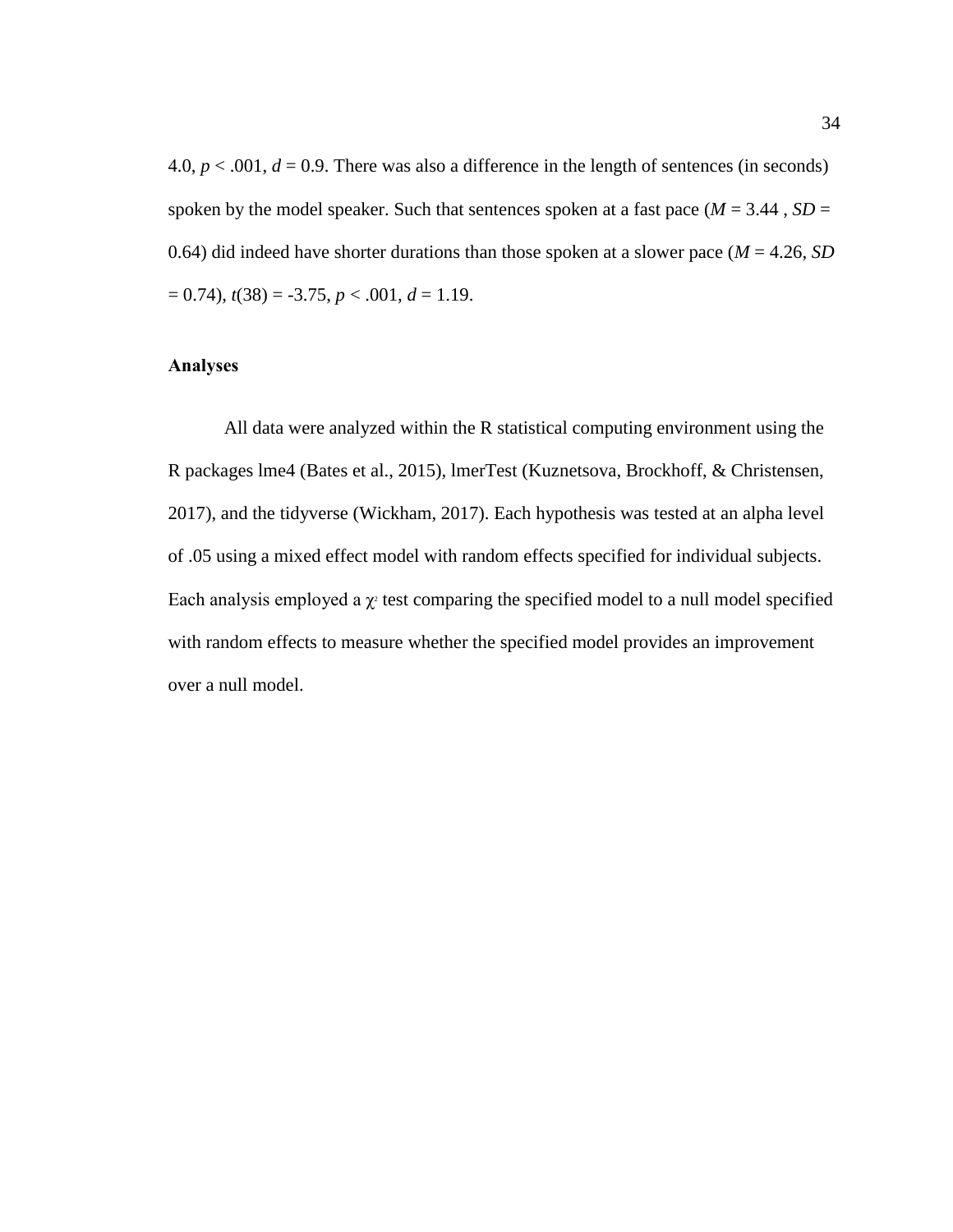4.0,  $p < .001$ ,  $d = 0.9$ . There was also a difference in the length of sentences (in seconds) spoken by the model speaker. Such that sentences spoken at a fast pace ( $M = 3.44$ ,  $SD =$ 0.64) did indeed have shorter durations than those spoken at a slower pace  $(M = 4.26, SD)$  $= 0.74$ ,  $t(38) = -3.75$ ,  $p < .001$ ,  $d = 1.19$ .

# <span id="page-40-0"></span>**Analyses**

All data were analyzed within the R statistical computing environment using the R packages lme4 (Bates et al., 2015), lmerTest (Kuznetsova, Brockhoff, & Christensen, 2017), and the tidyverse (Wickham, 2017). Each hypothesis was tested at an alpha level of .05 using a mixed effect model with random effects specified for individual subjects. Each analysis employed a  $\chi$ <sup>2</sup> test comparing the specified model to a null model specified with random effects to measure whether the specified model provides an improvement over a null model.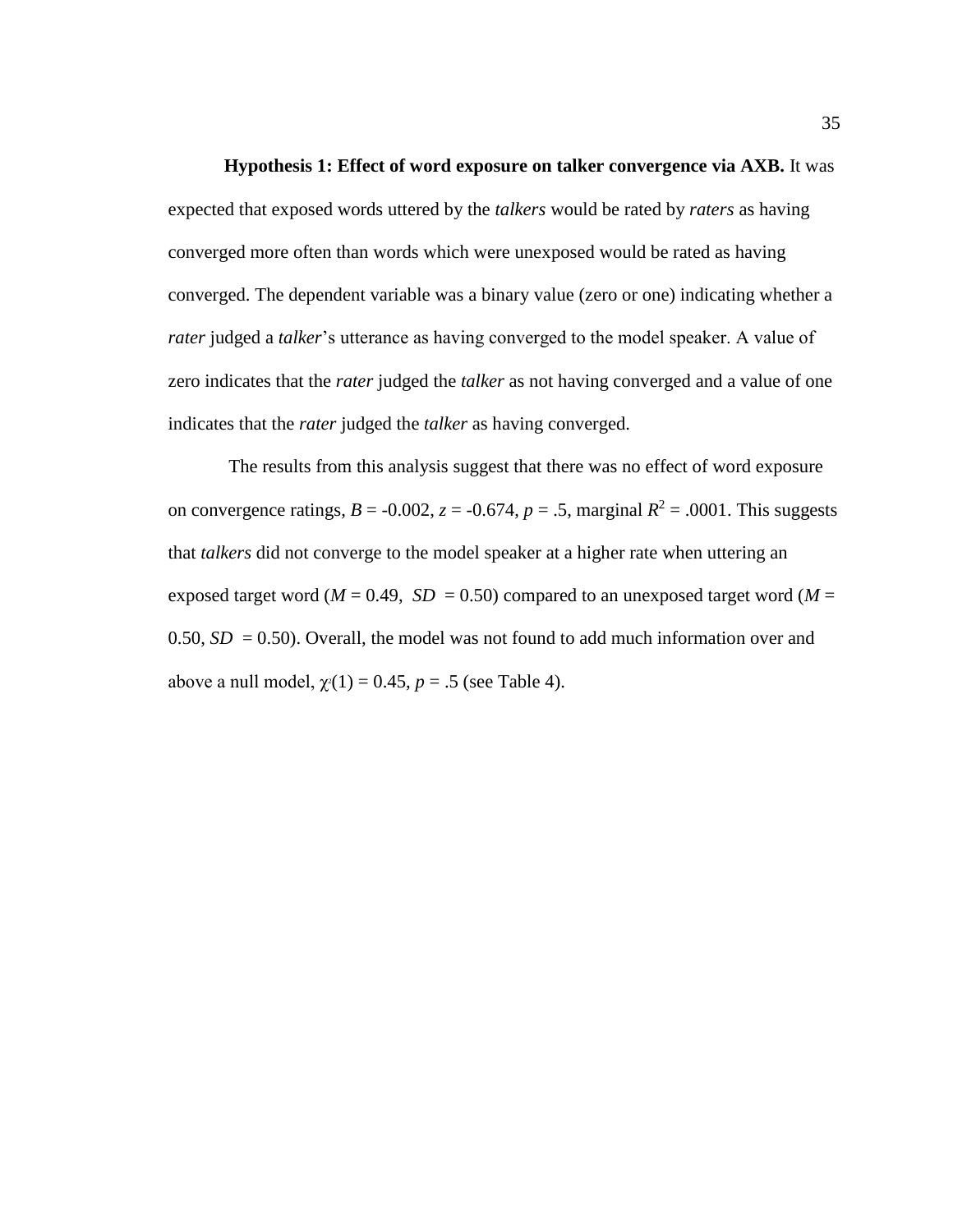### **Hypothesis 1: Effect of word exposure on talker convergence via AXB.** It was

<span id="page-41-0"></span>expected that exposed words uttered by the *talkers* would be rated by *raters* as having converged more often than words which were unexposed would be rated as having converged. The dependent variable was a binary value (zero or one) indicating whether a *rater* judged a *talker*'s utterance as having converged to the model speaker. A value of zero indicates that the *rater* judged the *talker* as not having converged and a value of one indicates that the *rater* judged the *talker* as having converged.

The results from this analysis suggest that there was no effect of word exposure on convergence ratings,  $B = -0.002$ ,  $z = -0.674$ ,  $p = .5$ , marginal  $R^2 = .0001$ . This suggests that *talkers* did not converge to the model speaker at a higher rate when uttering an exposed target word ( $M = 0.49$ ,  $SD = 0.50$ ) compared to an unexposed target word ( $M =$ 0.50,  $SD = 0.50$ ). Overall, the model was not found to add much information over and above a null model,  $\chi$ <sup>2</sup>(1) = 0.45, *p* = .5 (see Table 4).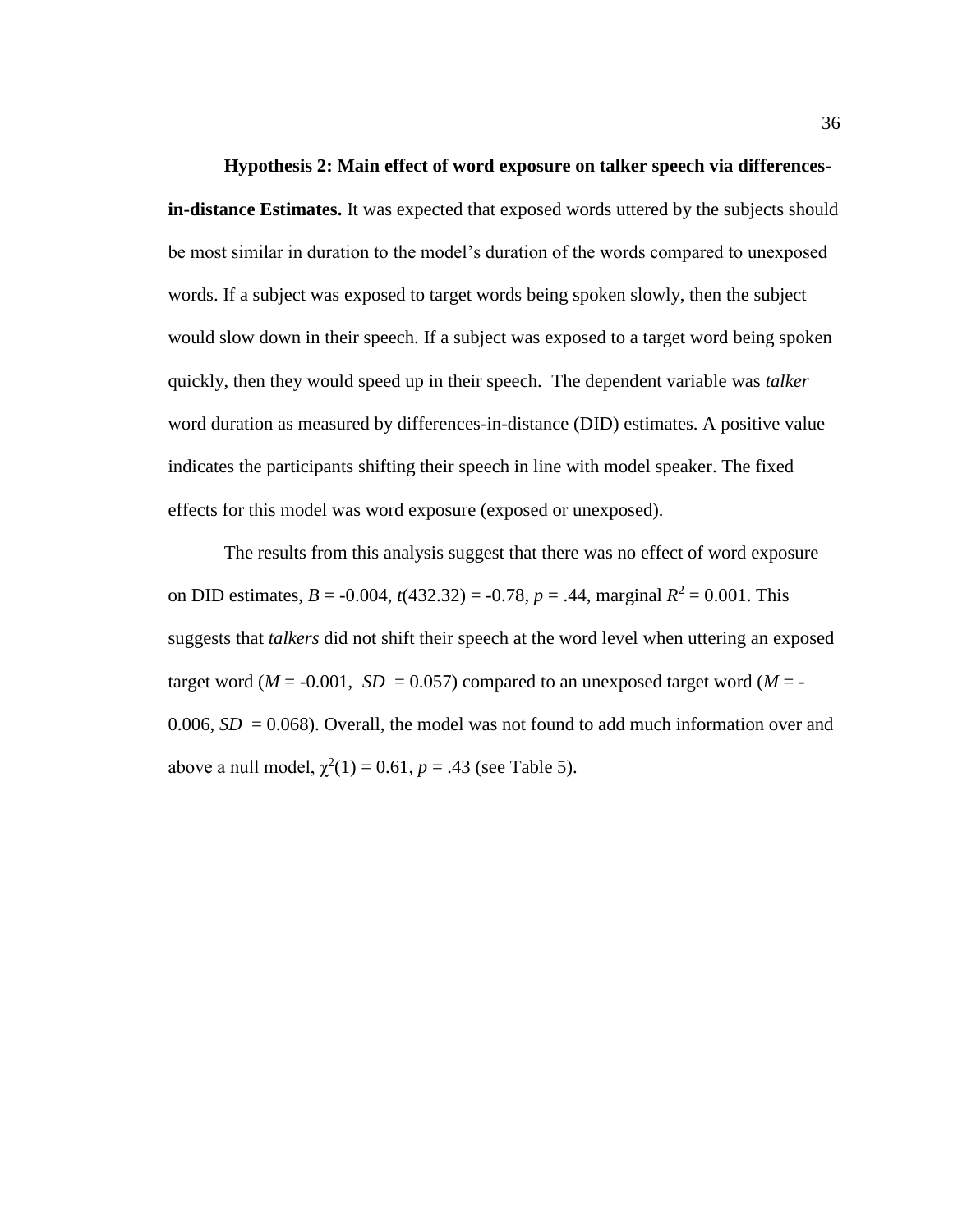<span id="page-42-0"></span>**Hypothesis 2: Main effect of word exposure on talker speech via differencesin-distance Estimates.** It was expected that exposed words uttered by the subjects should be most similar in duration to the model's duration of the words compared to unexposed words. If a subject was exposed to target words being spoken slowly, then the subject would slow down in their speech. If a subject was exposed to a target word being spoken quickly, then they would speed up in their speech. The dependent variable was *talker*  word duration as measured by differences-in-distance (DID) estimates. A positive value indicates the participants shifting their speech in line with model speaker. The fixed effects for this model was word exposure (exposed or unexposed).

The results from this analysis suggest that there was no effect of word exposure on DID estimates,  $B = -0.004$ ,  $t(432.32) = -0.78$ ,  $p = .44$ , marginal  $R^2 = 0.001$ . This suggests that *talkers* did not shift their speech at the word level when uttering an exposed target word ( $M = -0.001$ ,  $SD = 0.057$ ) compared to an unexposed target word ( $M = -$ 0.006,  $SD = 0.068$ ). Overall, the model was not found to add much information over and above a null model,  $\chi^2(1) = 0.61$ ,  $p = .43$  (see Table 5).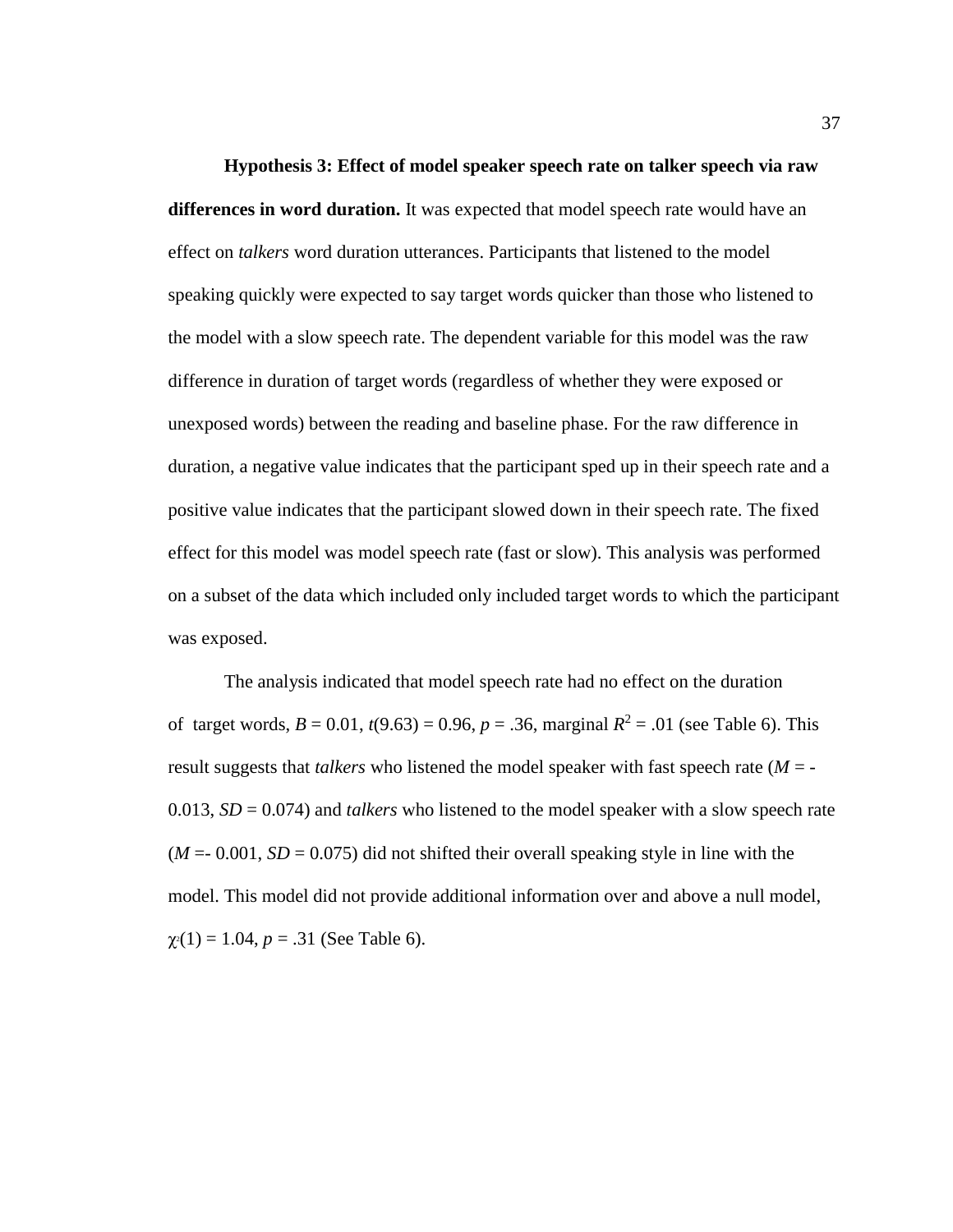<span id="page-43-0"></span>**Hypothesis 3: Effect of model speaker speech rate on talker speech via raw differences in word duration.** It was expected that model speech rate would have an effect on *talkers* word duration utterances. Participants that listened to the model speaking quickly were expected to say target words quicker than those who listened to the model with a slow speech rate. The dependent variable for this model was the raw difference in duration of target words (regardless of whether they were exposed or unexposed words) between the reading and baseline phase. For the raw difference in duration, a negative value indicates that the participant sped up in their speech rate and a positive value indicates that the participant slowed down in their speech rate. The fixed effect for this model was model speech rate (fast or slow). This analysis was performed on a subset of the data which included only included target words to which the participant was exposed.

The analysis indicated that model speech rate had no effect on the duration of target words,  $B = 0.01$ ,  $t(9.63) = 0.96$ ,  $p = .36$ , marginal  $R^2 = .01$  (see Table 6). This result suggests that *talkers* who listened the model speaker with fast speech rate (*M* = - 0.013, *SD* = 0.074) and *talkers* who listened to the model speaker with a slow speech rate  $(M = 0.001, SD = 0.075)$  did not shifted their overall speaking style in line with the model. This model did not provide additional information over and above a null model,  $\chi$ <sup>2</sup>(1) = 1.04, *p* = .31 (See Table 6).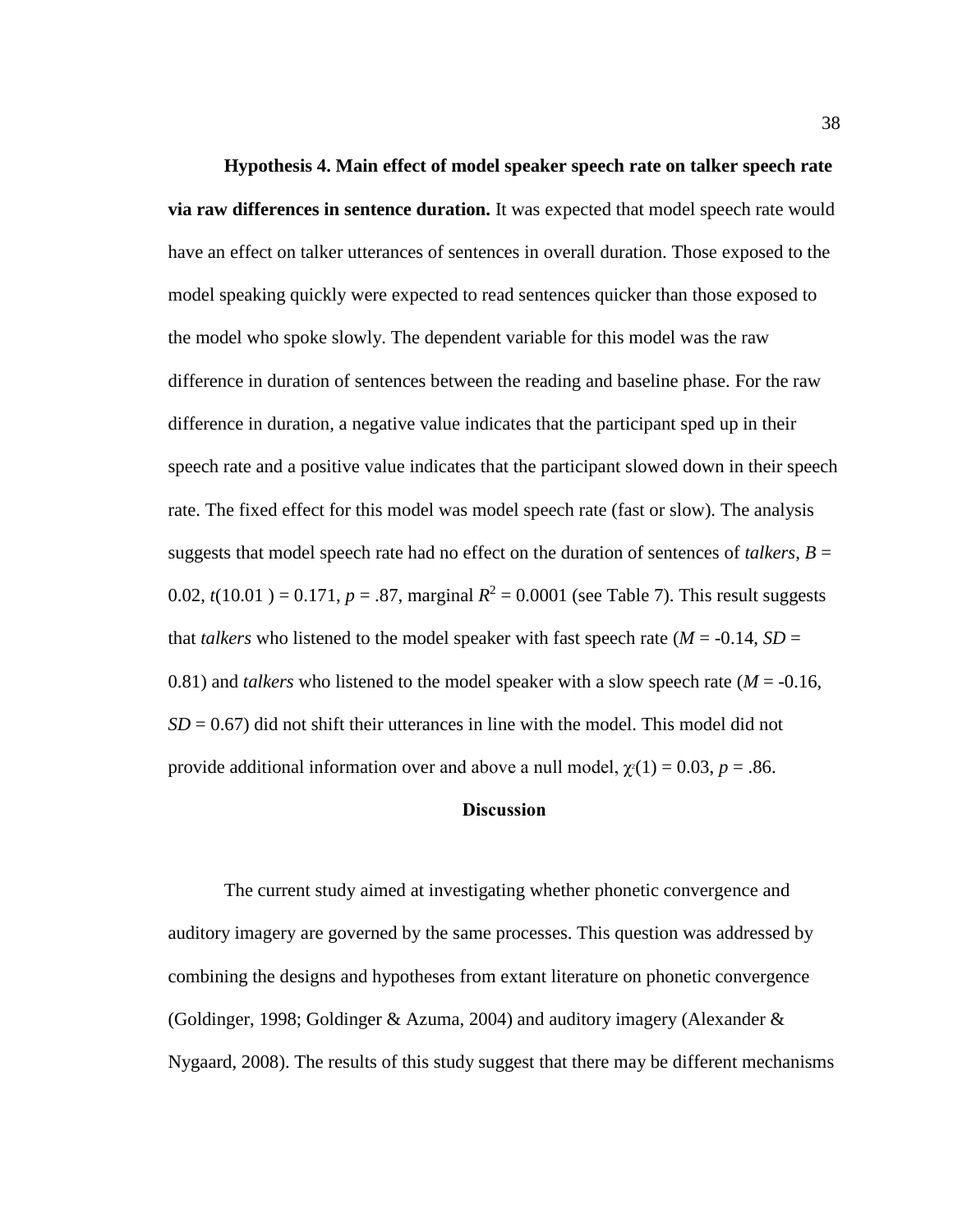<span id="page-44-0"></span>**Hypothesis 4. Main effect of model speaker speech rate on talker speech rate via raw differences in sentence duration.** It was expected that model speech rate would have an effect on talker utterances of sentences in overall duration. Those exposed to the model speaking quickly were expected to read sentences quicker than those exposed to the model who spoke slowly. The dependent variable for this model was the raw difference in duration of sentences between the reading and baseline phase. For the raw difference in duration, a negative value indicates that the participant sped up in their speech rate and a positive value indicates that the participant slowed down in their speech rate. The fixed effect for this model was model speech rate (fast or slow). The analysis suggests that model speech rate had no effect on the duration of sentences of *talkers*,  $B =$ 0.02,  $t(10.01) = 0.171$ ,  $p = .87$ , marginal  $R^2 = 0.0001$  (see Table 7). This result suggests that *talkers* who listened to the model speaker with fast speech rate ( $M = -0.14$ ,  $SD =$ 0.81) and *talkers* who listened to the model speaker with a slow speech rate ( $M = -0.16$ ,  $SD = 0.67$ ) did not shift their utterances in line with the model. This model did not provide additional information over and above a null model,  $\chi^2(1) = 0.03$ ,  $p = .86$ .

#### **Discussion**

<span id="page-44-1"></span>The current study aimed at investigating whether phonetic convergence and auditory imagery are governed by the same processes. This question was addressed by combining the designs and hypotheses from extant literature on phonetic convergence (Goldinger, 1998; Goldinger & Azuma, 2004) and auditory imagery (Alexander & Nygaard, 2008). The results of this study suggest that there may be different mechanisms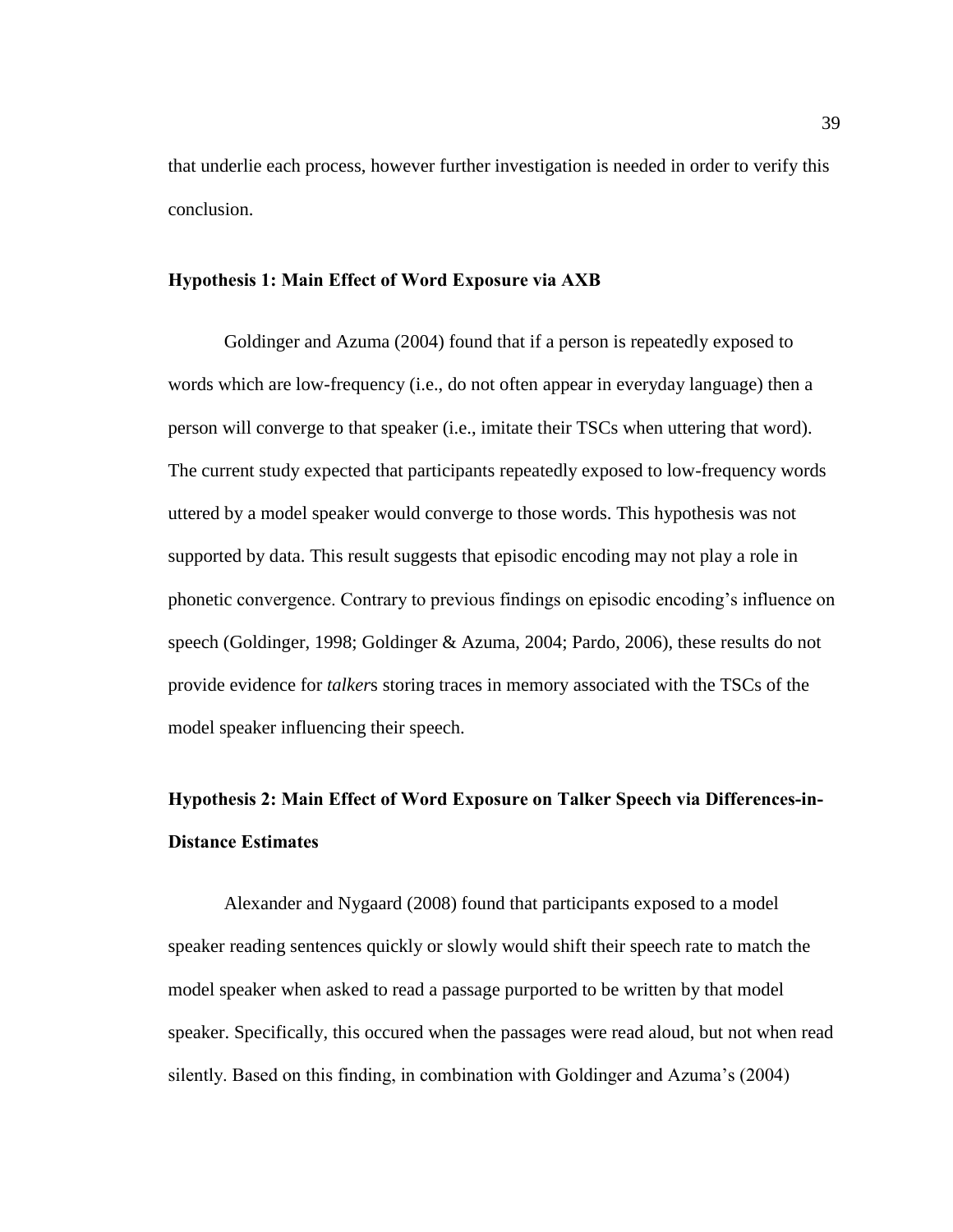that underlie each process, however further investigation is needed in order to verify this conclusion.

#### <span id="page-45-0"></span>**Hypothesis 1: Main Effect of Word Exposure via AXB**

Goldinger and Azuma (2004) found that if a person is repeatedly exposed to words which are low-frequency (i.e., do not often appear in everyday language) then a person will converge to that speaker (i.e., imitate their TSCs when uttering that word). The current study expected that participants repeatedly exposed to low-frequency words uttered by a model speaker would converge to those words. This hypothesis was not supported by data. This result suggests that episodic encoding may not play a role in phonetic convergence. Contrary to previous findings on episodic encoding's influence on speech (Goldinger, 1998; Goldinger & Azuma, 2004; Pardo, 2006), these results do not provide evidence for *talker*s storing traces in memory associated with the TSCs of the model speaker influencing their speech.

# <span id="page-45-1"></span>**Hypothesis 2: Main Effect of Word Exposure on Talker Speech via Differences-in-Distance Estimates**

Alexander and Nygaard (2008) found that participants exposed to a model speaker reading sentences quickly or slowly would shift their speech rate to match the model speaker when asked to read a passage purported to be written by that model speaker. Specifically, this occured when the passages were read aloud, but not when read silently. Based on this finding, in combination with Goldinger and Azuma's (2004)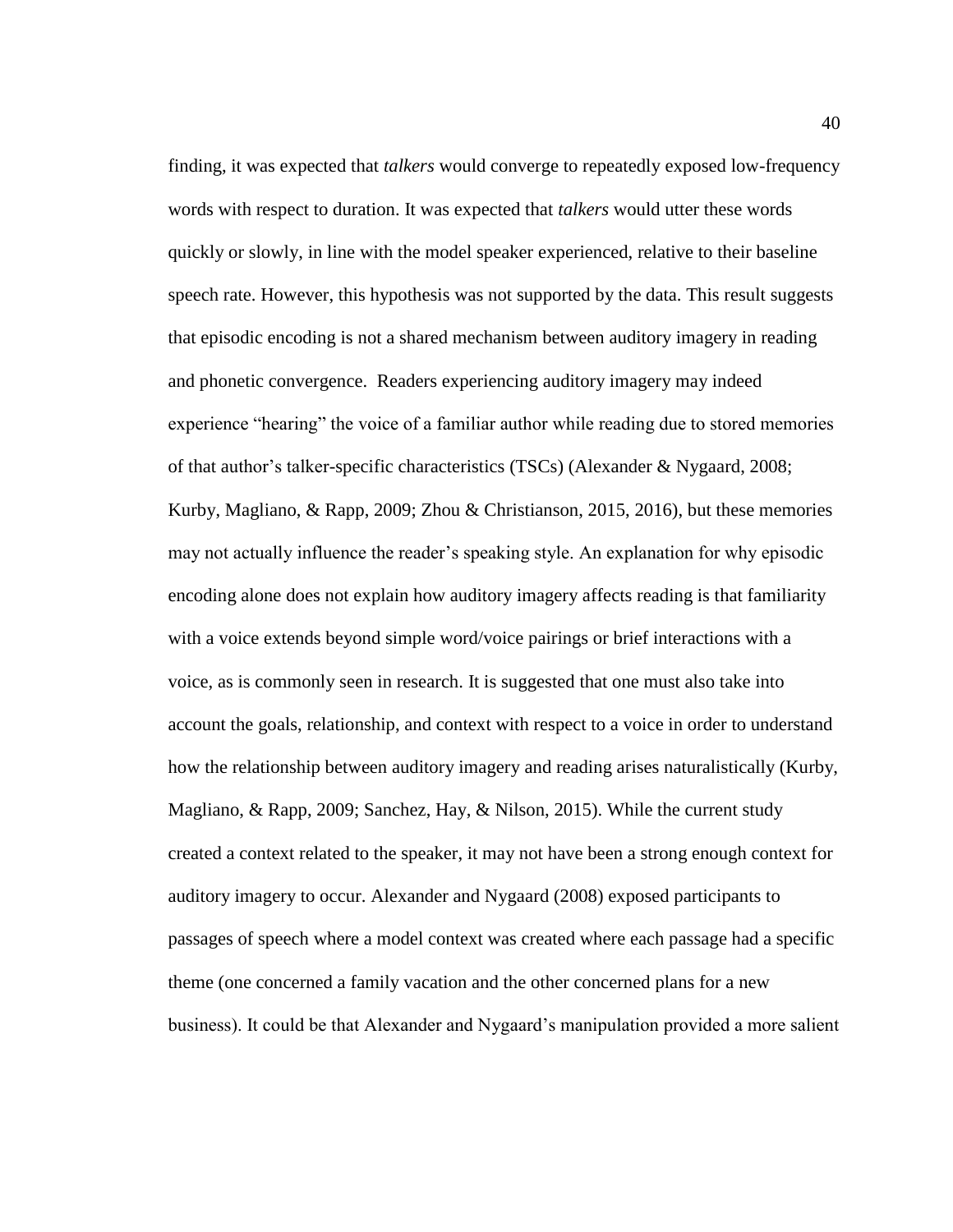finding, it was expected that *talkers* would converge to repeatedly exposed low-frequency words with respect to duration. It was expected that *talkers* would utter these words quickly or slowly, in line with the model speaker experienced, relative to their baseline speech rate. However, this hypothesis was not supported by the data. This result suggests that episodic encoding is not a shared mechanism between auditory imagery in reading and phonetic convergence. Readers experiencing auditory imagery may indeed experience "hearing" the voice of a familiar author while reading due to stored memories of that author's talker-specific characteristics (TSCs) (Alexander & Nygaard, 2008; Kurby, Magliano, & Rapp, 2009; Zhou & Christianson, 2015, 2016), but these memories may not actually influence the reader's speaking style. An explanation for why episodic encoding alone does not explain how auditory imagery affects reading is that familiarity with a voice extends beyond simple word/voice pairings or brief interactions with a voice, as is commonly seen in research. It is suggested that one must also take into account the goals, relationship, and context with respect to a voice in order to understand how the relationship between auditory imagery and reading arises naturalistically (Kurby, Magliano, & Rapp, 2009; Sanchez, Hay, & Nilson, 2015). While the current study created a context related to the speaker, it may not have been a strong enough context for auditory imagery to occur. Alexander and Nygaard (2008) exposed participants to passages of speech where a model context was created where each passage had a specific theme (one concerned a family vacation and the other concerned plans for a new business). It could be that Alexander and Nygaard's manipulation provided a more salient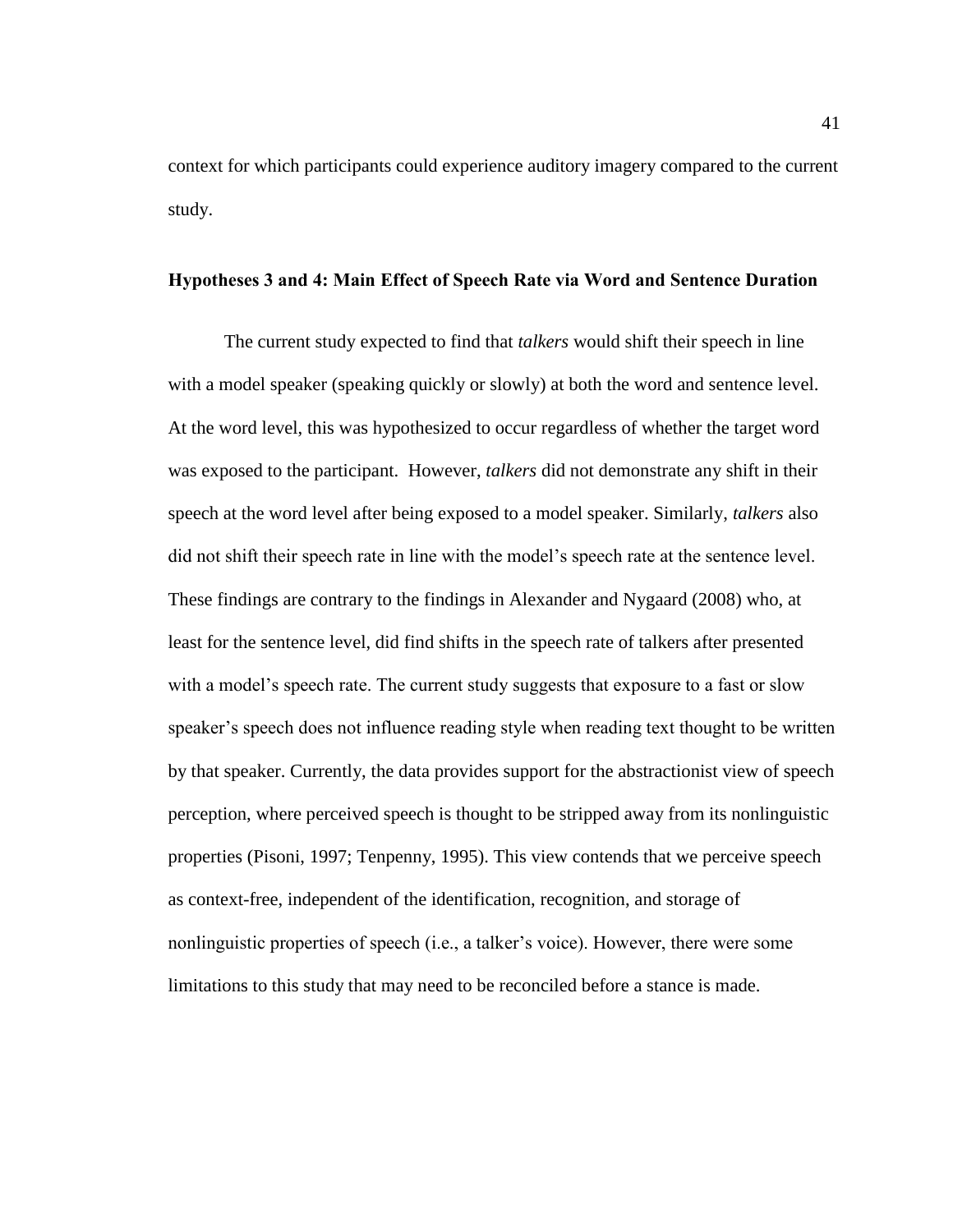context for which participants could experience auditory imagery compared to the current study.

### <span id="page-47-0"></span>**Hypotheses 3 and 4: Main Effect of Speech Rate via Word and Sentence Duration**

The current study expected to find that *talkers* would shift their speech in line with a model speaker (speaking quickly or slowly) at both the word and sentence level. At the word level, this was hypothesized to occur regardless of whether the target word was exposed to the participant. However, *talkers* did not demonstrate any shift in their speech at the word level after being exposed to a model speaker. Similarly, *talkers* also did not shift their speech rate in line with the model's speech rate at the sentence level. These findings are contrary to the findings in Alexander and Nygaard (2008) who, at least for the sentence level, did find shifts in the speech rate of talkers after presented with a model's speech rate. The current study suggests that exposure to a fast or slow speaker's speech does not influence reading style when reading text thought to be written by that speaker. Currently, the data provides support for the abstractionist view of speech perception, where perceived speech is thought to be stripped away from its nonlinguistic properties (Pisoni, 1997; Tenpenny, 1995). This view contends that we perceive speech as context-free, independent of the identification, recognition, and storage of nonlinguistic properties of speech (i.e., a talker's voice). However, there were some limitations to this study that may need to be reconciled before a stance is made.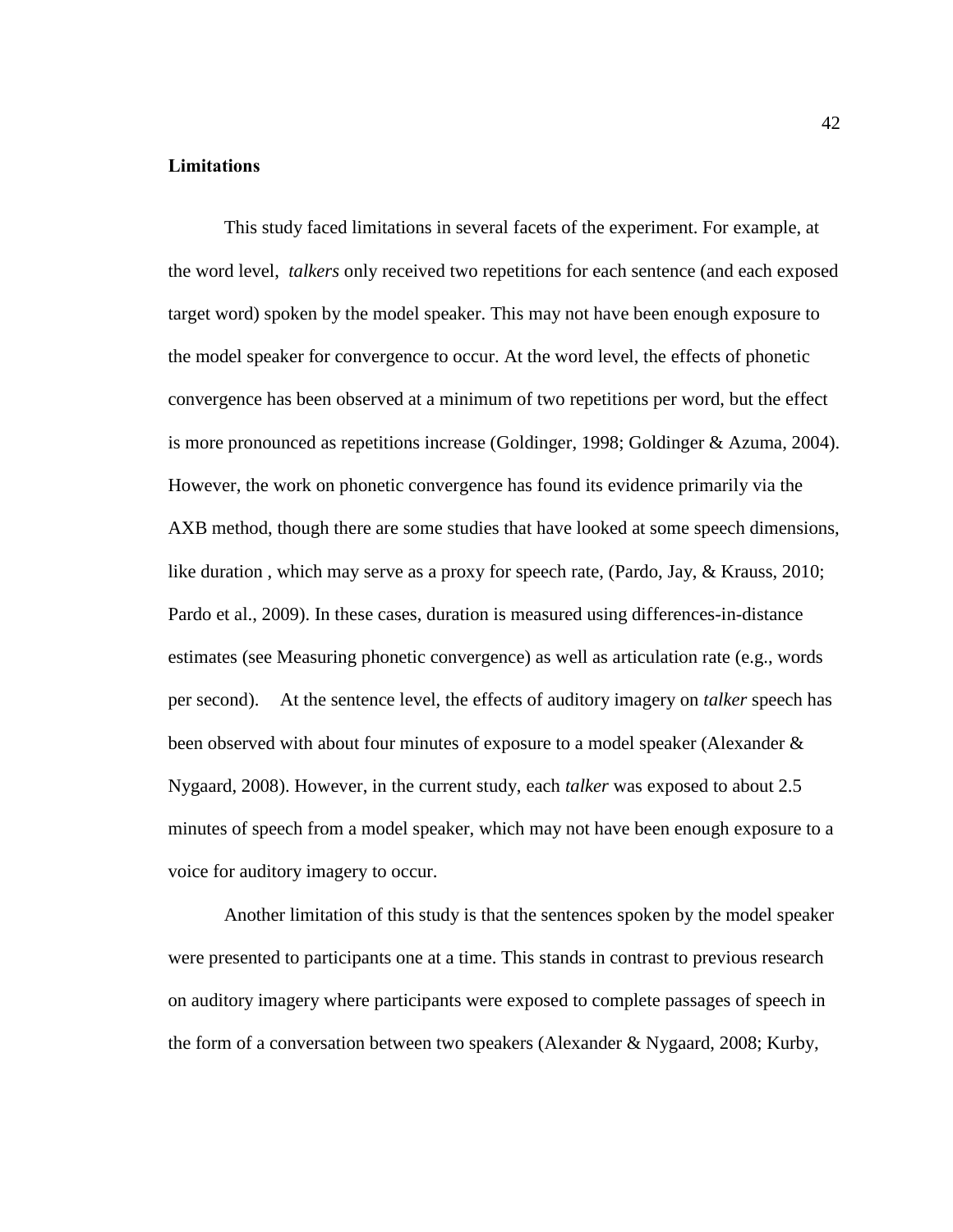### <span id="page-48-0"></span>**Limitations**

This study faced limitations in several facets of the experiment. For example, at the word level, *talkers* only received two repetitions for each sentence (and each exposed target word) spoken by the model speaker. This may not have been enough exposure to the model speaker for convergence to occur. At the word level, the effects of phonetic convergence has been observed at a minimum of two repetitions per word, but the effect is more pronounced as repetitions increase (Goldinger, 1998; Goldinger & Azuma, 2004). However, the work on phonetic convergence has found its evidence primarily via the AXB method, though there are some studies that have looked at some speech dimensions, like duration, which may serve as a proxy for speech rate, (Pardo, Jay, & Krauss, 2010; Pardo et al., 2009). In these cases, duration is measured using differences-in-distance estimates (see Measuring phonetic convergence) as well as articulation rate (e.g., words per second). At the sentence level, the effects of auditory imagery on *talker* speech has been observed with about four minutes of exposure to a model speaker (Alexander & Nygaard, 2008). However, in the current study, each *talker* was exposed to about 2.5 minutes of speech from a model speaker, which may not have been enough exposure to a voice for auditory imagery to occur.

Another limitation of this study is that the sentences spoken by the model speaker were presented to participants one at a time. This stands in contrast to previous research on auditory imagery where participants were exposed to complete passages of speech in the form of a conversation between two speakers (Alexander & Nygaard, 2008; Kurby,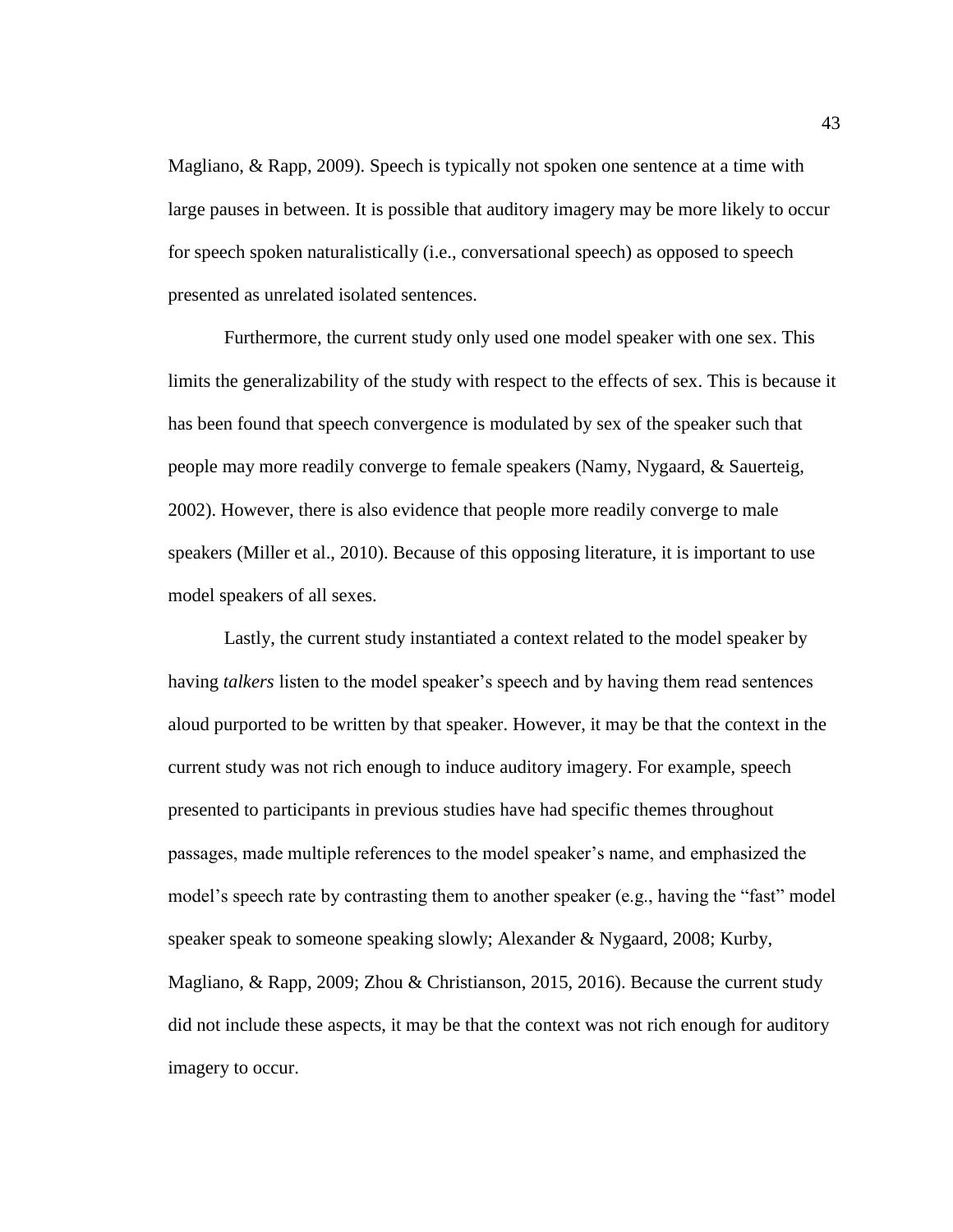Magliano, & Rapp, 2009). Speech is typically not spoken one sentence at a time with large pauses in between. It is possible that auditory imagery may be more likely to occur for speech spoken naturalistically (i.e., conversational speech) as opposed to speech presented as unrelated isolated sentences.

Furthermore, the current study only used one model speaker with one sex. This limits the generalizability of the study with respect to the effects of sex. This is because it has been found that speech convergence is modulated by sex of the speaker such that people may more readily converge to female speakers (Namy, Nygaard, & Sauerteig, 2002). However, there is also evidence that people more readily converge to male speakers (Miller et al., 2010). Because of this opposing literature, it is important to use model speakers of all sexes.

Lastly, the current study instantiated a context related to the model speaker by having *talkers* listen to the model speaker's speech and by having them read sentences aloud purported to be written by that speaker. However, it may be that the context in the current study was not rich enough to induce auditory imagery. For example, speech presented to participants in previous studies have had specific themes throughout passages, made multiple references to the model speaker's name, and emphasized the model's speech rate by contrasting them to another speaker (e.g., having the "fast" model speaker speak to someone speaking slowly; Alexander & Nygaard, 2008; Kurby, Magliano, & Rapp, 2009; Zhou & Christianson, 2015, 2016). Because the current study did not include these aspects, it may be that the context was not rich enough for auditory imagery to occur.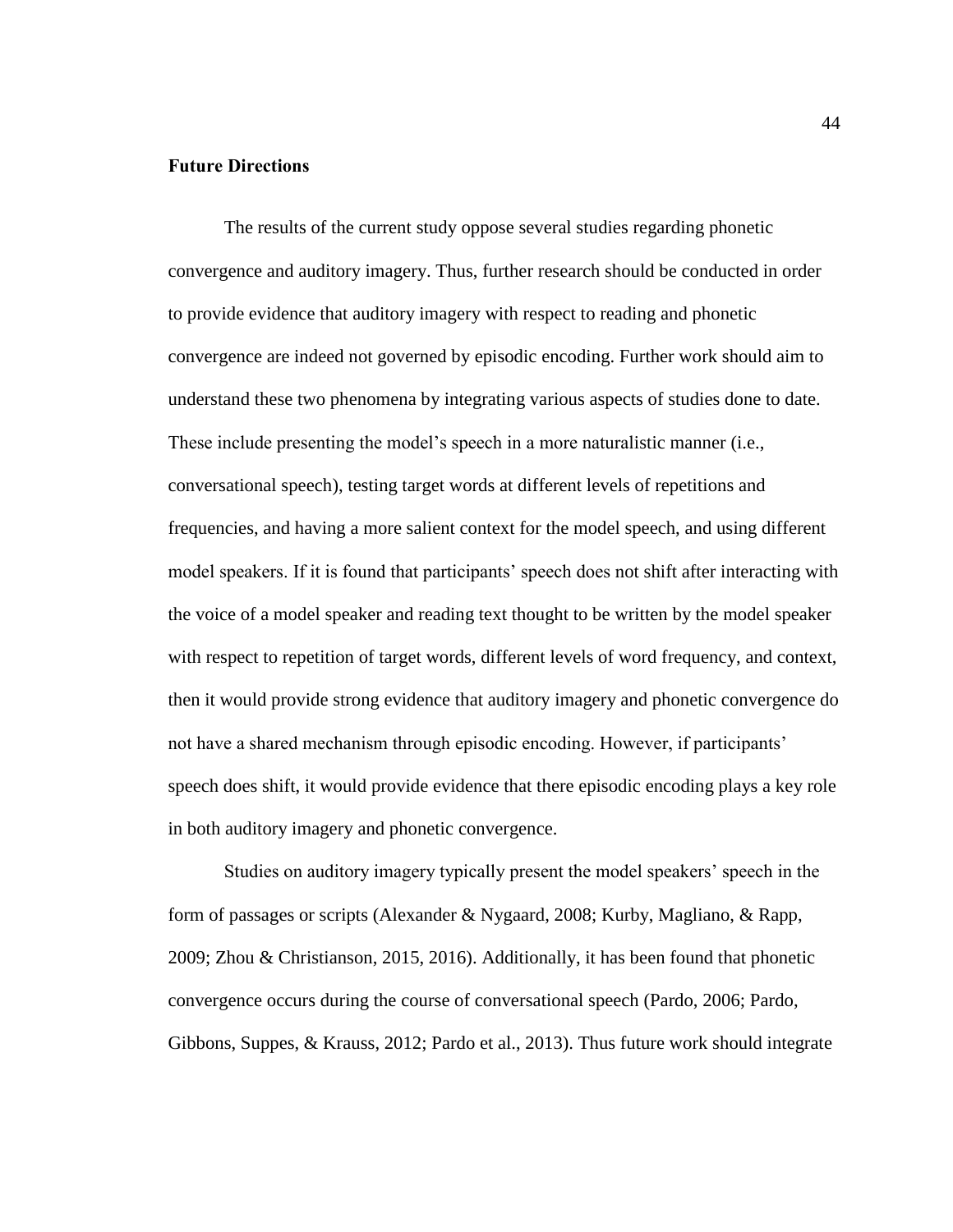# <span id="page-50-0"></span>**Future Directions**

The results of the current study oppose several studies regarding phonetic convergence and auditory imagery. Thus, further research should be conducted in order to provide evidence that auditory imagery with respect to reading and phonetic convergence are indeed not governed by episodic encoding. Further work should aim to understand these two phenomena by integrating various aspects of studies done to date. These include presenting the model's speech in a more naturalistic manner (i.e., conversational speech), testing target words at different levels of repetitions and frequencies, and having a more salient context for the model speech, and using different model speakers. If it is found that participants' speech does not shift after interacting with the voice of a model speaker and reading text thought to be written by the model speaker with respect to repetition of target words, different levels of word frequency, and context, then it would provide strong evidence that auditory imagery and phonetic convergence do not have a shared mechanism through episodic encoding. However, if participants' speech does shift, it would provide evidence that there episodic encoding plays a key role in both auditory imagery and phonetic convergence.

Studies on auditory imagery typically present the model speakers' speech in the form of passages or scripts (Alexander & Nygaard, 2008; Kurby, Magliano, & Rapp, 2009; Zhou & Christianson, 2015, 2016). Additionally, it has been found that phonetic convergence occurs during the course of conversational speech (Pardo, 2006; Pardo, Gibbons, Suppes, & Krauss, 2012; Pardo et al., 2013). Thus future work should integrate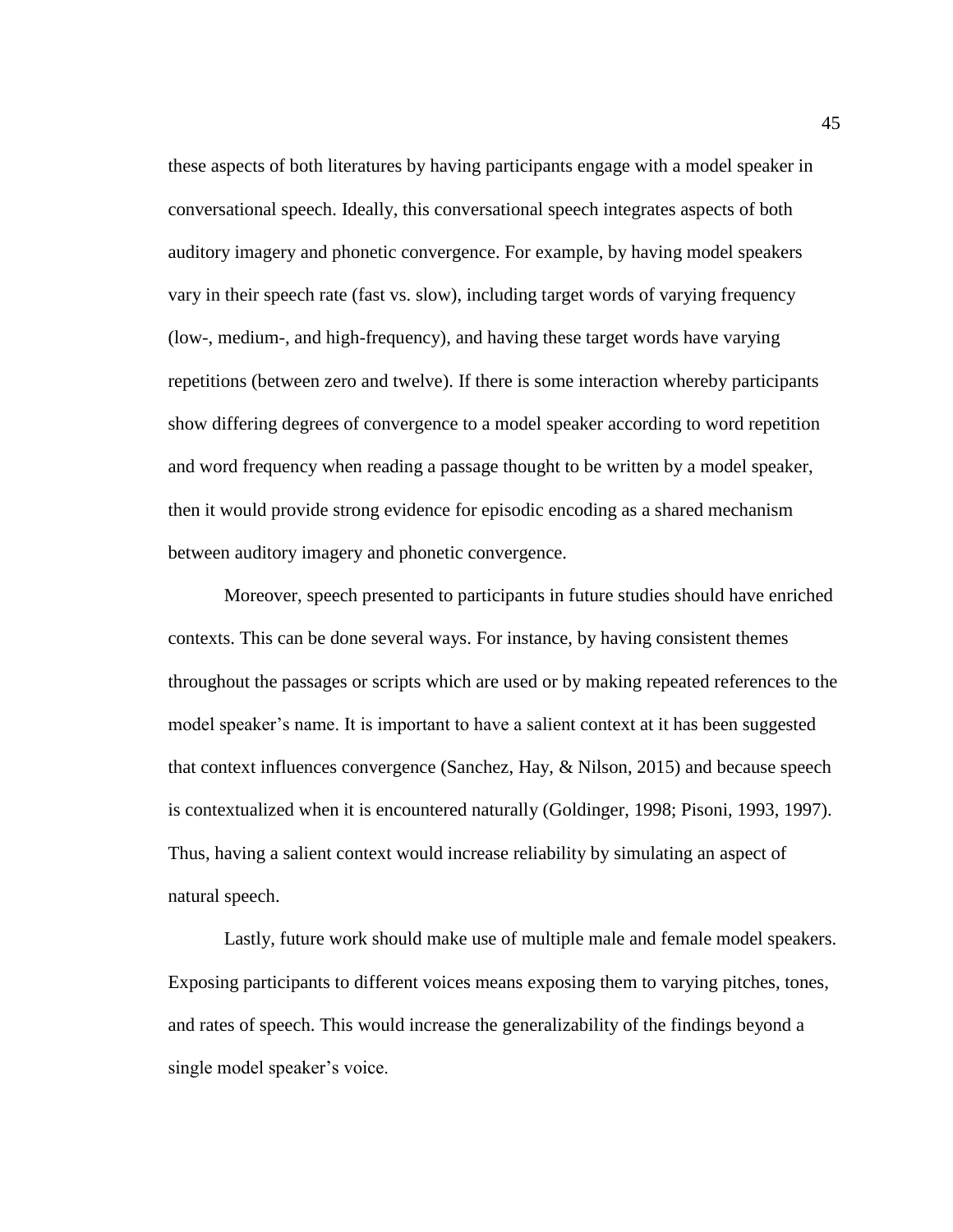these aspects of both literatures by having participants engage with a model speaker in conversational speech. Ideally, this conversational speech integrates aspects of both auditory imagery and phonetic convergence. For example, by having model speakers vary in their speech rate (fast vs. slow), including target words of varying frequency (low-, medium-, and high-frequency), and having these target words have varying repetitions (between zero and twelve). If there is some interaction whereby participants show differing degrees of convergence to a model speaker according to word repetition and word frequency when reading a passage thought to be written by a model speaker, then it would provide strong evidence for episodic encoding as a shared mechanism between auditory imagery and phonetic convergence.

Moreover, speech presented to participants in future studies should have enriched contexts. This can be done several ways. For instance, by having consistent themes throughout the passages or scripts which are used or by making repeated references to the model speaker's name. It is important to have a salient context at it has been suggested that context influences convergence (Sanchez, Hay, & Nilson, 2015) and because speech is contextualized when it is encountered naturally (Goldinger, 1998; Pisoni, 1993, 1997). Thus, having a salient context would increase reliability by simulating an aspect of natural speech.

Lastly, future work should make use of multiple male and female model speakers. Exposing participants to different voices means exposing them to varying pitches, tones, and rates of speech. This would increase the generalizability of the findings beyond a single model speaker's voice.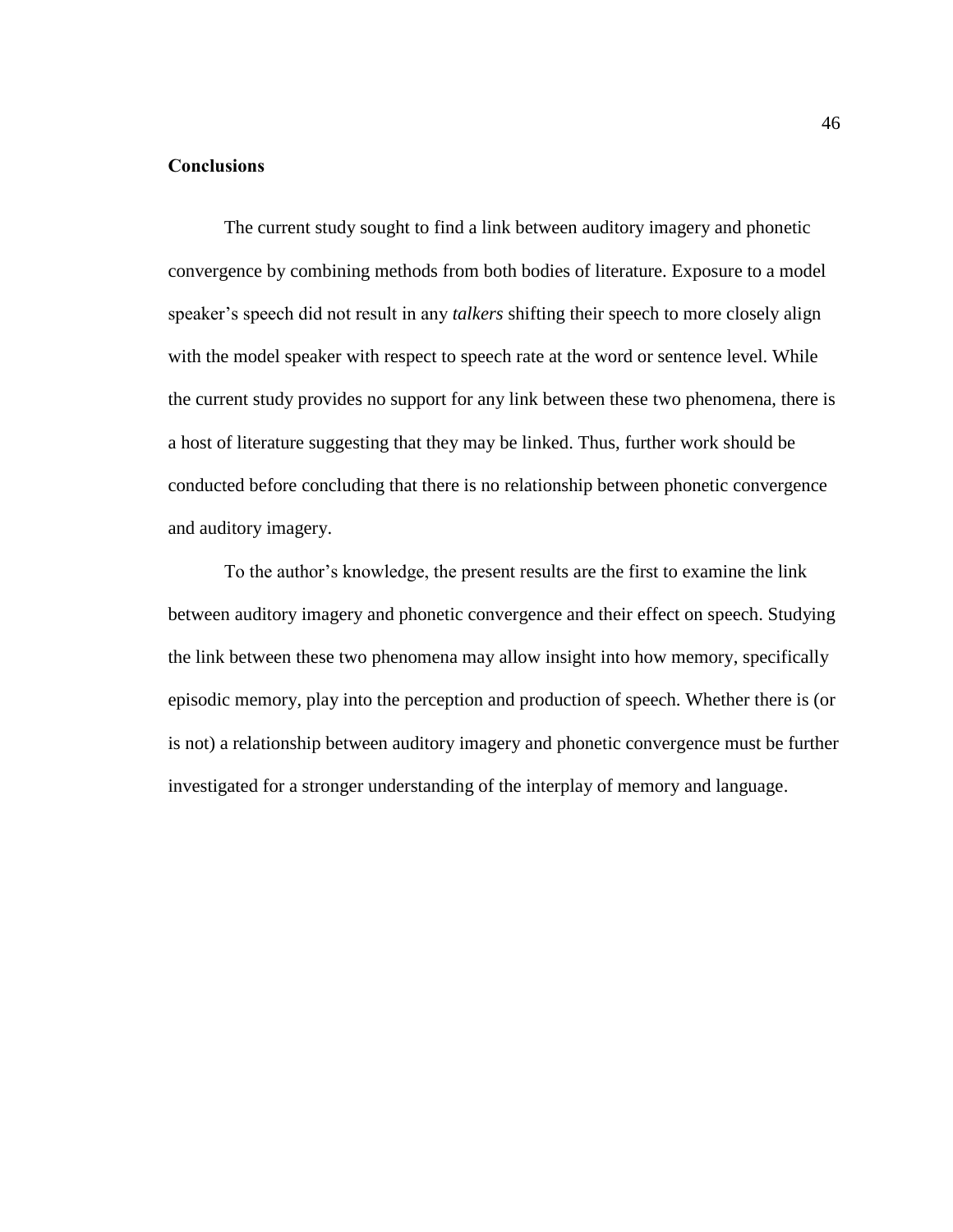# <span id="page-52-0"></span>**Conclusions**

The current study sought to find a link between auditory imagery and phonetic convergence by combining methods from both bodies of literature. Exposure to a model speaker's speech did not result in any *talkers* shifting their speech to more closely align with the model speaker with respect to speech rate at the word or sentence level. While the current study provides no support for any link between these two phenomena, there is a host of literature suggesting that they may be linked. Thus, further work should be conducted before concluding that there is no relationship between phonetic convergence and auditory imagery.

To the author's knowledge, the present results are the first to examine the link between auditory imagery and phonetic convergence and their effect on speech. Studying the link between these two phenomena may allow insight into how memory, specifically episodic memory, play into the perception and production of speech. Whether there is (or is not) a relationship between auditory imagery and phonetic convergence must be further investigated for a stronger understanding of the interplay of memory and language.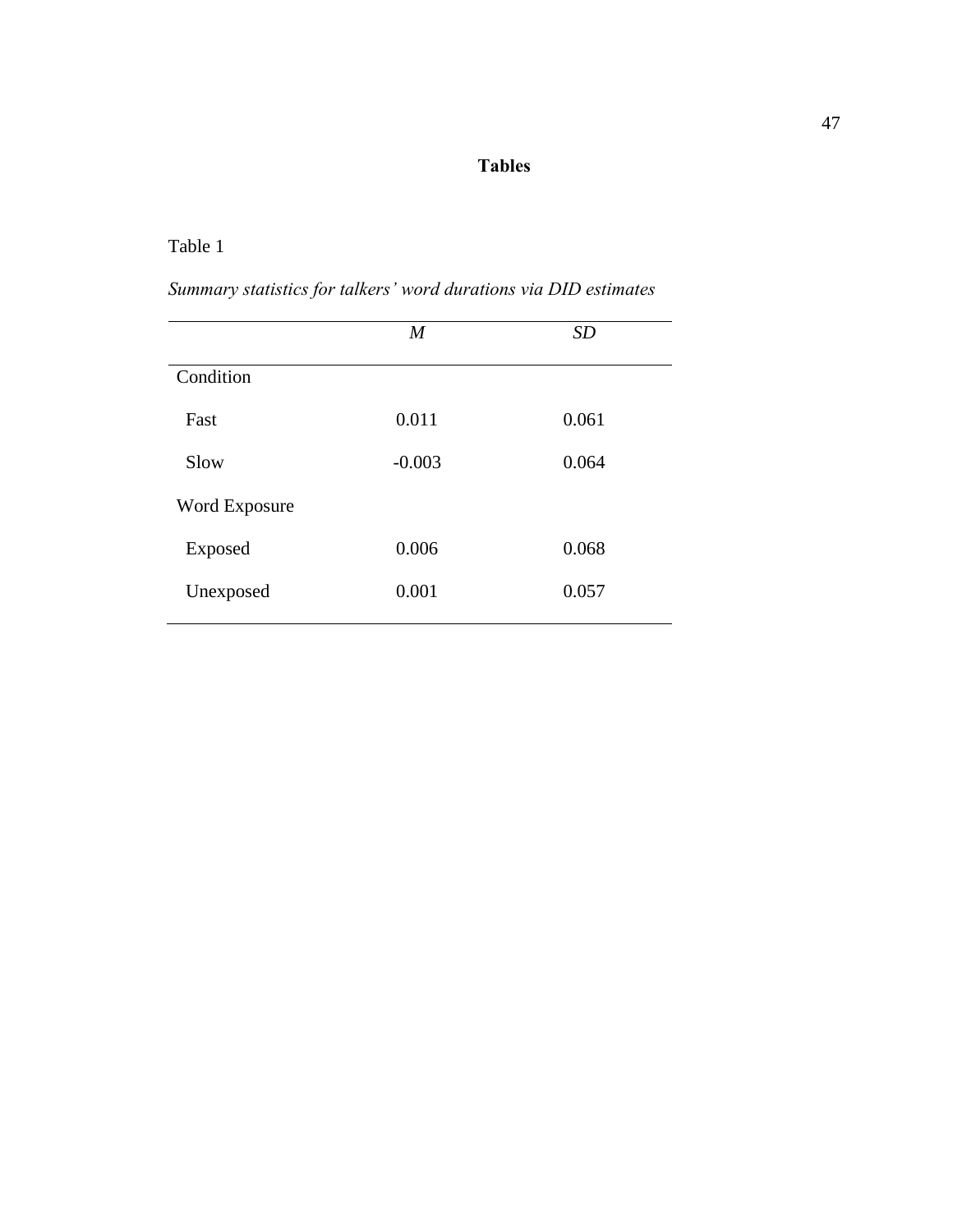# **Tables**

# <span id="page-53-1"></span><span id="page-53-0"></span>Table 1

| Summary statistics for talkers' word durations via DID estimates |  |  |  |
|------------------------------------------------------------------|--|--|--|
|------------------------------------------------------------------|--|--|--|

|                      | $\boldsymbol{M}$ | <b>SD</b> |
|----------------------|------------------|-----------|
| Condition            |                  |           |
| Fast                 | 0.011            | 0.061     |
| Slow                 | $-0.003$         | 0.064     |
| <b>Word Exposure</b> |                  |           |
| Exposed              | 0.006            | 0.068     |
| Unexposed            | 0.001            | 0.057     |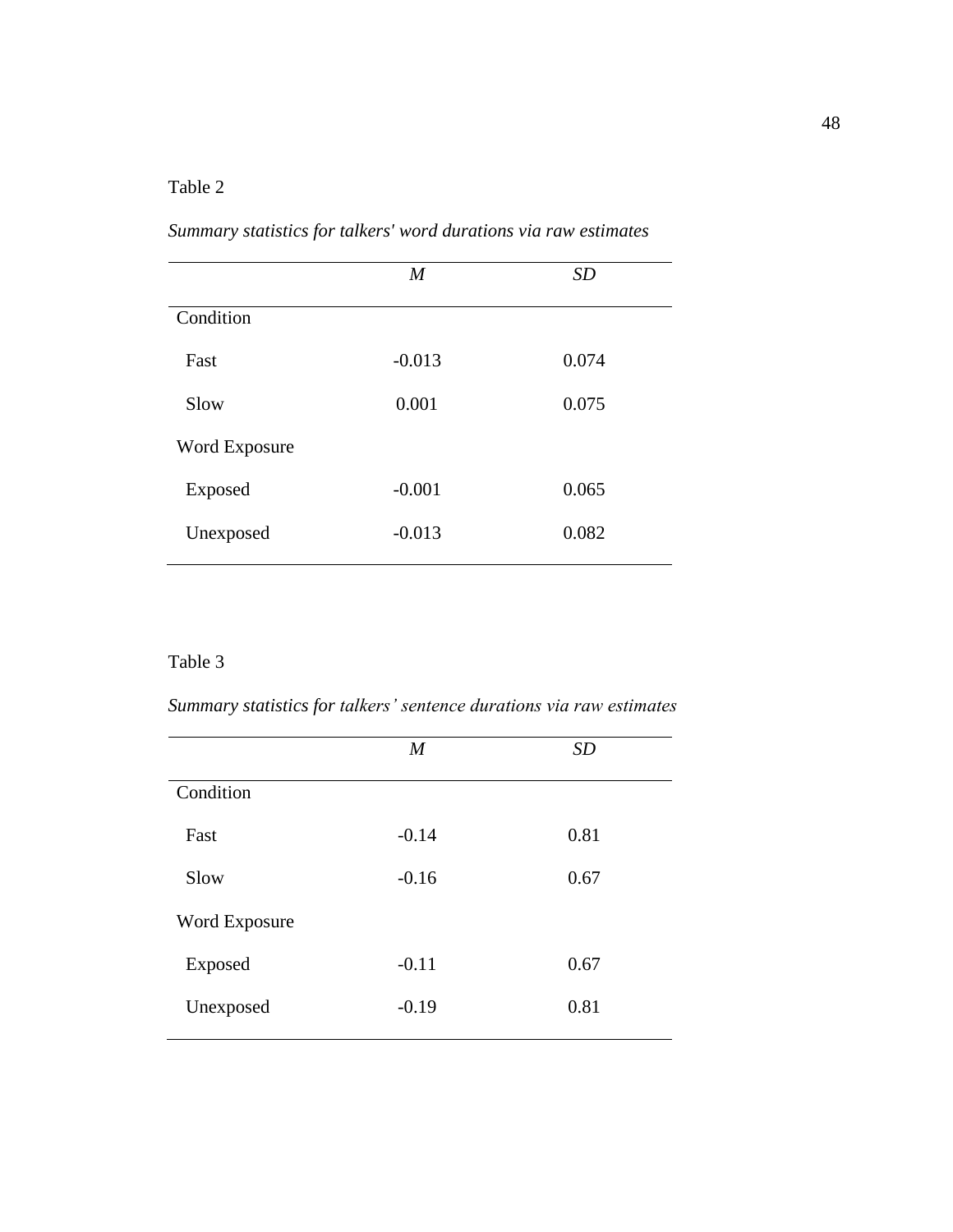# <span id="page-54-0"></span>Table 2

| Summary statistics for talkers' word durations via raw estimates |  |  |  |  |  |  |  |
|------------------------------------------------------------------|--|--|--|--|--|--|--|
|------------------------------------------------------------------|--|--|--|--|--|--|--|

|                      | M        | SD    |  |
|----------------------|----------|-------|--|
| Condition            |          |       |  |
| Fast                 | $-0.013$ | 0.074 |  |
| Slow                 | 0.001    | 0.075 |  |
| <b>Word Exposure</b> |          |       |  |
| Exposed              | $-0.001$ | 0.065 |  |
| Unexposed            | $-0.013$ | 0.082 |  |

# <span id="page-54-1"></span>Table 3

*Summary statistics for talkers' sentence durations via raw estimates*

|                      | $\boldsymbol{M}$ | SD   |  |
|----------------------|------------------|------|--|
| Condition            |                  |      |  |
| Fast                 | $-0.14$          | 0.81 |  |
| Slow                 | $-0.16$          | 0.67 |  |
| <b>Word Exposure</b> |                  |      |  |
| Exposed              | $-0.11$          | 0.67 |  |
| Unexposed            | $-0.19$          | 0.81 |  |
|                      |                  |      |  |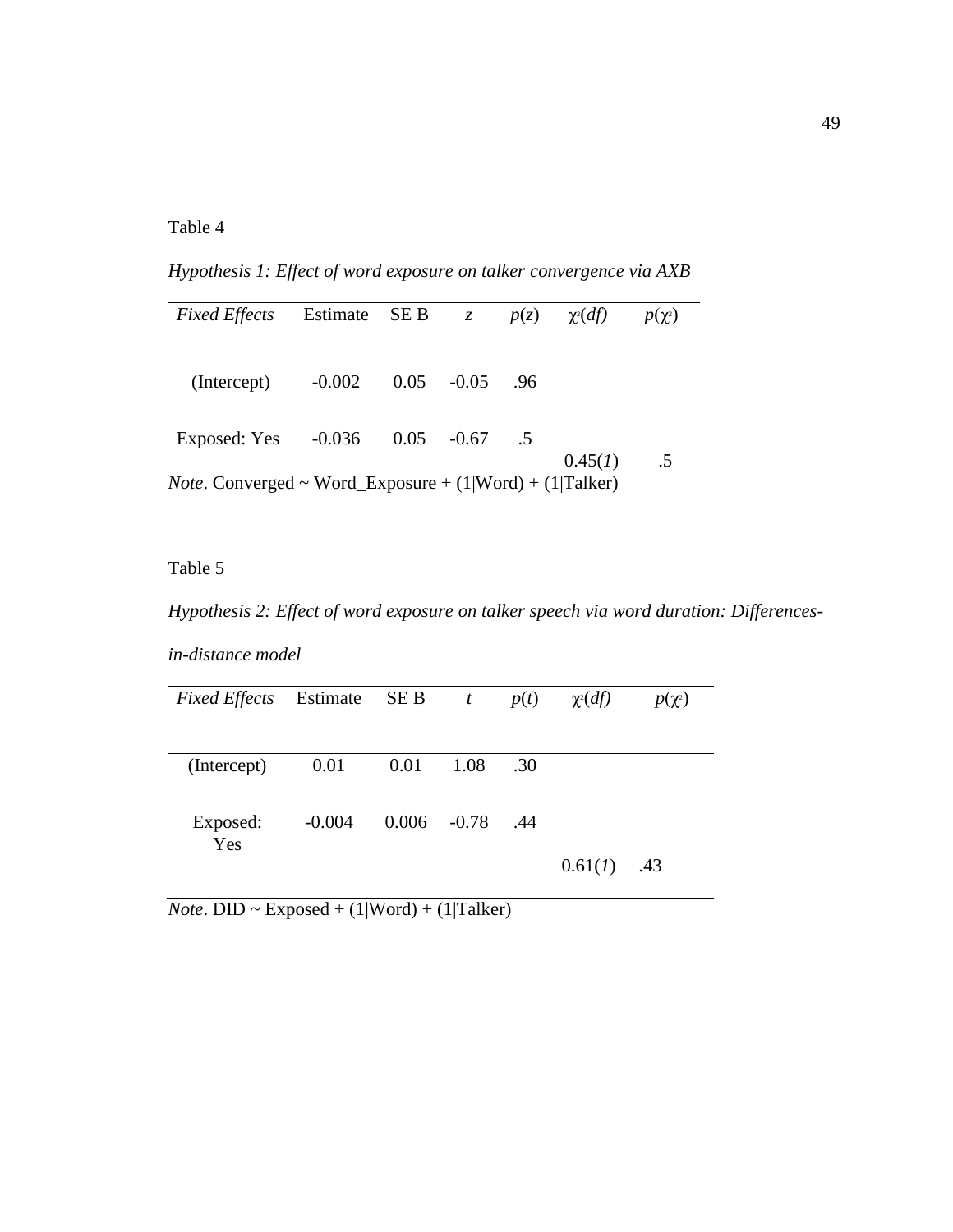# <span id="page-55-0"></span>Table 4

*Hypothesis 1: Effect of word exposure on talker convergence via AXB*

| <b>Fixed Effects</b> | Estimate SE B                                                     |               | $\mathcal{Z}$ |     | $p(z)$ $\chi^2(df)$ | $p(\chi^2)$ |  |
|----------------------|-------------------------------------------------------------------|---------------|---------------|-----|---------------------|-------------|--|
|                      |                                                                   |               |               |     |                     |             |  |
| (Intercept)          | $-0.002$                                                          | $0.05 - 0.05$ |               | .96 |                     |             |  |
| Exposed: Yes         | $-0.036$                                                          | 0.05          | $-0.67$       | .5  |                     |             |  |
|                      |                                                                   |               |               |     | 0.45(1)             | $.5\,$      |  |
|                      | <i>Note</i> . Converged ~ Word_Exposure + $(1 Word) + (1 Talker)$ |               |               |     |                     |             |  |

# <span id="page-55-1"></span>Table 5

*Hypothesis 2: Effect of word exposure on talker speech via word duration: Differences-*

*in-distance model*

| <i>Fixed Effects</i> Estimate SE B t |          |                |      | p(t) | $\chi^2(df)$ | $p(\chi^2)$ |
|--------------------------------------|----------|----------------|------|------|--------------|-------------|
|                                      |          |                |      |      |              |             |
| (Intercept)                          | 0.01     | 0.01           | 1.08 | .30  |              |             |
| Exposed:<br>Yes                      | $-0.004$ | $0.006 - 0.78$ |      | .44  |              |             |
|                                      |          |                |      |      | 0.61(1)      | .43         |

 $\overline{Note. DID \sim Exposed + (1|Word) + (1|Talker)}$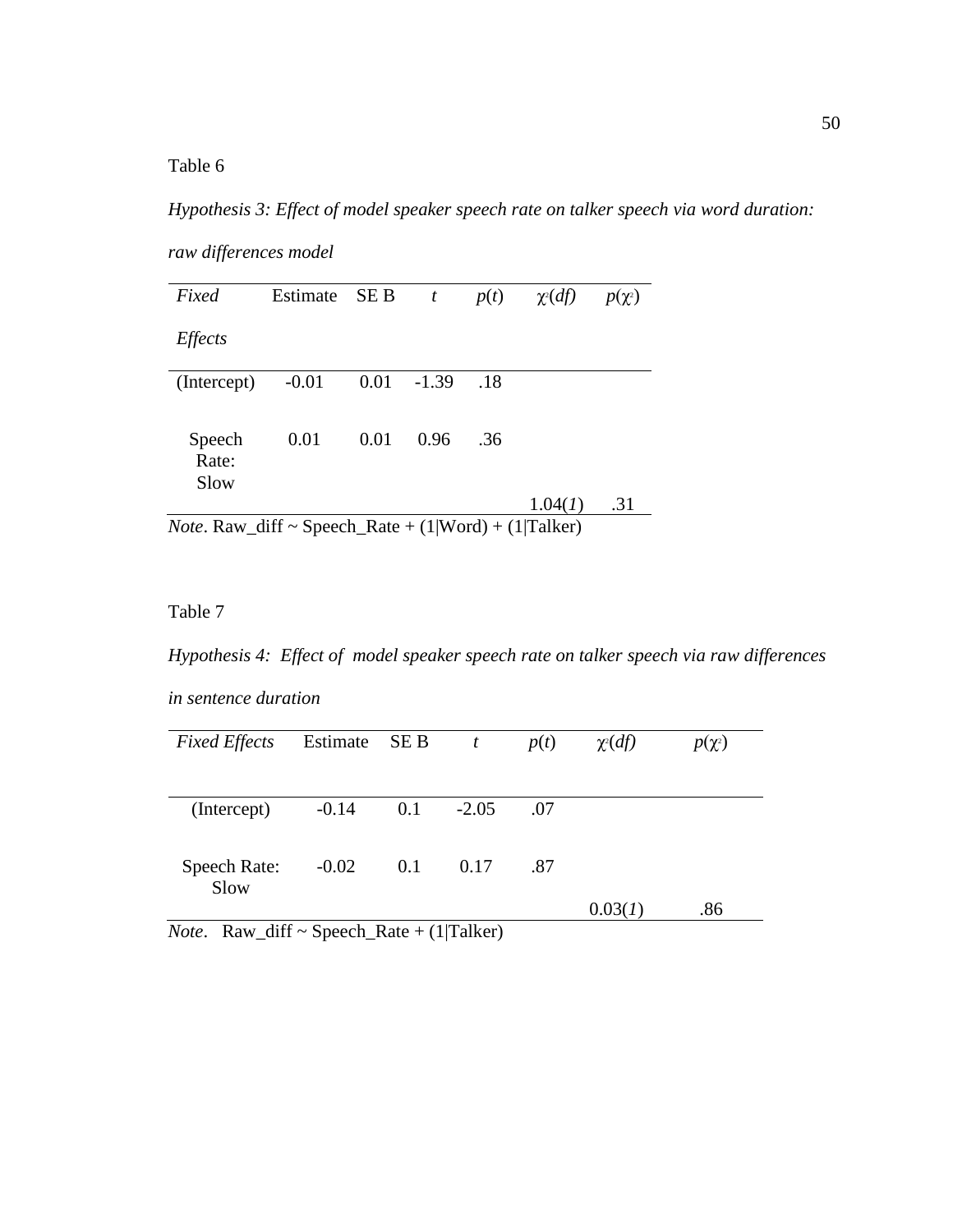<span id="page-56-0"></span>Table 6

*Hypothesis 3: Effect of model speaker speech rate on talker speech via word duration:* 

*raw differences model*

| Fixed                                    | Estimate SE B |      | $\boldsymbol{t}$ | p(t) | $\chi$ <sup>2</sup> ( <i>df</i> )                                               | $p(\chi^2)$ |
|------------------------------------------|---------------|------|------------------|------|---------------------------------------------------------------------------------|-------------|
| <b>Effects</b>                           |               |      |                  |      |                                                                                 |             |
| (Intercept)                              | $-0.01$       | 0.01 | $-1.39$          | .18  |                                                                                 |             |
| Speech<br>Rate:<br>Slow                  | 0.01          | 0.01 | 0.96             | .36  |                                                                                 |             |
| $N_{obs}$ D <sub>ovy</sub> $\text{diff}$ |               |      |                  |      | 1.04(1)<br>$S_{meash}$ $D_{obs}$ (1 $W_{cond}$ ) (1 $T_{c}$ ll <sub>rom</sub> ) | .31         |

*Note*. Raw\_diff  $\sim$  Speech\_Rate + (1|Word) + (1|Talker)

# <span id="page-56-1"></span>Table 7

*Hypothesis 4: Effect of model speaker speech rate on talker speech via raw differences* 

*in sentence duration*

| <b>Fixed Effects</b>                             | Estimate SE B |               | $\boldsymbol{t}$                    | p(t) | $\chi^2(df)$ | $p(\chi^2)$ |
|--------------------------------------------------|---------------|---------------|-------------------------------------|------|--------------|-------------|
|                                                  |               |               |                                     |      |              |             |
| (Intercept)                                      | $-0.14$       | 0.1           | $-2.05$                             | .07  |              |             |
|                                                  |               |               |                                     |      |              |             |
| Speech Rate:<br>Slow                             | $-0.02$       | 0.1           | 0.17                                | .87  |              |             |
| $\cdots$<br><b>T</b><br>$\overline{\phantom{a}}$ | $\sim$<br>. . | $\sim$ $\sim$ | $\sqrt{4}$ in $\sqrt{14}$<br>$\sim$ |      | 0.03(1)      | .86         |

*Note*. Raw\_diff ~ Speech\_Rate + (1|Talker)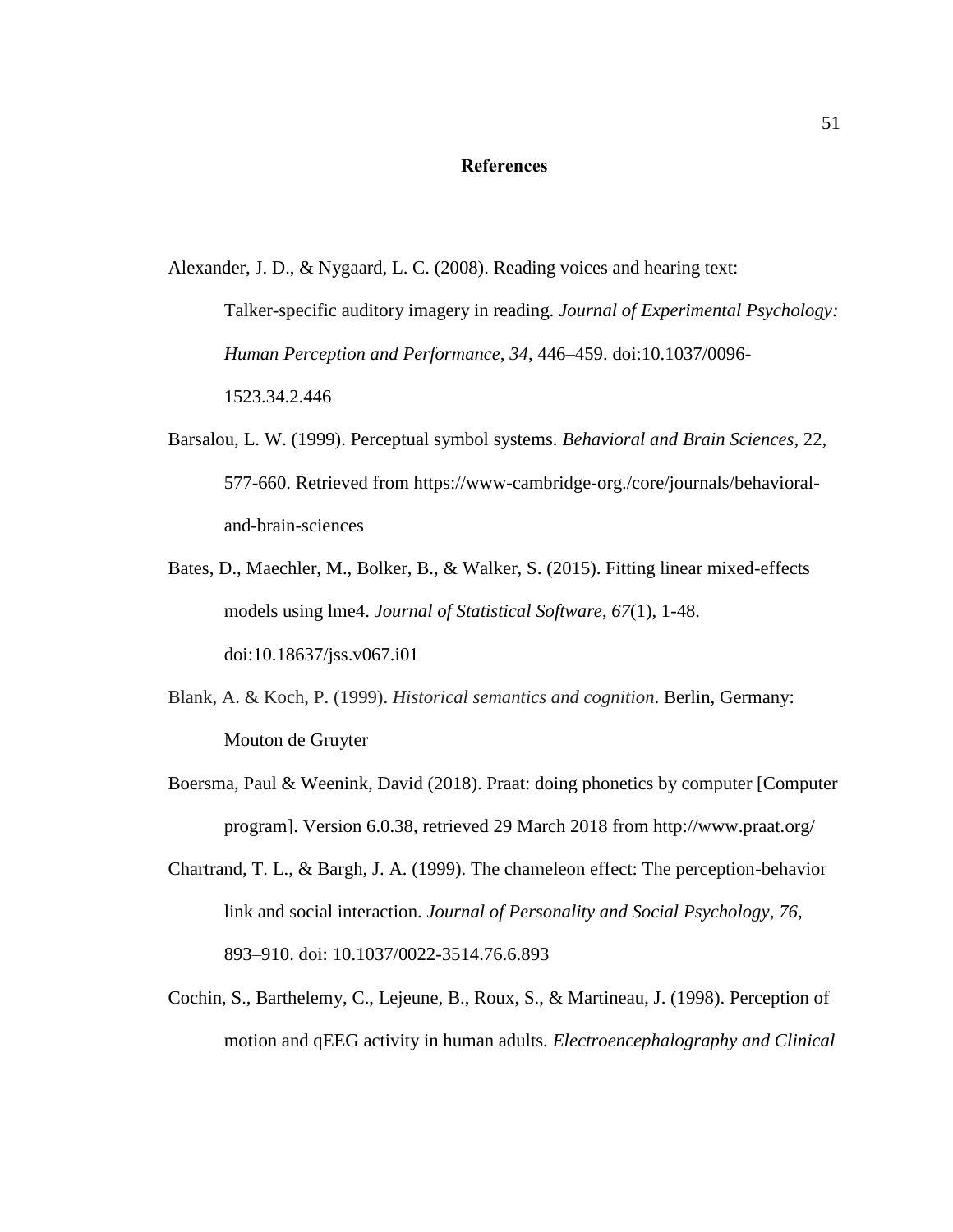# **References**

<span id="page-57-0"></span>Alexander, J. D., & Nygaard, L. C. (2008). Reading voices and hearing text:

Talker-specific auditory imagery in reading. *Journal of Experimental Psychology: Human Perception and Performance*, *34*, 446–459. doi:10.1037/0096- 1523.34.2.446

- Barsalou, L. W. (1999). Perceptual symbol systems. *Behavioral and Brain Sciences*, 22, 577-660. Retrieved from https://www-cambridge-org./core/journals/behavioraland-brain-sciences
- Bates, D., Maechler, M., Bolker, B., & Walker, S. (2015). Fitting linear mixed-effects models using lme4. *Journal of Statistical Software*, *67*(1), 1-48. doi:10.18637/jss.v067.i01
- Blank, A. & Koch, P. (1999). *Historical semantics and cognition*. Berlin, Germany: Mouton de Gruyter
- Boersma, Paul & Weenink, David (2018). Praat: doing phonetics by computer [Computer program]. Version 6.0.38, retrieved 29 March 2018 from http://www.praat.org/
- Chartrand, T. L., & Bargh, J. A. (1999). The chameleon effect: The perception-behavior link and social interaction. *Journal of Personality and Social Psychology*, *76*, 893–910. doi: 10.1037/0022-3514.76.6.893
- Cochin, S., Barthelemy, C., Lejeune, B., Roux, S., & Martineau, J. (1998). Perception of motion and qEEG activity in human adults. *Electroencephalography and Clinical*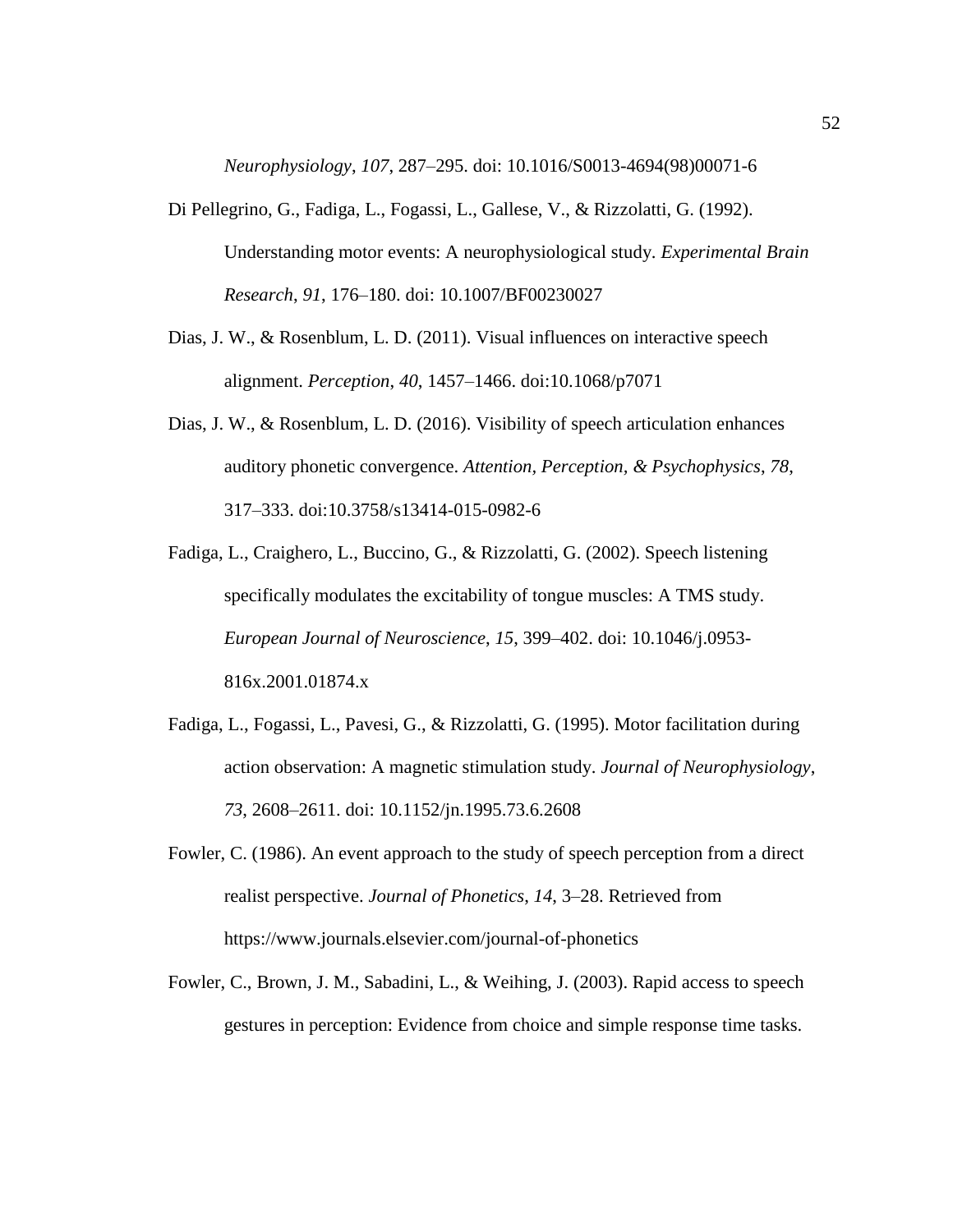*Neurophysiology*, *107*, 287–295. doi: 10.1016/S0013-4694(98)00071-6

- Di Pellegrino, G., Fadiga, L., Fogassi, L., Gallese, V., & Rizzolatti, G. (1992). Understanding motor events: A neurophysiological study. *Experimental Brain Research*, *91*, 176–180. doi: 10.1007/BF00230027
- Dias, J. W., & Rosenblum, L. D. (2011). Visual influences on interactive speech alignment. *Perception*, *40*, 1457–1466. doi:10.1068/p7071
- Dias, J. W., & Rosenblum, L. D. (2016). Visibility of speech articulation enhances auditory phonetic convergence. *Attention, Perception, & Psychophysics*, *78*, 317–333. doi:10.3758/s13414-015-0982-6
- Fadiga, L., Craighero, L., Buccino, G., & Rizzolatti, G. (2002). Speech listening specifically modulates the excitability of tongue muscles: A TMS study. *European Journal of Neuroscience*, *15*, 399–402. doi: 10.1046/j.0953- 816x.2001.01874.x
- Fadiga, L., Fogassi, L., Pavesi, G., & Rizzolatti, G. (1995). Motor facilitation during action observation: A magnetic stimulation study. *Journal of Neurophysiology*, *73*, 2608–2611. doi: 10.1152/jn.1995.73.6.2608
- Fowler, C. (1986). An event approach to the study of speech perception from a direct realist perspective. *Journal of Phonetics*, *14*, 3–28. Retrieved from https://www.journals.elsevier.com/journal-of-phonetics
- Fowler, C., Brown, J. M., Sabadini, L., & Weihing, J. (2003). Rapid access to speech gestures in perception: Evidence from choice and simple response time tasks.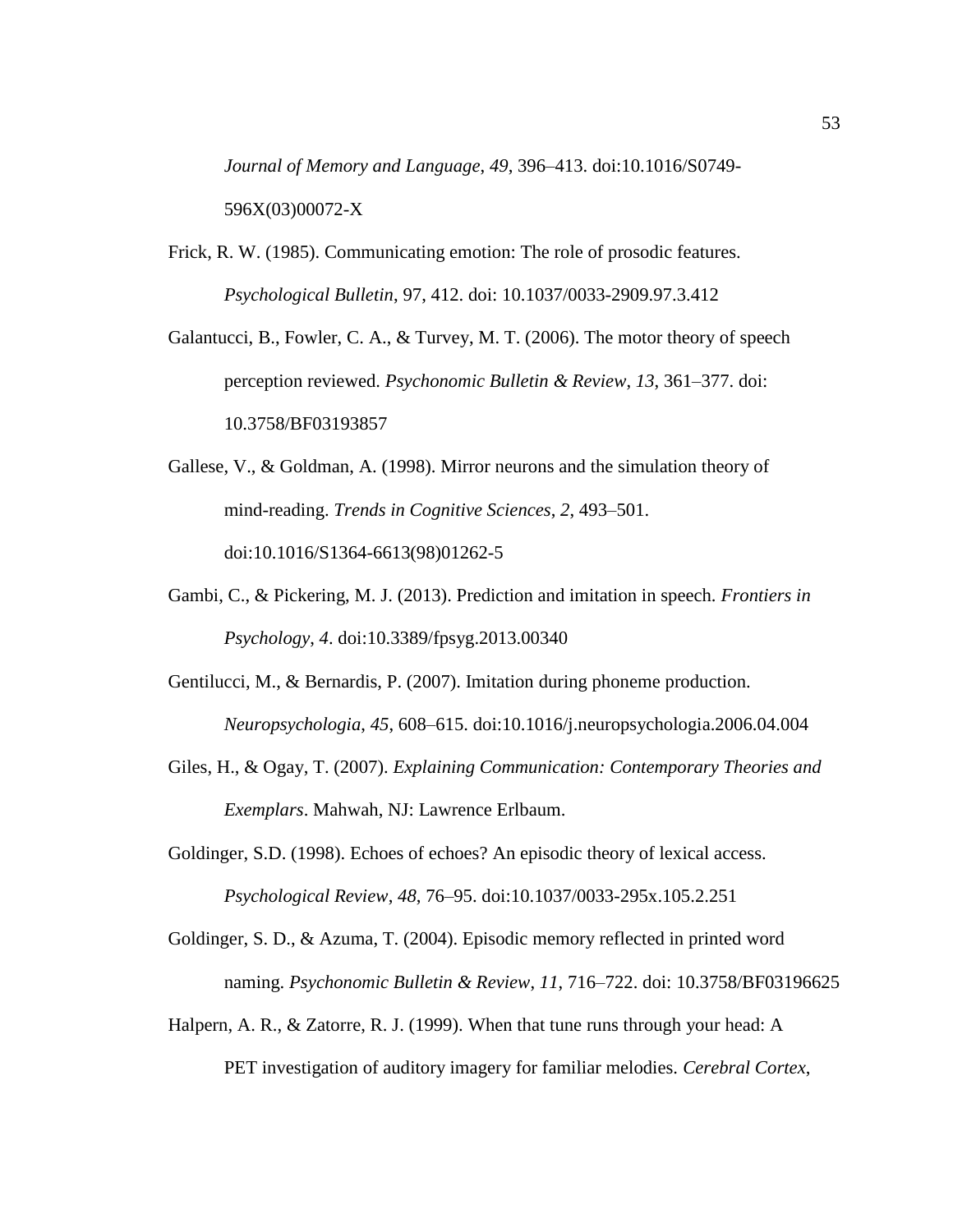*Journal of Memory and Language*, *49*, 396–413. doi:10.1016/S0749- 596X(03)00072-X

Frick, R. W. (1985). Communicating emotion: The role of prosodic features. *Psychological Bulletin*, 97, 412. doi: 10.1037/0033-2909.97.3.412

Galantucci, B., Fowler, C. A., & Turvey, M. T. (2006). The motor theory of speech perception reviewed. *Psychonomic Bulletin & Review*, *13*, 361–377. doi: 10.3758/BF03193857

Gallese, V., & Goldman, A. (1998). Mirror neurons and the simulation theory of mind-reading. *Trends in Cognitive Sciences*, *2*, 493–501. doi:10.1016/S1364-6613(98)01262-5

- Gambi, C., & Pickering, M. J. (2013). Prediction and imitation in speech. *Frontiers in Psychology*, *4*. doi:10.3389/fpsyg.2013.00340
- Gentilucci, M., & Bernardis, P. (2007). Imitation during phoneme production. *Neuropsychologia*, *45*, 608–615. doi:10.1016/j.neuropsychologia.2006.04.004
- Giles, H., & Ogay, T. (2007). *Explaining Communication: Contemporary Theories and Exemplars*. Mahwah, NJ: Lawrence Erlbaum.

Goldinger, S.D. (1998). Echoes of echoes? An episodic theory of lexical access. *Psychological Review*, *48*, 76–95. doi:10.1037/0033-295x.105.2.251

Goldinger, S. D., & Azuma, T. (2004). Episodic memory reflected in printed word naming. *Psychonomic Bulletin & Review*, *11*, 716–722. doi: 10.3758/BF03196625

Halpern, A. R., & Zatorre, R. J. (1999). When that tune runs through your head: A PET investigation of auditory imagery for familiar melodies. *Cerebral Cortex*,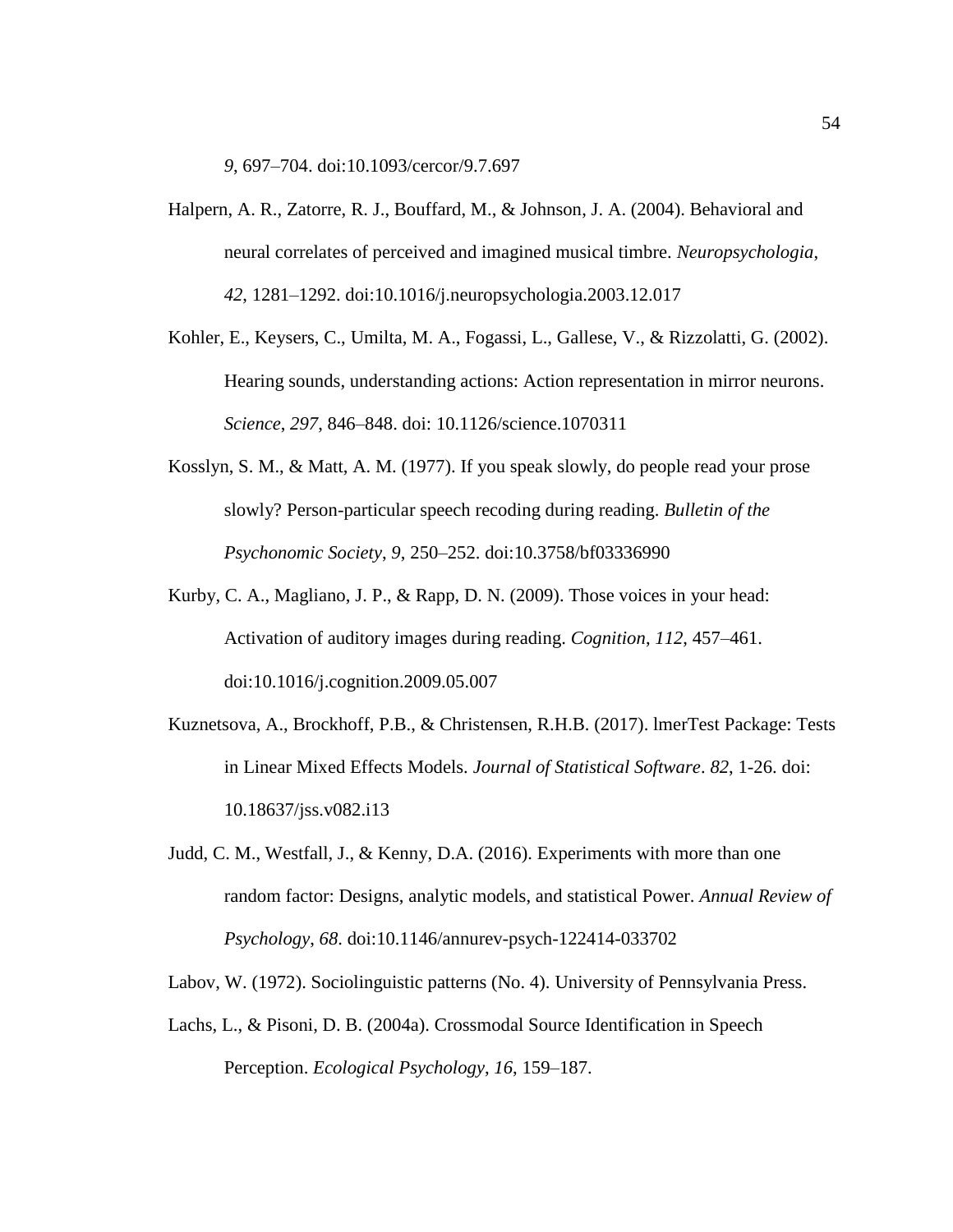*9*, 697–704. doi:10.1093/cercor/9.7.697

- Halpern, A. R., Zatorre, R. J., Bouffard, M., & Johnson, J. A. (2004). Behavioral and neural correlates of perceived and imagined musical timbre. *Neuropsychologia*, *42*, 1281–1292. doi:10.1016/j.neuropsychologia.2003.12.017
- Kohler, E., Keysers, C., Umilta, M. A., Fogassi, L., Gallese, V., & Rizzolatti, G. (2002). Hearing sounds, understanding actions: Action representation in mirror neurons. *Science*, *297*, 846–848. doi: 10.1126/science.1070311
- Kosslyn, S. M., & Matt, A. M. (1977). If you speak slowly, do people read your prose slowly? Person-particular speech recoding during reading. *Bulletin of the Psychonomic Society*, *9*, 250–252. doi:10.3758/bf03336990
- Kurby, C. A., Magliano, J. P., & Rapp, D. N. (2009). Those voices in your head: Activation of auditory images during reading. *Cognition*, *112*, 457–461. doi:10.1016/j.cognition.2009.05.007
- Kuznetsova, A., Brockhoff, P.B., & Christensen, R.H.B. (2017). lmerTest Package: Tests in Linear Mixed Effects Models. *Journal of Statistical Software*. *82*, 1-26. doi: 10.18637/jss.v082.i13
- Judd, C. M., Westfall, J., & Kenny, D.A. (2016). Experiments with more than one random factor: Designs, analytic models, and statistical Power. *Annual Review of Psychology*, *68*. doi:10.1146/annurev-psych-122414-033702

Labov, W. (1972). Sociolinguistic patterns (No. 4). University of Pennsylvania Press.

Lachs, L., & Pisoni, D. B. (2004a). Crossmodal Source Identification in Speech Perception. *Ecological Psychology*, *16*, 159–187.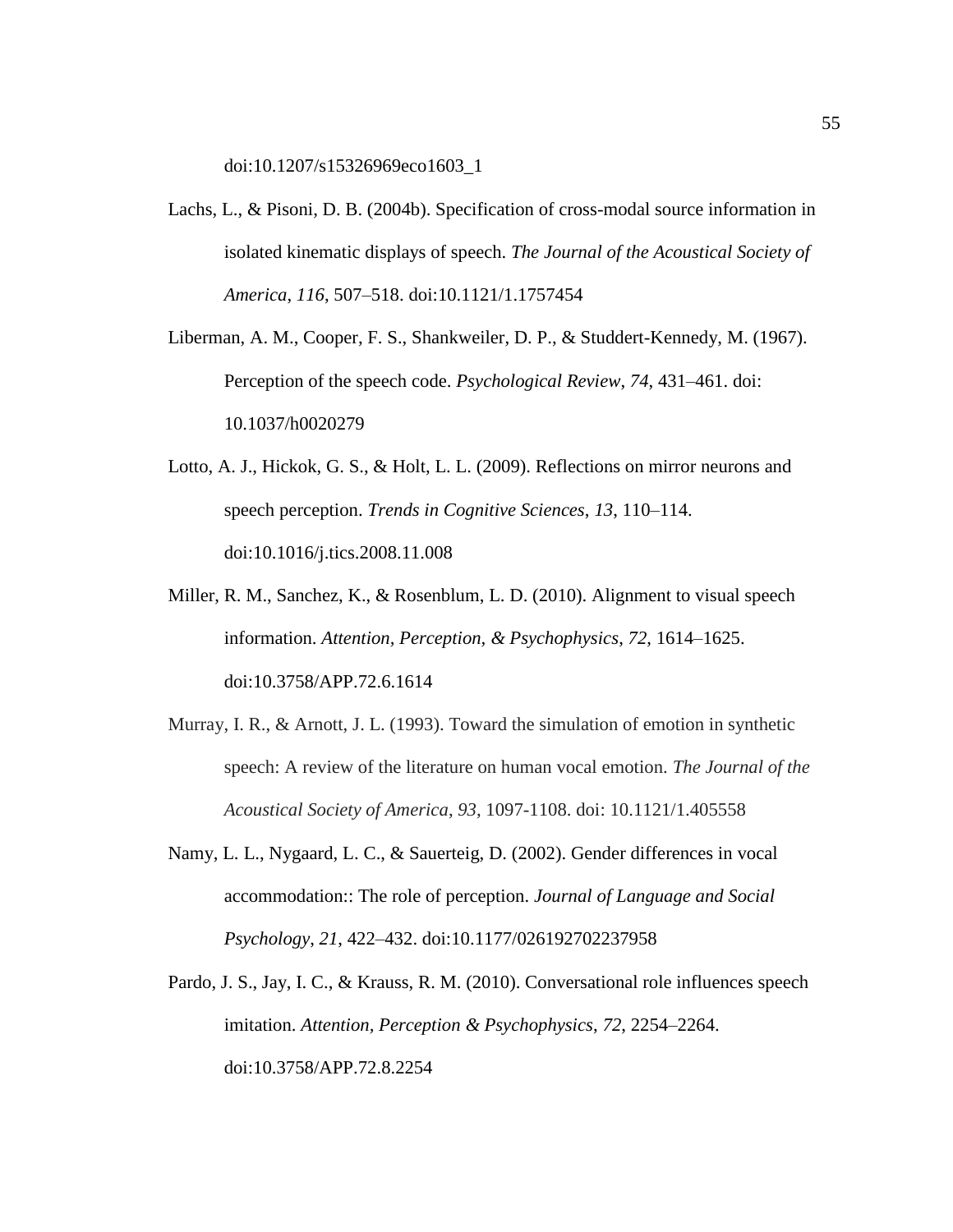doi:10.1207/s15326969eco1603\_1

- Lachs, L., & Pisoni, D. B. (2004b). Specification of cross-modal source information in isolated kinematic displays of speech. *The Journal of the Acoustical Society of America*, *116*, 507–518. doi:10.1121/1.1757454
- Liberman, A. M., Cooper, F. S., Shankweiler, D. P., & Studdert-Kennedy, M. (1967). Perception of the speech code. *Psychological Review*, *74*, 431–461. doi: 10.1037/h0020279
- Lotto, A. J., Hickok, G. S., & Holt, L. L. (2009). Reflections on mirror neurons and speech perception. *Trends in Cognitive Sciences*, *13*, 110–114. doi:10.1016/j.tics.2008.11.008
- Miller, R. M., Sanchez, K., & Rosenblum, L. D. (2010). Alignment to visual speech information. *Attention, Perception, & Psychophysics*, *72*, 1614–1625[.](https://doi.org/10.3758/APP.72.6.1614) doi:10.3758/APP.72.6.1614
- Murray, I. R., & Arnott, J. L. (1993). Toward the simulation of emotion in synthetic speech: A review of the literature on human vocal emotion. *The Journal of the Acoustical Society of America*, *93*, 1097-1108. doi: 10.1121/1.405558
- Namy, L. L., Nygaard, L. C., & Sauerteig, D. (2002). Gender differences in vocal accommodation:: The role of perception. *Journal of Language and Social Psychology*, *21*, 422–432. doi:10.1177/026192702237958
- Pardo, J. S., Jay, I. C., & Krauss, R. M. (2010). Conversational role influences speech imitation. *Attention, Perception & Psychophysics*, *72*, 2254–2264[.](https://doi.org/10.3758/APP.72.8.2254) doi:10.3758/APP.72.8.2254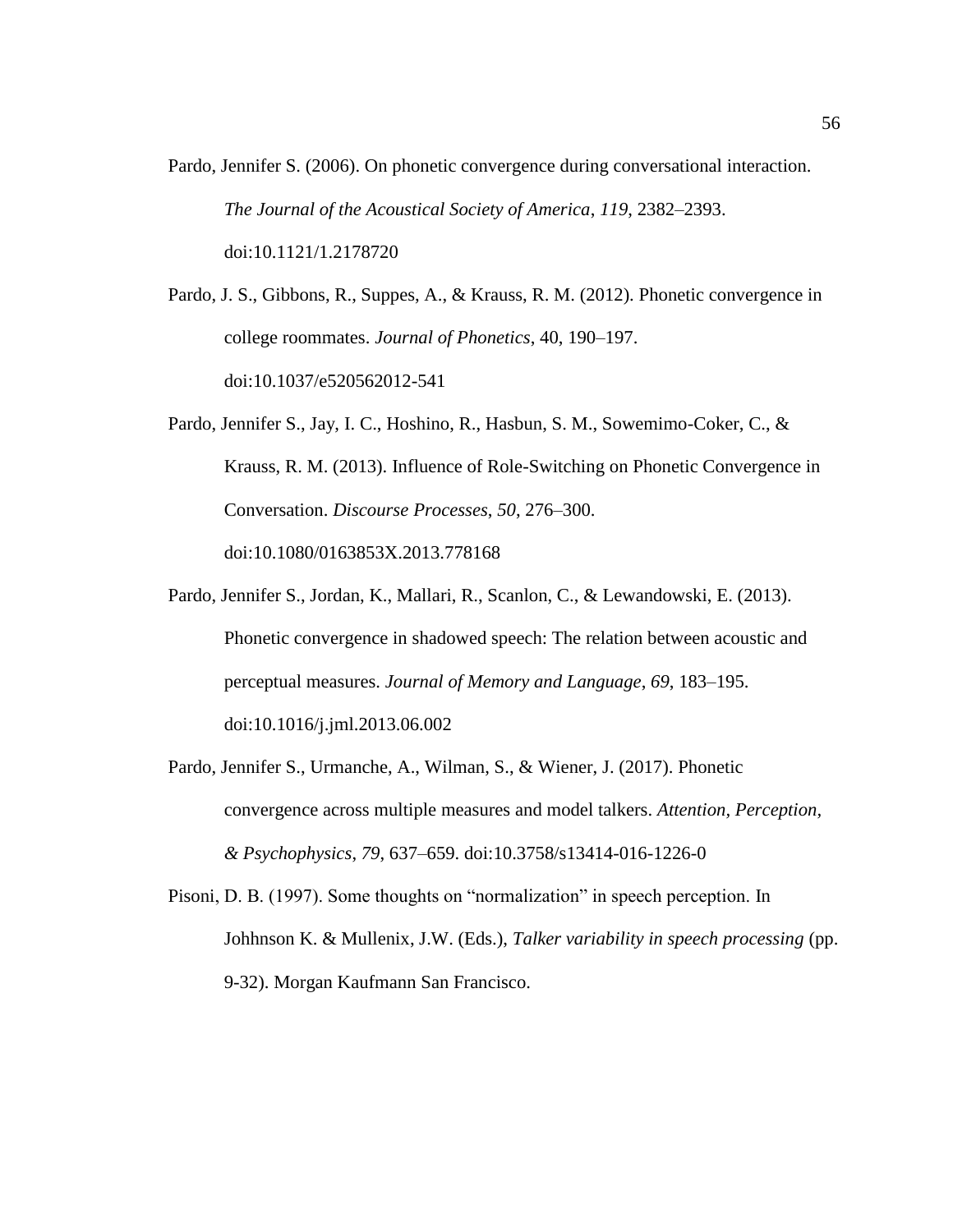- Pardo, Jennifer S. (2006). On phonetic convergence during conversational interaction. *The Journal of the Acoustical Society of America*, *119*, 2382–2393[.](https://doi.org/10.1121/1.2178720) doi:10.1121/1.2178720
- Pardo, J. S., Gibbons, R., Suppes, A., & Krauss, R. M. (2012). Phonetic convergence in college roommates. *Journal of Phonetics*, 40, 190–197. doi:10.1037/e520562012-541
- Pardo, Jennifer S., Jay, I. C., Hoshino, R., Hasbun, S. M., Sowemimo-Coker, C., & Krauss, R. M. (2013). Influence of Role-Switching on Phonetic Convergence in Conversation. *Discourse Processes*, *50*, 276–300[.](https://doi.org/10.1080/0163853X.2013.778168) doi:10.1080/0163853X.2013.778168
- Pardo, Jennifer S., Jordan, K., Mallari, R., Scanlon, C., & Lewandowski, E. (2013). Phonetic convergence in shadowed speech: The relation between acoustic and perceptual measures. *Journal of Memory and Language*, *69*, 183–195. doi:10.1016/j.jml.2013.06.002
- Pardo, Jennifer S., Urmanche, A., Wilman, S., & Wiener, J. (2017). Phonetic convergence across multiple measures and model talkers. *Attention, Perception, & Psychophysics*, *79*, 637–659. doi:10.3758/s13414-016-1226-0

Pisoni, D. B. (1997). Some thoughts on "normalization" in speech perception. In Johhnson K. & Mullenix, J.W. (Eds.), *Talker variability in speech processing* (pp. 9-32). Morgan Kaufmann San Francisco.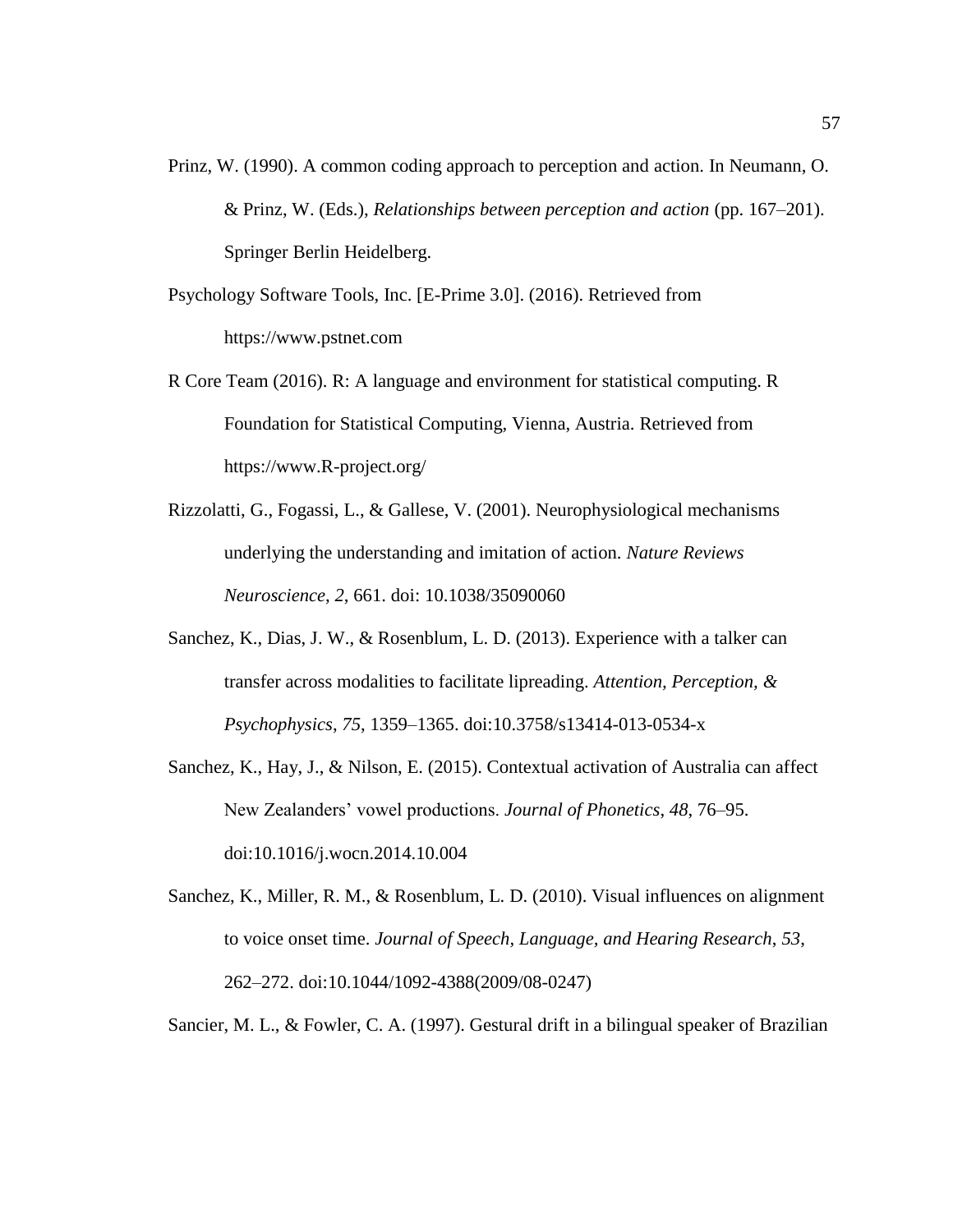- Prinz, W. (1990). A common coding approach to perception and action. In Neumann, O. & Prinz, W. (Eds.), *Relationships between perception and action* (pp. 167–201). Springer Berlin Heidelberg.
- Psychology Software Tools, Inc. [E-Prime 3.0]. (2016). Retrieved from https://www.pstnet.com
- R Core Team (2016). R: A language and environment for statistical computing. R Foundation for Statistical Computing, Vienna, Austria. Retrieved from https://www.R-project.org/
- Rizzolatti, G., Fogassi, L., & Gallese, V. (2001). Neurophysiological mechanisms underlying the understanding and imitation of action. *Nature Reviews Neuroscience*, *2*, 661. doi: 10.1038/35090060
- Sanchez, K., Dias, J. W., & Rosenblum, L. D. (2013). Experience with a talker can transfer across modalities to facilitate lipreading. *Attention, Perception, & Psychophysics*, *75*, 1359–1365. doi:10.3758/s13414-013-0534-x
- Sanchez, K., Hay, J., & Nilson, E. (2015). Contextual activation of Australia can affect New Zealanders' vowel productions. *Journal of Phonetics*, *48*, 76–95[.](https://doi.org/10.1016/j.wocn.2014.10.004) doi:10.1016/j.wocn.2014.10.004
- Sanchez, K., Miller, R. M., & Rosenblum, L. D. (2010). Visual influences on alignment to voice onset time. *Journal of Speech, Language, and Hearing Research*, *53*, 262–272. doi:10.1044/1092-4388(2009/08-0247)

Sancier, M. L., & Fowler, C. A. (1997). Gestural drift in a bilingual speaker of Brazilian